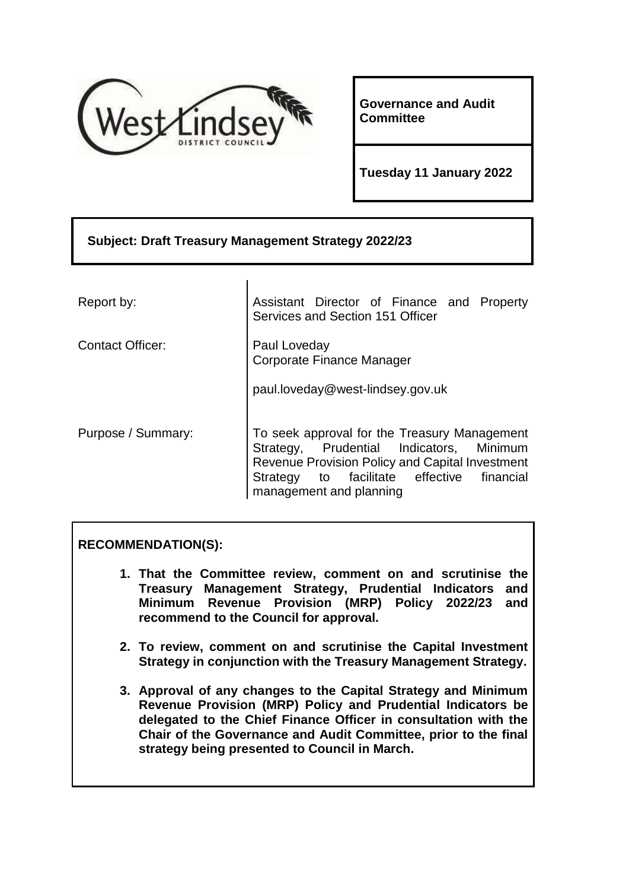

**Governance and Audit Committee**

**Tuesday 11 January 2022**

# **Subject: Draft Treasury Management Strategy 2022/23** Report by:  $\vert$  Assistant Director of Finance and Property Services and Section 151 Officer

Contact Officer: Paul Loveday Corporate Finance Manager

paul.loveday@west-lindsey.gov.uk

Purpose / Summary: To seek approval for the Treasury Management Strategy, Prudential Indicators, Minimum Revenue Provision Policy and Capital Investment Strategy to facilitate effective financial management and planning

# **RECOMMENDATION(S):**

- **1. That the Committee review, comment on and scrutinise the Treasury Management Strategy, Prudential Indicators and Minimum Revenue Provision (MRP) Policy 2022/23 and recommend to the Council for approval.**
- **2. To review, comment on and scrutinise the Capital Investment Strategy in conjunction with the Treasury Management Strategy.**
- **3. Approval of any changes to the Capital Strategy and Minimum Revenue Provision (MRP) Policy and Prudential Indicators be delegated to the Chief Finance Officer in consultation with the Chair of the Governance and Audit Committee, prior to the final strategy being presented to Council in March.**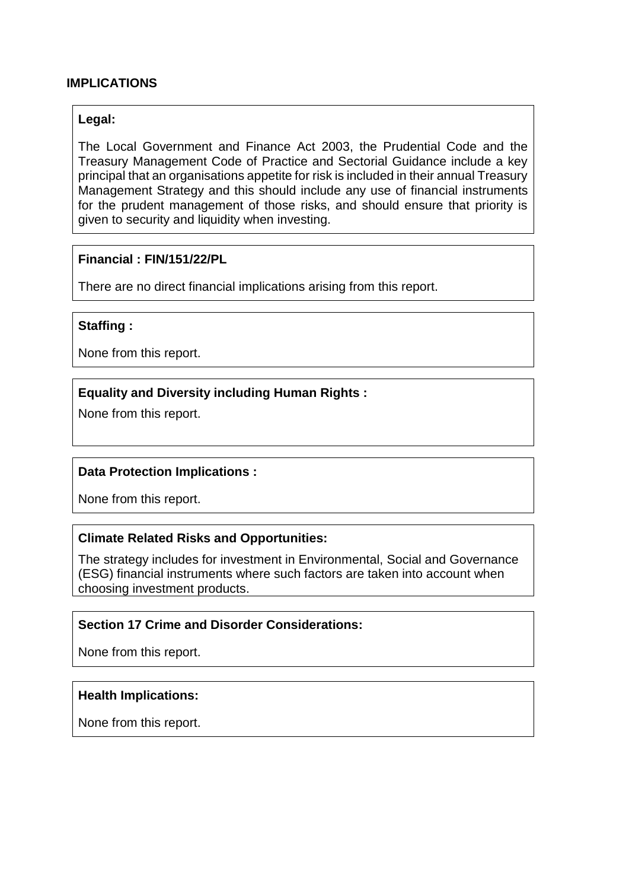#### **IMPLICATIONS**

#### **Legal:**

The Local Government and Finance Act 2003, the Prudential Code and the Treasury Management Code of Practice and Sectorial Guidance include a key principal that an organisations appetite for risk is included in their annual Treasury Management Strategy and this should include any use of financial instruments for the prudent management of those risks, and should ensure that priority is given to security and liquidity when investing.

#### **Financial : FIN/151/22/PL**

There are no direct financial implications arising from this report.

#### **Staffing :**

None from this report.

#### **Equality and Diversity including Human Rights :**

None from this report.

#### **Data Protection Implications :**

None from this report.

#### **Climate Related Risks and Opportunities:**

The strategy includes for investment in Environmental, Social and Governance (ESG) financial instruments where such factors are taken into account when choosing investment products.

# **Section 17 Crime and Disorder Considerations:**

None from this report.

#### **Health Implications:**

None from this report.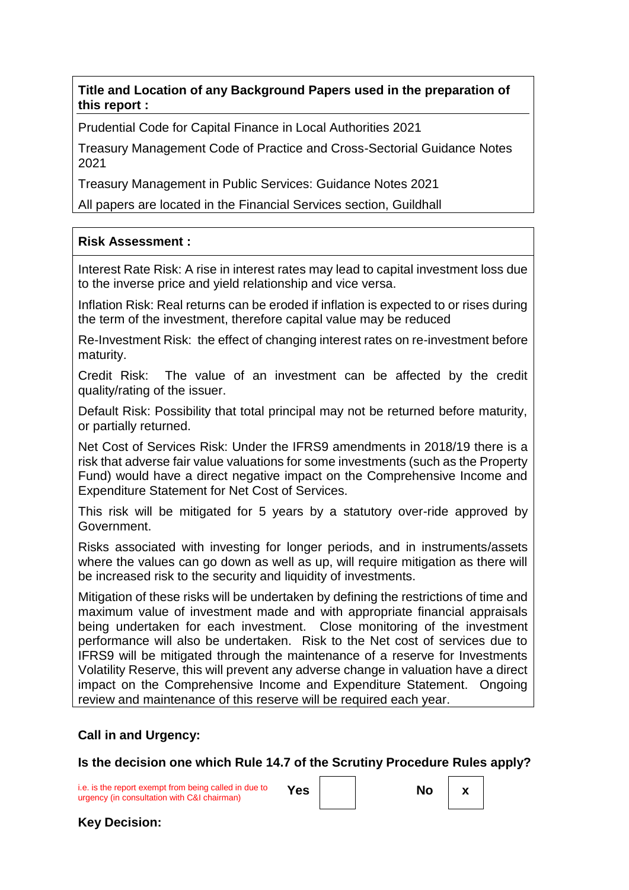**Title and Location of any Background Papers used in the preparation of this report :**

Prudential Code for Capital Finance in Local Authorities 2021

Treasury Management Code of Practice and Cross-Sectorial Guidance Notes 2021

Treasury Management in Public Services: Guidance Notes 2021

All papers are located in the Financial Services section, Guildhall

# **Risk Assessment :**

Interest Rate Risk: A rise in interest rates may lead to capital investment loss due to the inverse price and yield relationship and vice versa.

Inflation Risk: Real returns can be eroded if inflation is expected to or rises during the term of the investment, therefore capital value may be reduced

Re-Investment Risk: the effect of changing interest rates on re-investment before maturity.

Credit Risk: The value of an investment can be affected by the credit quality/rating of the issuer.

Default Risk: Possibility that total principal may not be returned before maturity, or partially returned.

Net Cost of Services Risk: Under the IFRS9 amendments in 2018/19 there is a risk that adverse fair value valuations for some investments (such as the Property Fund) would have a direct negative impact on the Comprehensive Income and Expenditure Statement for Net Cost of Services.

This risk will be mitigated for 5 years by a statutory over-ride approved by Government.

Risks associated with investing for longer periods, and in instruments/assets where the values can go down as well as up, will require mitigation as there will be increased risk to the security and liquidity of investments.

Mitigation of these risks will be undertaken by defining the restrictions of time and maximum value of investment made and with appropriate financial appraisals being undertaken for each investment. Close monitoring of the investment performance will also be undertaken. Risk to the Net cost of services due to IFRS9 will be mitigated through the maintenance of a reserve for Investments Volatility Reserve, this will prevent any adverse change in valuation have a direct impact on the Comprehensive Income and Expenditure Statement. Ongoing review and maintenance of this reserve will be required each year.

#### **Call in and Urgency:**

**Is the decision one which Rule 14.7 of the Scrutiny Procedure Rules apply?**

i.e. is the report exempt from being called in due to urgency (in consultation with C&I chairman) **Yes No x**

**Key Decision:**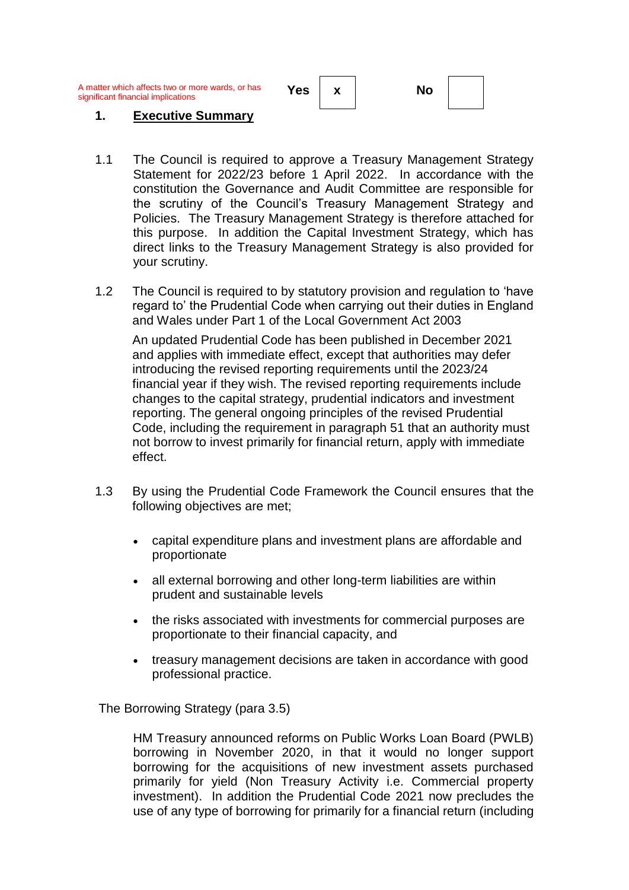A matter which affects two or more wards, or has significant financial implications **Yes x No**

#### **1. Executive Summary**

- 1.1 The Council is required to approve a Treasury Management Strategy Statement for 2022/23 before 1 April 2022. In accordance with the constitution the Governance and Audit Committee are responsible for the scrutiny of the Council's Treasury Management Strategy and Policies. The Treasury Management Strategy is therefore attached for this purpose. In addition the Capital Investment Strategy, which has direct links to the Treasury Management Strategy is also provided for your scrutiny.
- 1.2 The Council is required to by statutory provision and regulation to 'have regard to' the Prudential Code when carrying out their duties in England and Wales under Part 1 of the Local Government Act 2003

An updated Prudential Code has been published in December 2021 and applies with immediate effect, except that authorities may defer introducing the revised reporting requirements until the 2023/24 financial year if they wish. The revised reporting requirements include changes to the capital strategy, prudential indicators and investment reporting. The general ongoing principles of the revised Prudential Code, including the requirement in paragraph 51 that an authority must not borrow to invest primarily for financial return, apply with immediate effect.

- 1.3 By using the Prudential Code Framework the Council ensures that the following objectives are met;
	- capital expenditure plans and investment plans are affordable and proportionate
	- all external borrowing and other long-term liabilities are within prudent and sustainable levels
	- the risks associated with investments for commercial purposes are proportionate to their financial capacity, and
	- treasury management decisions are taken in accordance with good professional practice.

The Borrowing Strategy (para 3.5)

HM Treasury announced reforms on Public Works Loan Board (PWLB) borrowing in November 2020, in that it would no longer support borrowing for the acquisitions of new investment assets purchased primarily for yield (Non Treasury Activity i.e. Commercial property investment). In addition the Prudential Code 2021 now precludes the use of any type of borrowing for primarily for a financial return (including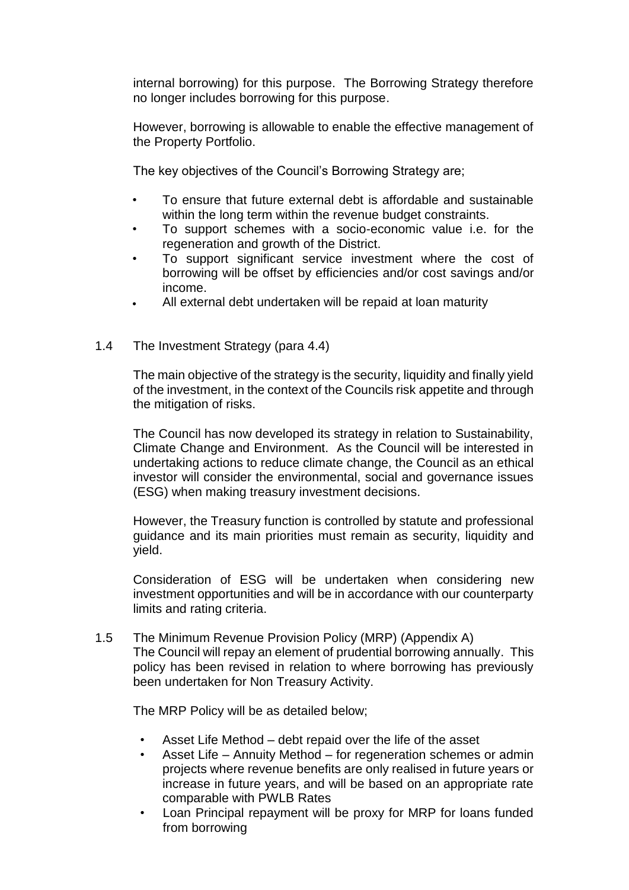internal borrowing) for this purpose. The Borrowing Strategy therefore no longer includes borrowing for this purpose.

However, borrowing is allowable to enable the effective management of the Property Portfolio.

The key objectives of the Council's Borrowing Strategy are;

- To ensure that future external debt is affordable and sustainable within the long term within the revenue budget constraints.
- To support schemes with a socio-economic value i.e. for the regeneration and growth of the District.
- To support significant service investment where the cost of borrowing will be offset by efficiencies and/or cost savings and/or income.
- All external debt undertaken will be repaid at loan maturity
- 1.4 The Investment Strategy (para 4.4)

The main objective of the strategy is the security, liquidity and finally yield of the investment, in the context of the Councils risk appetite and through the mitigation of risks.

The Council has now developed its strategy in relation to Sustainability, Climate Change and Environment. As the Council will be interested in undertaking actions to reduce climate change, the Council as an ethical investor will consider the environmental, social and governance issues (ESG) when making treasury investment decisions.

However, the Treasury function is controlled by statute and professional guidance and its main priorities must remain as security, liquidity and yield.

Consideration of ESG will be undertaken when considering new investment opportunities and will be in accordance with our counterparty limits and rating criteria.

1.5 The Minimum Revenue Provision Policy (MRP) (Appendix A) The Council will repay an element of prudential borrowing annually. This policy has been revised in relation to where borrowing has previously been undertaken for Non Treasury Activity.

The MRP Policy will be as detailed below;

- Asset Life Method debt repaid over the life of the asset
- Asset Life Annuity Method for regeneration schemes or admin projects where revenue benefits are only realised in future years or increase in future years, and will be based on an appropriate rate comparable with PWLB Rates
- Loan Principal repayment will be proxy for MRP for loans funded from borrowing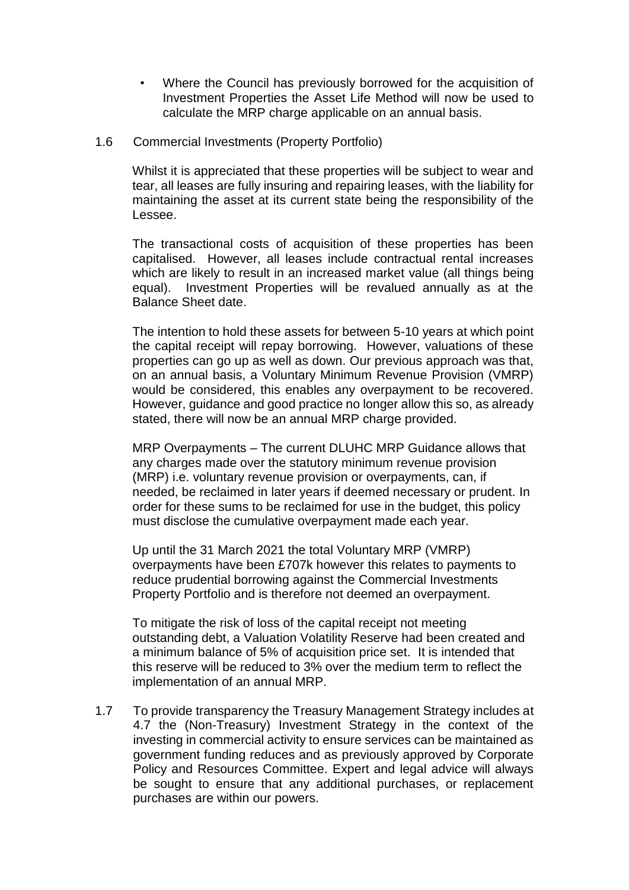• Where the Council has previously borrowed for the acquisition of Investment Properties the Asset Life Method will now be used to calculate the MRP charge applicable on an annual basis.

#### 1.6 Commercial Investments (Property Portfolio)

Whilst it is appreciated that these properties will be subject to wear and tear, all leases are fully insuring and repairing leases, with the liability for maintaining the asset at its current state being the responsibility of the Lessee.

The transactional costs of acquisition of these properties has been capitalised. However, all leases include contractual rental increases which are likely to result in an increased market value (all things being equal). Investment Properties will be revalued annually as at the Balance Sheet date.

The intention to hold these assets for between 5-10 years at which point the capital receipt will repay borrowing. However, valuations of these properties can go up as well as down. Our previous approach was that, on an annual basis, a Voluntary Minimum Revenue Provision (VMRP) would be considered, this enables any overpayment to be recovered. However, guidance and good practice no longer allow this so, as already stated, there will now be an annual MRP charge provided.

MRP Overpayments – The current DLUHC MRP Guidance allows that any charges made over the statutory minimum revenue provision (MRP) i.e. voluntary revenue provision or overpayments, can, if needed, be reclaimed in later years if deemed necessary or prudent. In order for these sums to be reclaimed for use in the budget, this policy must disclose the cumulative overpayment made each year.

Up until the 31 March 2021 the total Voluntary MRP (VMRP) overpayments have been £707k however this relates to payments to reduce prudential borrowing against the Commercial Investments Property Portfolio and is therefore not deemed an overpayment.

To mitigate the risk of loss of the capital receipt not meeting outstanding debt, a Valuation Volatility Reserve had been created and a minimum balance of 5% of acquisition price set. It is intended that this reserve will be reduced to 3% over the medium term to reflect the implementation of an annual MRP.

1.7 To provide transparency the Treasury Management Strategy includes at 4.7 the (Non-Treasury) Investment Strategy in the context of the investing in commercial activity to ensure services can be maintained as government funding reduces and as previously approved by Corporate Policy and Resources Committee. Expert and legal advice will always be sought to ensure that any additional purchases, or replacement purchases are within our powers.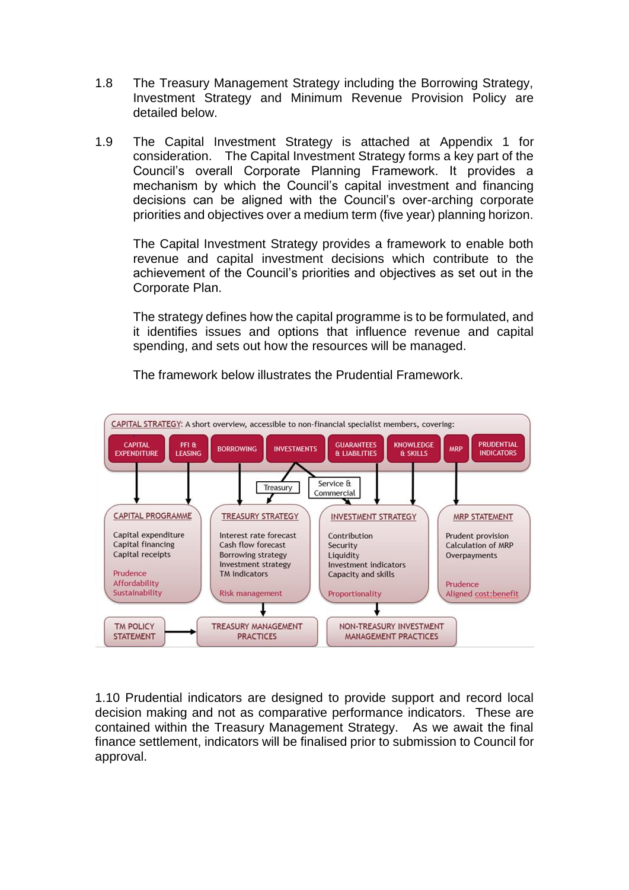- 1.8 The Treasury Management Strategy including the Borrowing Strategy, Investment Strategy and Minimum Revenue Provision Policy are detailed below.
- 1.9 The Capital Investment Strategy is attached at Appendix 1 for consideration. The Capital Investment Strategy forms a key part of the Council's overall Corporate Planning Framework. It provides a mechanism by which the Council's capital investment and financing decisions can be aligned with the Council's over-arching corporate priorities and objectives over a medium term (five year) planning horizon.

The Capital Investment Strategy provides a framework to enable both revenue and capital investment decisions which contribute to the achievement of the Council's priorities and objectives as set out in the Corporate Plan.

The strategy defines how the capital programme is to be formulated, and it identifies issues and options that influence revenue and capital spending, and sets out how the resources will be managed.



The framework below illustrates the Prudential Framework.

1.10 Prudential indicators are designed to provide support and record local decision making and not as comparative performance indicators. These are contained within the Treasury Management Strategy. As we await the final finance settlement, indicators will be finalised prior to submission to Council for approval.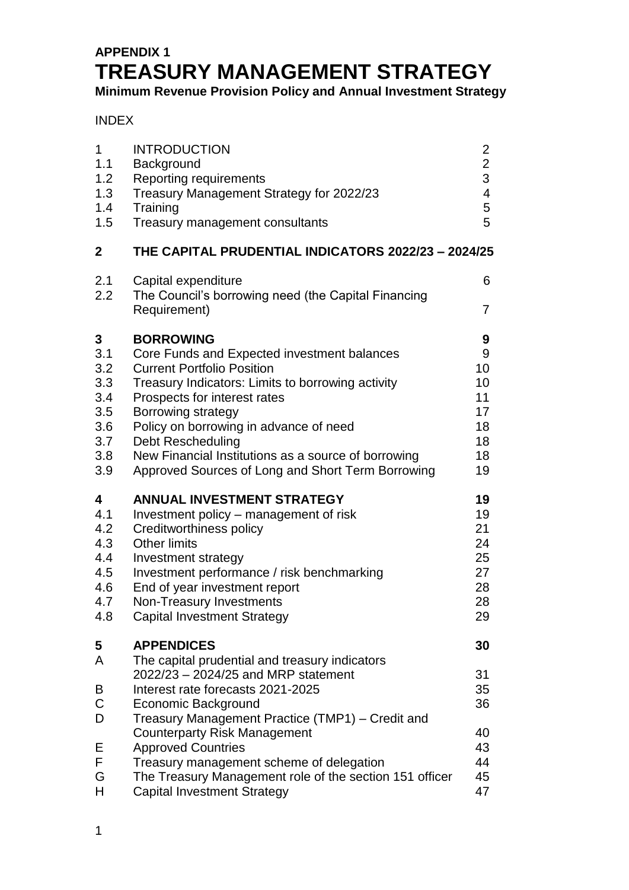# **APPENDIX 1 TREASURY MANAGEMENT STRATEGY**

**Minimum Revenue Provision Policy and Annual Investment Strategy**

INDEX

| 1                                                   | <b>INTRODUCTION</b>                                                                                                                                                                                                                                                                                                                                                                                                                         | $\overline{2}$                                     |
|-----------------------------------------------------|---------------------------------------------------------------------------------------------------------------------------------------------------------------------------------------------------------------------------------------------------------------------------------------------------------------------------------------------------------------------------------------------------------------------------------------------|----------------------------------------------------|
| 1.1                                                 | Background                                                                                                                                                                                                                                                                                                                                                                                                                                  | $\overline{2}$                                     |
| 1.2                                                 | Reporting requirements                                                                                                                                                                                                                                                                                                                                                                                                                      | 3                                                  |
| 1.3                                                 | Treasury Management Strategy for 2022/23                                                                                                                                                                                                                                                                                                                                                                                                    | $\overline{\mathbf{4}}$                            |
| 1.4                                                 | Training                                                                                                                                                                                                                                                                                                                                                                                                                                    | 5                                                  |
| 1.5                                                 | Treasury management consultants                                                                                                                                                                                                                                                                                                                                                                                                             | 5                                                  |
| $\mathbf{2}$                                        | THE CAPITAL PRUDENTIAL INDICATORS 2022/23 - 2024/25                                                                                                                                                                                                                                                                                                                                                                                         |                                                    |
| 2.1<br>2.2                                          | Capital expenditure<br>The Council's borrowing need (the Capital Financing<br>Requirement)                                                                                                                                                                                                                                                                                                                                                  | 6<br>$\overline{7}$                                |
| 3                                                   | <b>BORROWING</b>                                                                                                                                                                                                                                                                                                                                                                                                                            | 9                                                  |
| 3.1                                                 | Core Funds and Expected investment balances                                                                                                                                                                                                                                                                                                                                                                                                 | 9                                                  |
| 3.2                                                 | <b>Current Portfolio Position</b>                                                                                                                                                                                                                                                                                                                                                                                                           | 10                                                 |
| 3.3                                                 | Treasury Indicators: Limits to borrowing activity                                                                                                                                                                                                                                                                                                                                                                                           | 10                                                 |
| 3.4                                                 | Prospects for interest rates                                                                                                                                                                                                                                                                                                                                                                                                                | 11                                                 |
| 3.5                                                 | Borrowing strategy                                                                                                                                                                                                                                                                                                                                                                                                                          | 17                                                 |
| 3.6                                                 | Policy on borrowing in advance of need                                                                                                                                                                                                                                                                                                                                                                                                      | 18                                                 |
| 3.7                                                 | <b>Debt Rescheduling</b>                                                                                                                                                                                                                                                                                                                                                                                                                    | 18                                                 |
| 3.8                                                 | New Financial Institutions as a source of borrowing                                                                                                                                                                                                                                                                                                                                                                                         | 18                                                 |
| 3.9                                                 | Approved Sources of Long and Short Term Borrowing                                                                                                                                                                                                                                                                                                                                                                                           | 19                                                 |
| 4                                                   | <b>ANNUAL INVESTMENT STRATEGY</b>                                                                                                                                                                                                                                                                                                                                                                                                           | 19                                                 |
| 4.1                                                 | Investment policy - management of risk                                                                                                                                                                                                                                                                                                                                                                                                      | 19                                                 |
| 4.2                                                 | Creditworthiness policy                                                                                                                                                                                                                                                                                                                                                                                                                     | 21                                                 |
| 4.3                                                 | <b>Other limits</b>                                                                                                                                                                                                                                                                                                                                                                                                                         | 24                                                 |
| 4.4                                                 | Investment strategy                                                                                                                                                                                                                                                                                                                                                                                                                         | 25                                                 |
| 4.5                                                 | Investment performance / risk benchmarking                                                                                                                                                                                                                                                                                                                                                                                                  | 27                                                 |
| 4.6                                                 | End of year investment report                                                                                                                                                                                                                                                                                                                                                                                                               | 28                                                 |
| 4.7                                                 | Non-Treasury Investments                                                                                                                                                                                                                                                                                                                                                                                                                    | 28                                                 |
| 4.8                                                 | <b>Capital Investment Strategy</b>                                                                                                                                                                                                                                                                                                                                                                                                          | 29                                                 |
| 5<br>A<br>B<br>$\mathsf C$<br>D<br>Е<br>F<br>G<br>H | <b>APPENDICES</b><br>The capital prudential and treasury indicators<br>2022/23 - 2024/25 and MRP statement<br>Interest rate forecasts 2021-2025<br>Economic Background<br>Treasury Management Practice (TMP1) – Credit and<br><b>Counterparty Risk Management</b><br><b>Approved Countries</b><br>Treasury management scheme of delegation<br>The Treasury Management role of the section 151 officer<br><b>Capital Investment Strategy</b> | 30<br>31<br>35<br>36<br>40<br>43<br>44<br>45<br>47 |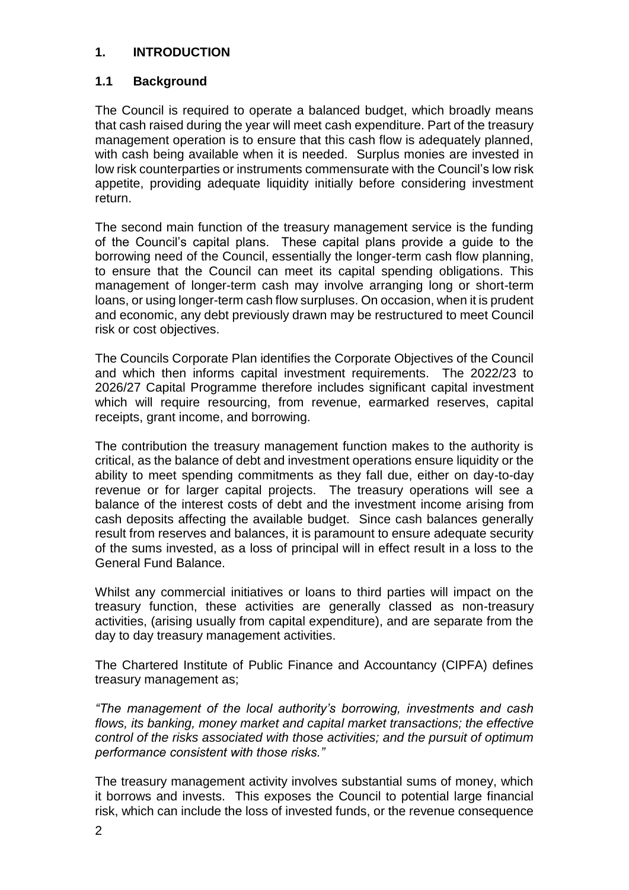# **1. INTRODUCTION**

# **1.1 Background**

The Council is required to operate a balanced budget, which broadly means that cash raised during the year will meet cash expenditure. Part of the treasury management operation is to ensure that this cash flow is adequately planned, with cash being available when it is needed. Surplus monies are invested in low risk counterparties or instruments commensurate with the Council's low risk appetite, providing adequate liquidity initially before considering investment return.

The second main function of the treasury management service is the funding of the Council's capital plans. These capital plans provide a guide to the borrowing need of the Council, essentially the longer-term cash flow planning, to ensure that the Council can meet its capital spending obligations. This management of longer-term cash may involve arranging long or short-term loans, or using longer-term cash flow surpluses. On occasion, when it is prudent and economic, any debt previously drawn may be restructured to meet Council risk or cost objectives.

The Councils Corporate Plan identifies the Corporate Objectives of the Council and which then informs capital investment requirements. The 2022/23 to 2026/27 Capital Programme therefore includes significant capital investment which will require resourcing, from revenue, earmarked reserves, capital receipts, grant income, and borrowing.

The contribution the treasury management function makes to the authority is critical, as the balance of debt and investment operations ensure liquidity or the ability to meet spending commitments as they fall due, either on day-to-day revenue or for larger capital projects. The treasury operations will see a balance of the interest costs of debt and the investment income arising from cash deposits affecting the available budget. Since cash balances generally result from reserves and balances, it is paramount to ensure adequate security of the sums invested, as a loss of principal will in effect result in a loss to the General Fund Balance.

Whilst any commercial initiatives or loans to third parties will impact on the treasury function, these activities are generally classed as non-treasury activities, (arising usually from capital expenditure), and are separate from the day to day treasury management activities.

The Chartered Institute of Public Finance and Accountancy (CIPFA) defines treasury management as;

*"The management of the local authority's borrowing, investments and cash flows, its banking, money market and capital market transactions; the effective control of the risks associated with those activities; and the pursuit of optimum performance consistent with those risks."*

The treasury management activity involves substantial sums of money, which it borrows and invests. This exposes the Council to potential large financial risk, which can include the loss of invested funds, or the revenue consequence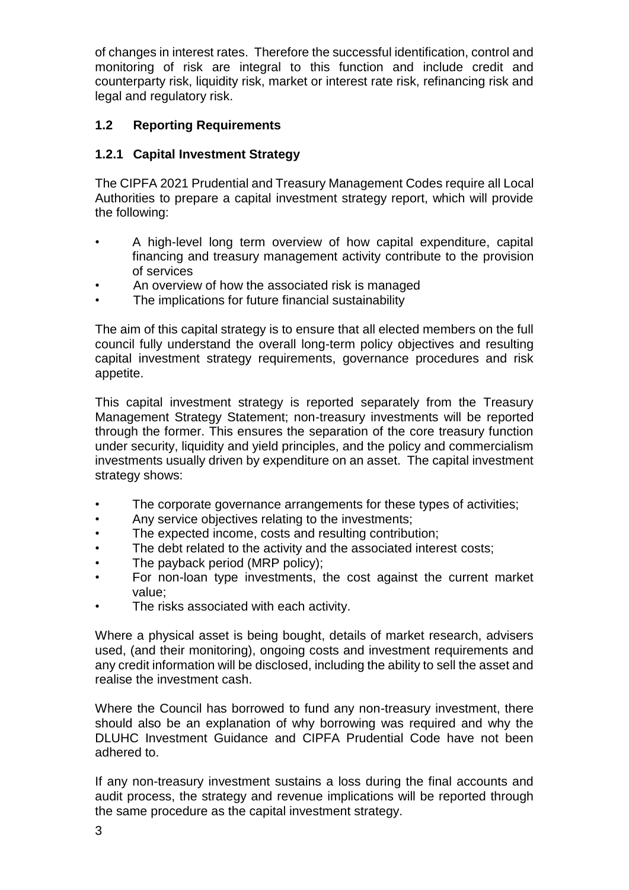of changes in interest rates. Therefore the successful identification, control and monitoring of risk are integral to this function and include credit and counterparty risk, liquidity risk, market or interest rate risk, refinancing risk and legal and regulatory risk.

# **1.2 Reporting Requirements**

# **1.2.1 Capital Investment Strategy**

The CIPFA 2021 Prudential and Treasury Management Codes require all Local Authorities to prepare a capital investment strategy report, which will provide the following:

- A high-level long term overview of how capital expenditure, capital financing and treasury management activity contribute to the provision of services
- An overview of how the associated risk is managed
- The implications for future financial sustainability

The aim of this capital strategy is to ensure that all elected members on the full council fully understand the overall long-term policy objectives and resulting capital investment strategy requirements, governance procedures and risk appetite.

This capital investment strategy is reported separately from the Treasury Management Strategy Statement; non-treasury investments will be reported through the former. This ensures the separation of the core treasury function under security, liquidity and yield principles, and the policy and commercialism investments usually driven by expenditure on an asset. The capital investment strategy shows:

- The corporate governance arrangements for these types of activities;
- Any service objectives relating to the investments;
- The expected income, costs and resulting contribution;
- The debt related to the activity and the associated interest costs;
- The payback period (MRP policy);
- For non-loan type investments, the cost against the current market value;
- The risks associated with each activity.

Where a physical asset is being bought, details of market research, advisers used, (and their monitoring), ongoing costs and investment requirements and any credit information will be disclosed, including the ability to sell the asset and realise the investment cash.

Where the Council has borrowed to fund any non-treasury investment, there should also be an explanation of why borrowing was required and why the DLUHC Investment Guidance and CIPFA Prudential Code have not been adhered to.

If any non-treasury investment sustains a loss during the final accounts and audit process, the strategy and revenue implications will be reported through the same procedure as the capital investment strategy.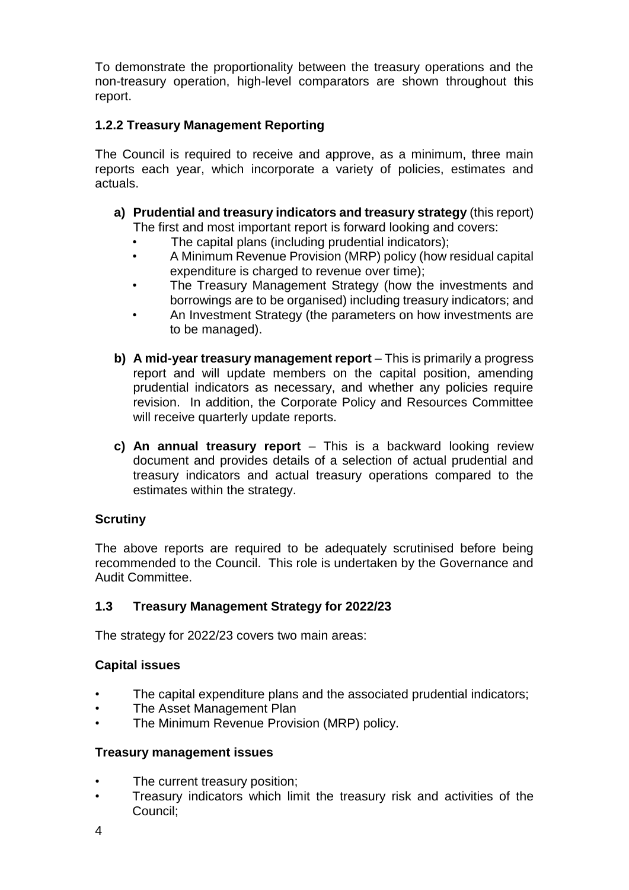To demonstrate the proportionality between the treasury operations and the non-treasury operation, high-level comparators are shown throughout this report.

# **1.2.2 Treasury Management Reporting**

The Council is required to receive and approve, as a minimum, three main reports each year, which incorporate a variety of policies, estimates and actuals.

- **a) Prudential and treasury indicators and treasury strategy** (this report) The first and most important report is forward looking and covers:
	- The capital plans (including prudential indicators);
	- A Minimum Revenue Provision (MRP) policy (how residual capital expenditure is charged to revenue over time);
	- The Treasury Management Strategy (how the investments and borrowings are to be organised) including treasury indicators; and
	- An Investment Strategy (the parameters on how investments are to be managed).
- **b) A mid-year treasury management report** This is primarily a progress report and will update members on the capital position, amending prudential indicators as necessary, and whether any policies require revision. In addition, the Corporate Policy and Resources Committee will receive quarterly update reports.
- **c) An annual treasury report** This is a backward looking review document and provides details of a selection of actual prudential and treasury indicators and actual treasury operations compared to the estimates within the strategy.

#### **Scrutiny**

The above reports are required to be adequately scrutinised before being recommended to the Council. This role is undertaken by the Governance and Audit Committee.

# **1.3 Treasury Management Strategy for 2022/23**

The strategy for 2022/23 covers two main areas:

#### **Capital issues**

- The capital expenditure plans and the associated prudential indicators;
- The Asset Management Plan
- The Minimum Revenue Provision (MRP) policy.

#### **Treasury management issues**

- The current treasury position;
- Treasury indicators which limit the treasury risk and activities of the Council;
- 4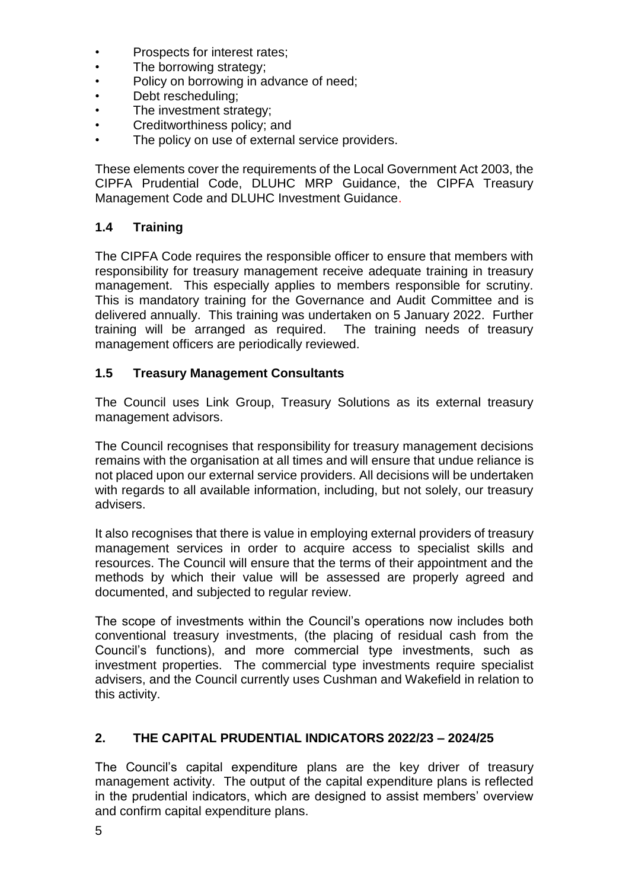- Prospects for interest rates;
- The borrowing strategy;
- Policy on borrowing in advance of need;
- Debt rescheduling;
- The investment strategy;
- Creditworthiness policy; and
- The policy on use of external service providers.

These elements cover the requirements of the Local Government Act 2003, the CIPFA Prudential Code, DLUHC MRP Guidance, the CIPFA Treasury Management Code and DLUHC Investment Guidance.

# **1.4 Training**

The CIPFA Code requires the responsible officer to ensure that members with responsibility for treasury management receive adequate training in treasury management. This especially applies to members responsible for scrutiny. This is mandatory training for the Governance and Audit Committee and is delivered annually. This training was undertaken on 5 January 2022. Further training will be arranged as required. The training needs of treasury management officers are periodically reviewed.

#### **1.5 Treasury Management Consultants**

The Council uses Link Group, Treasury Solutions as its external treasury management advisors.

The Council recognises that responsibility for treasury management decisions remains with the organisation at all times and will ensure that undue reliance is not placed upon our external service providers. All decisions will be undertaken with regards to all available information, including, but not solely, our treasury advisers.

It also recognises that there is value in employing external providers of treasury management services in order to acquire access to specialist skills and resources. The Council will ensure that the terms of their appointment and the methods by which their value will be assessed are properly agreed and documented, and subjected to regular review.

The scope of investments within the Council's operations now includes both conventional treasury investments, (the placing of residual cash from the Council's functions), and more commercial type investments, such as investment properties. The commercial type investments require specialist advisers, and the Council currently uses Cushman and Wakefield in relation to this activity.

# **2. THE CAPITAL PRUDENTIAL INDICATORS 2022/23 – 2024/25**

The Council's capital expenditure plans are the key driver of treasury management activity. The output of the capital expenditure plans is reflected in the prudential indicators, which are designed to assist members' overview and confirm capital expenditure plans.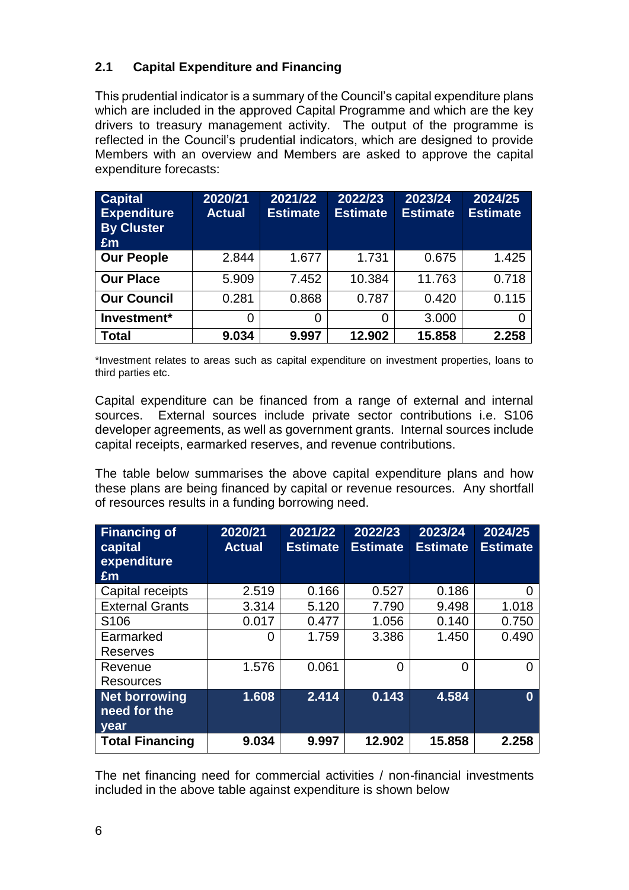# **2.1 Capital Expenditure and Financing**

This prudential indicator is a summary of the Council's capital expenditure plans which are included in the approved Capital Programme and which are the key drivers to treasury management activity. The output of the programme is reflected in the Council's prudential indicators, which are designed to provide Members with an overview and Members are asked to approve the capital expenditure forecasts:

| <b>Capital</b><br><b>Expenditure</b><br><b>By Cluster</b><br>Em | 2020/21<br><b>Actual</b> | 2021/22<br><b>Estimate</b> | 2022/23<br><b>Estimate</b> | 2023/24<br><b>Estimate</b> | 2024/25<br><b>Estimate</b> |
|-----------------------------------------------------------------|--------------------------|----------------------------|----------------------------|----------------------------|----------------------------|
| <b>Our People</b>                                               | 2.844                    | 1.677                      | 1.731                      | 0.675                      | 1.425                      |
| <b>Our Place</b>                                                | 5.909                    | 7.452                      | 10.384                     | 11.763                     | 0.718                      |
| <b>Our Council</b>                                              | 0.281                    | 0.868                      | 0.787                      | 0.420                      | 0.115                      |
| Investment*                                                     | 0                        | 0                          | 0                          | 3.000                      |                            |
| <b>Total</b>                                                    | 9.034                    | 9.997                      | 12.902                     | 15.858                     | 2.258                      |

\*Investment relates to areas such as capital expenditure on investment properties, loans to third parties etc.

Capital expenditure can be financed from a range of external and internal sources. External sources include private sector contributions i.e. S106 developer agreements, as well as government grants. Internal sources include capital receipts, earmarked reserves, and revenue contributions.

The table below summarises the above capital expenditure plans and how these plans are being financed by capital or revenue resources. Any shortfall of resources results in a funding borrowing need.

| <b>Financing of</b><br>capital<br>expenditure<br>Em | 2020/21<br><b>Actual</b> | 2021/22<br><b>Estimate</b> | 2022/23<br><b>Estimate</b> | 2023/24<br><b>Estimate</b> | 2024/25<br><b>Estimate</b> |
|-----------------------------------------------------|--------------------------|----------------------------|----------------------------|----------------------------|----------------------------|
| Capital receipts                                    | 2.519                    | 0.166                      | 0.527                      | 0.186                      |                            |
| <b>External Grants</b>                              | 3.314                    | 5.120                      | 7.790                      | 9.498                      | 1.018                      |
| S <sub>106</sub>                                    | 0.017                    | 0.477                      | 1.056                      | 0.140                      | 0.750                      |
| Earmarked<br>Reserves                               | 0                        | 1.759                      | 3.386                      | 1.450                      | 0.490                      |
| Revenue<br>Resources                                | 1.576                    | 0.061                      | ∩                          | $\Omega$                   | 0                          |
| <b>Net borrowing</b><br>need for the<br>year        | 1.608                    | 2.414                      | 0.143                      | 4.584                      | 0                          |
| <b>Total Financing</b>                              | 9.034                    | 9.997                      | 12.902                     | 15.858                     | 2.258                      |

The net financing need for commercial activities / non-financial investments included in the above table against expenditure is shown below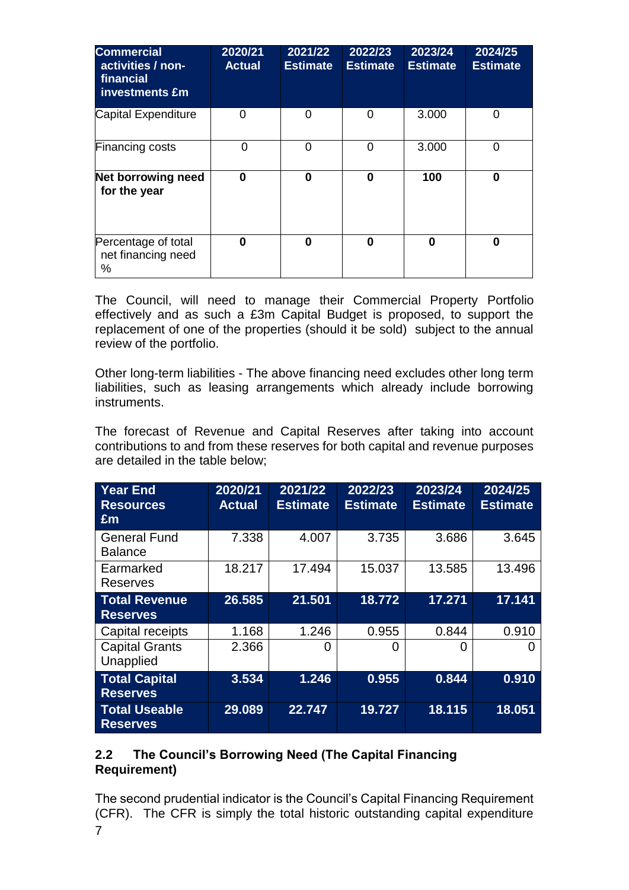| <b>Commercial</b><br>activities / non-<br>financial<br>investments £m | 2020/21<br><b>Actual</b> | 2021/22<br><b>Estimate</b> | 2022/23<br><b>Estimate</b> | 2023/24<br><b>Estimate</b> | 2024/25<br><b>Estimate</b> |
|-----------------------------------------------------------------------|--------------------------|----------------------------|----------------------------|----------------------------|----------------------------|
| Capital Expenditure                                                   | ∩                        | 0                          | 0                          | 3.000                      | 0                          |
| <b>Financing costs</b>                                                | 0                        | 0                          | 0                          | 3.000                      | $\Omega$                   |
| Net borrowing need<br>for the year                                    | 0                        | 0                          | 0                          | 100                        | 0                          |
| Percentage of total<br>net financing need<br>%                        | 0                        | $\bf{0}$                   | 0                          | 0                          | 0                          |

The Council, will need to manage their Commercial Property Portfolio effectively and as such a £3m Capital Budget is proposed, to support the replacement of one of the properties (should it be sold) subject to the annual review of the portfolio.

Other long-term liabilities - The above financing need excludes other long term liabilities, such as leasing arrangements which already include borrowing instruments.

The forecast of Revenue and Capital Reserves after taking into account contributions to and from these reserves for both capital and revenue purposes are detailed in the table below;

| <b>Year End</b><br><b>Resources</b><br><b>Em</b> | 2020/21<br><b>Actual</b> | 2021/22<br><b>Estimate</b> | 2022/23<br><b>Estimate</b> | 2023/24<br><b>Estimate</b> | 2024/25<br><b>Estimate</b> |
|--------------------------------------------------|--------------------------|----------------------------|----------------------------|----------------------------|----------------------------|
| <b>General Fund</b>                              | 7.338                    | 4.007                      | 3.735                      | 3.686                      | 3.645                      |
| <b>Balance</b>                                   |                          |                            |                            |                            |                            |
| Earmarked<br>Reserves                            | 18.217                   | 17.494                     | 15.037                     | 13.585                     | 13.496                     |
| <b>Total Revenue</b><br><b>Reserves</b>          | 26.585                   | 21.501                     | 18.772                     | 17.271                     | 17.141                     |
| Capital receipts                                 | 1.168                    | 1.246                      | 0.955                      | 0.844                      | 0.910                      |
| <b>Capital Grants</b><br>Unapplied               | 2.366                    | O                          | 0                          | 0                          |                            |
| <b>Total Capital</b><br><b>Reserves</b>          | 3.534                    | 1.246                      | 0.955                      | 0.844                      | 0.910                      |
| <b>Total Useable</b><br><b>Reserves</b>          | 29.089                   | 22.747                     | 19.727                     | 18.115                     | 18.051                     |

# **2.2 The Council's Borrowing Need (The Capital Financing Requirement)**

7 The second prudential indicator is the Council's Capital Financing Requirement (CFR). The CFR is simply the total historic outstanding capital expenditure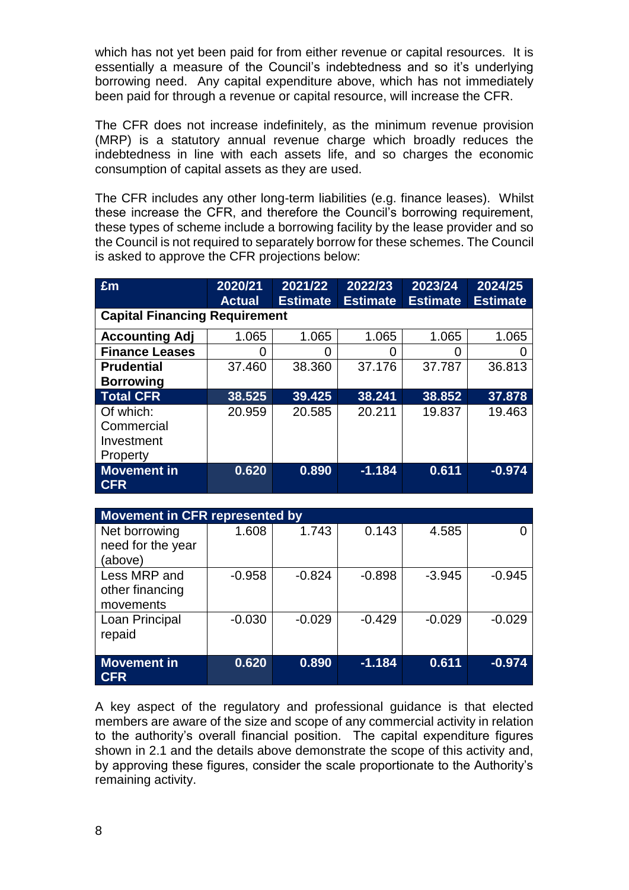which has not yet been paid for from either revenue or capital resources. It is essentially a measure of the Council's indebtedness and so it's underlying borrowing need. Any capital expenditure above, which has not immediately been paid for through a revenue or capital resource, will increase the CFR.

The CFR does not increase indefinitely, as the minimum revenue provision (MRP) is a statutory annual revenue charge which broadly reduces the indebtedness in line with each assets life, and so charges the economic consumption of capital assets as they are used.

The CFR includes any other long-term liabilities (e.g. finance leases). Whilst these increase the CFR, and therefore the Council's borrowing requirement, these types of scheme include a borrowing facility by the lease provider and so the Council is not required to separately borrow for these schemes. The Council is asked to approve the CFR projections below:

| Em                                                | 2020/21<br><b>Actual</b> | 2021/22<br><b>Estimate</b> | 2022/23<br><b>Estimate</b> | 2023/24<br><b>Estimate</b> | 2024/25<br><b>Estimate</b> |  |  |  |  |
|---------------------------------------------------|--------------------------|----------------------------|----------------------------|----------------------------|----------------------------|--|--|--|--|
| <b>Capital Financing Requirement</b>              |                          |                            |                            |                            |                            |  |  |  |  |
| <b>Accounting Adj</b>                             | 1.065                    | 1.065                      | 1.065                      | 1.065                      | 1.065                      |  |  |  |  |
| <b>Finance Leases</b>                             | 0                        | O                          | 0                          | 0                          |                            |  |  |  |  |
| <b>Prudential</b><br><b>Borrowing</b>             | 37.460                   | 38.360                     | 37.176                     | 37.787                     | 36.813                     |  |  |  |  |
| <b>Total CFR</b>                                  | 38.525                   | 39.425                     | 38.241                     | 38.852                     | 37,878                     |  |  |  |  |
| Of which:<br>Commercial<br>Investment<br>Property | 20.959                   | 20.585                     | 20.211                     | 19.837                     | 19.463                     |  |  |  |  |
| <b>Movement in</b><br><b>CFR</b>                  | 0.620                    | 0.890                      | $-1.184$                   | 0.611                      | $-0.974$                   |  |  |  |  |

| <b>Movement in CFR represented by</b> |          |          |          |          |          |  |  |  |  |  |  |
|---------------------------------------|----------|----------|----------|----------|----------|--|--|--|--|--|--|
| Net borrowing                         | 1.608    | 1.743    | 0.143    | 4.585    |          |  |  |  |  |  |  |
| need for the year                     |          |          |          |          |          |  |  |  |  |  |  |
| (above)                               |          |          |          |          |          |  |  |  |  |  |  |
| Less MRP and                          | $-0.958$ | $-0.824$ | $-0.898$ | $-3.945$ | $-0.945$ |  |  |  |  |  |  |
| other financing                       |          |          |          |          |          |  |  |  |  |  |  |
| movements                             |          |          |          |          |          |  |  |  |  |  |  |
| Loan Principal                        | $-0.030$ | $-0.029$ | $-0.429$ | $-0.029$ | $-0.029$ |  |  |  |  |  |  |
| repaid                                |          |          |          |          |          |  |  |  |  |  |  |
|                                       |          |          |          |          |          |  |  |  |  |  |  |
| <b>Movement in</b>                    | 0.620    | 0.890    | $-1.184$ | 0.611    | $-0.974$ |  |  |  |  |  |  |
| <b>CFR</b>                            |          |          |          |          |          |  |  |  |  |  |  |

A key aspect of the regulatory and professional guidance is that elected members are aware of the size and scope of any commercial activity in relation to the authority's overall financial position. The capital expenditure figures shown in 2.1 and the details above demonstrate the scope of this activity and, by approving these figures, consider the scale proportionate to the Authority's remaining activity.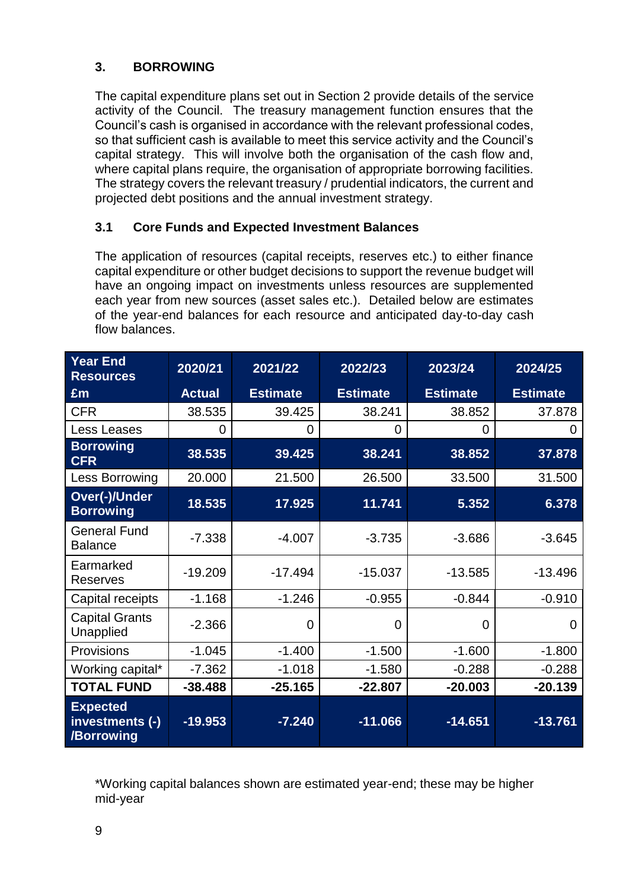# **3. BORROWING**

The capital expenditure plans set out in Section 2 provide details of the service activity of the Council. The treasury management function ensures that the Council's cash is organised in accordance with the relevant professional codes, so that sufficient cash is available to meet this service activity and the Council's capital strategy. This will involve both the organisation of the cash flow and, where capital plans require, the organisation of appropriate borrowing facilities. The strategy covers the relevant treasury / prudential indicators, the current and projected debt positions and the annual investment strategy.

# **3.1 Core Funds and Expected Investment Balances**

The application of resources (capital receipts, reserves etc.) to either finance capital expenditure or other budget decisions to support the revenue budget will have an ongoing impact on investments unless resources are supplemented each year from new sources (asset sales etc.). Detailed below are estimates of the year-end balances for each resource and anticipated day-to-day cash flow balances.

| <b>Year End</b><br><b>Resources</b>              | 2020/21       | 2021/22         | 2022/23         | 2023/24         | 2024/25         |
|--------------------------------------------------|---------------|-----------------|-----------------|-----------------|-----------------|
| Em                                               | <b>Actual</b> | <b>Estimate</b> | <b>Estimate</b> | <b>Estimate</b> | <b>Estimate</b> |
| <b>CFR</b>                                       | 38.535        | 39.425          | 38.241          | 38.852          | 37.878          |
| <b>Less Leases</b>                               | 0             | 0               | 0               | $\overline{0}$  | 0               |
| <b>Borrowing</b><br><b>CFR</b>                   | 38.535        | 39.425          | 38.241          | 38.852          | 37.878          |
| Less Borrowing                                   | 20.000        | 21.500          | 26.500          | 33.500          | 31.500          |
| <b>Over(-)/Under</b><br><b>Borrowing</b>         | 18.535        | 17.925          | 11.741          | 5.352           | 6.378           |
| <b>General Fund</b><br><b>Balance</b>            | $-7.338$      | $-4.007$        | $-3.735$        | $-3.686$        | $-3.645$        |
| Earmarked<br><b>Reserves</b>                     | $-19.209$     | $-17.494$       | $-15.037$       | $-13.585$       | $-13.496$       |
| Capital receipts                                 | $-1.168$      | $-1.246$        | $-0.955$        | $-0.844$        | $-0.910$        |
| <b>Capital Grants</b><br>Unapplied               | $-2.366$      | $\Omega$        | 0               | $\overline{0}$  | 0               |
| Provisions                                       | $-1.045$      | $-1.400$        | $-1.500$        | $-1.600$        | $-1.800$        |
| Working capital*                                 | $-7.362$      | $-1.018$        | $-1.580$        | $-0.288$        | $-0.288$        |
| <b>TOTAL FUND</b>                                | $-38.488$     | $-25.165$       | $-22.807$       | $-20.003$       | $-20.139$       |
| <b>Expected</b><br>investments (-)<br>/Borrowing | $-19.953$     | $-7.240$        | $-11.066$       | $-14.651$       | $-13.761$       |

\*Working capital balances shown are estimated year-end; these may be higher mid-year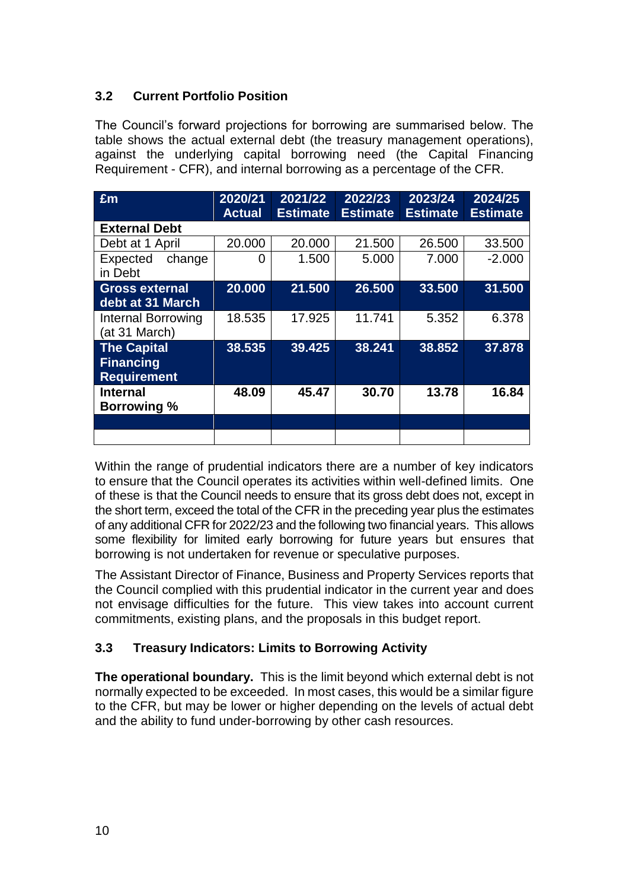# **3.2 Current Portfolio Position**

The Council's forward projections for borrowing are summarised below. The table shows the actual external debt (the treasury management operations), against the underlying capital borrowing need (the Capital Financing Requirement - CFR), and internal borrowing as a percentage of the CFR.

| Em                                                           | 2020/21<br><b>Actual</b> | 2021/22<br><b>Estimate</b> | 2022/23<br><b>Estimate</b> | 2023/24<br><b>Estimate</b> | 2024/25<br><b>Estimate</b> |
|--------------------------------------------------------------|--------------------------|----------------------------|----------------------------|----------------------------|----------------------------|
| <b>External Debt</b>                                         |                          |                            |                            |                            |                            |
| Debt at 1 April                                              | 20.000                   | 20.000                     | 21.500                     | 26.500                     | 33.500                     |
| Expected<br>change<br>in Debt                                | 0                        | 1.500                      | 5.000                      | 7.000                      | $-2.000$                   |
| <b>Gross external</b><br>debt at 31 March                    | 20.000                   | 21.500                     | 26.500                     | 33.500                     | 31.500                     |
| <b>Internal Borrowing</b><br>(at 31 March)                   | 18.535                   | 17.925                     | 11.741                     | 5.352                      | 6.378                      |
| <b>The Capital</b><br><b>Financing</b><br><b>Requirement</b> | 38.535                   | 39.425                     | 38.241                     | 38.852                     | 37.878                     |
| <b>Internal</b><br><b>Borrowing</b> %                        | 48.09                    | 45.47                      | 30.70                      | 13.78                      | 16.84                      |
|                                                              |                          |                            |                            |                            |                            |
|                                                              |                          |                            |                            |                            |                            |

Within the range of prudential indicators there are a number of key indicators to ensure that the Council operates its activities within well-defined limits. One of these is that the Council needs to ensure that its gross debt does not, except in the short term, exceed the total of the CFR in the preceding year plus the estimates of any additional CFR for 2022/23 and the following two financial years. This allows some flexibility for limited early borrowing for future years but ensures that borrowing is not undertaken for revenue or speculative purposes.

The Assistant Director of Finance, Business and Property Services reports that the Council complied with this prudential indicator in the current year and does not envisage difficulties for the future. This view takes into account current commitments, existing plans, and the proposals in this budget report.

# **3.3 Treasury Indicators: Limits to Borrowing Activity**

**The operational boundary.** This is the limit beyond which external debt is not normally expected to be exceeded. In most cases, this would be a similar figure to the CFR, but may be lower or higher depending on the levels of actual debt and the ability to fund under-borrowing by other cash resources.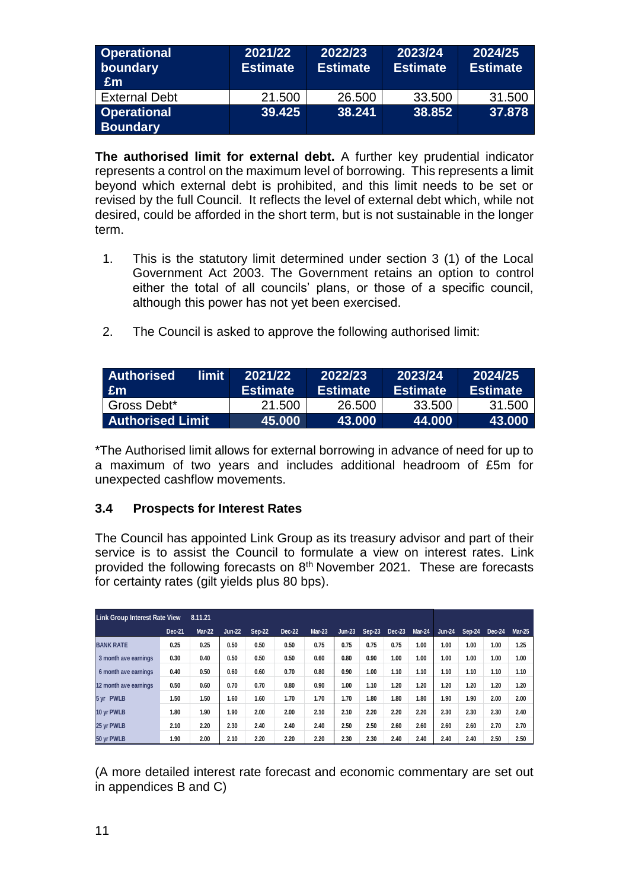| <b>Operational</b><br>boundary<br>∣£m | 2021/22<br><b>Estimate</b> | 2022/23<br><b>Estimate</b> | 2023/24<br><b>Estimate</b> | 2024/25<br><b>Estimate</b> |
|---------------------------------------|----------------------------|----------------------------|----------------------------|----------------------------|
| <b>External Debt</b>                  | 21.500                     | 26.500                     | 33.500                     | 31.500                     |
| <b>Operational</b><br><b>Boundary</b> | 39.425                     | 38.241                     | 38.852                     | 37.878                     |

**The authorised limit for external debt.** A further key prudential indicator represents a control on the maximum level of borrowing. This represents a limit beyond which external debt is prohibited, and this limit needs to be set or revised by the full Council. It reflects the level of external debt which, while not desired, could be afforded in the short term, but is not sustainable in the longer term.

- 1. This is the statutory limit determined under section 3 (1) of the Local Government Act 2003. The Government retains an option to control either the total of all councils' plans, or those of a specific council, although this power has not yet been exercised.
- 2. The Council is asked to approve the following authorised limit:

| limit<br><b>Authorised</b><br><b>Em</b> | 2021/22<br><b>Estimate</b> | 2022/23<br><b>Estimate</b> | 2023/24<br><b>Estimate</b> | 2024/25<br><b>Estimate</b> |
|-----------------------------------------|----------------------------|----------------------------|----------------------------|----------------------------|
| Gross Debt*                             | 21.500                     | 26,500                     | 33,500                     | 31,500                     |
| <b>Authorised Limit</b>                 | 45.000                     | 43.000                     | 44.000                     | 43.000                     |

\*The Authorised limit allows for external borrowing in advance of need for up to a maximum of two years and includes additional headroom of £5m for unexpected cashflow movements.

# **3.4 Prospects for Interest Rates**

The Council has appointed Link Group as its treasury advisor and part of their service is to assist the Council to formulate a view on interest rates. Link provided the following forecasts on 8<sup>th</sup> November 2021. These are forecasts for certainty rates (gilt yields plus 80 bps).

|                       | <b>Link Group Interest Rate View</b><br>8.11.21 |               |               |               |        |               |               |        |        |               |               |        |               |               |
|-----------------------|-------------------------------------------------|---------------|---------------|---------------|--------|---------------|---------------|--------|--------|---------------|---------------|--------|---------------|---------------|
|                       | Dec-21                                          | <b>Mar-22</b> | <b>Jun-22</b> | <b>Sep-22</b> | Dec-22 | <b>Mar-23</b> | <b>Jun-23</b> | Sep-23 | Dec-23 | <b>Mar-24</b> | <b>Jun-24</b> | Sep-24 | <b>Dec-24</b> | <b>Mar-25</b> |
| <b>BANK RATE</b>      | 0.25                                            | 0.25          | 0.50          | 0.50          | 0.50   | 0.75          | 0.75          | 0.75   | 0.75   | 1.00          | 1.00          | 1.00   | 1.00          | 1.25          |
| 3 month ave earnings  | 0.30                                            | 0.40          | 0.50          | 0.50          | 0.50   | 0.60          | 0.80          | 0.90   | 1.00   | 1.00          | 1.00          | 1.00   | 1.00          | 1.00          |
| 6 month ave earnings  | 0.40                                            | 0.50          | 0.60          | 0.60          | 0.70   | 0.80          | 0.90          | 1.00   | 1.10   | 1.10          | 1.10          | 1.10   | 1.10          | 1.10          |
| 12 month ave earnings | 0.50                                            | 0.60          | 0.70          | 0.70          | 0.80   | 0.90          | 1.00          | 1.10   | 1.20   | 1.20          | 1.20          | 1.20   | 1.20          | 1.20          |
| 5 yr PWLB             | 1.50                                            | 1.50          | 1.60          | 1.60          | 1.70   | 1.70          | 1.70          | 1.80   | 1.80   | 1.80          | 1.90          | 1.90   | 2.00          | 2.00          |
| 10 yr PWLB            | 1.80                                            | 1.90          | 1.90          | 2.00          | 2.00   | 2.10          | 2.10          | 2.20   | 2.20   | 2.20          | 2.30          | 2.30   | 2.30          | 2.40          |
| 25 yr PWLB            | 2.10                                            | 2.20          | 2.30          | 2.40          | 2.40   | 2.40          | 2.50          | 2.50   | 2.60   | 2.60          | 2.60          | 2.60   | 2.70          | 2.70          |
| 50 yr PWLB            | 1.90                                            | 2.00          | 2.10          | 2.20          | 2.20   | 2.20          | 2.30          | 2.30   | 2.40   | 2.40          | 2.40          | 2.40   | 2.50          | 2.50          |

(A more detailed interest rate forecast and economic commentary are set out in appendices B and C)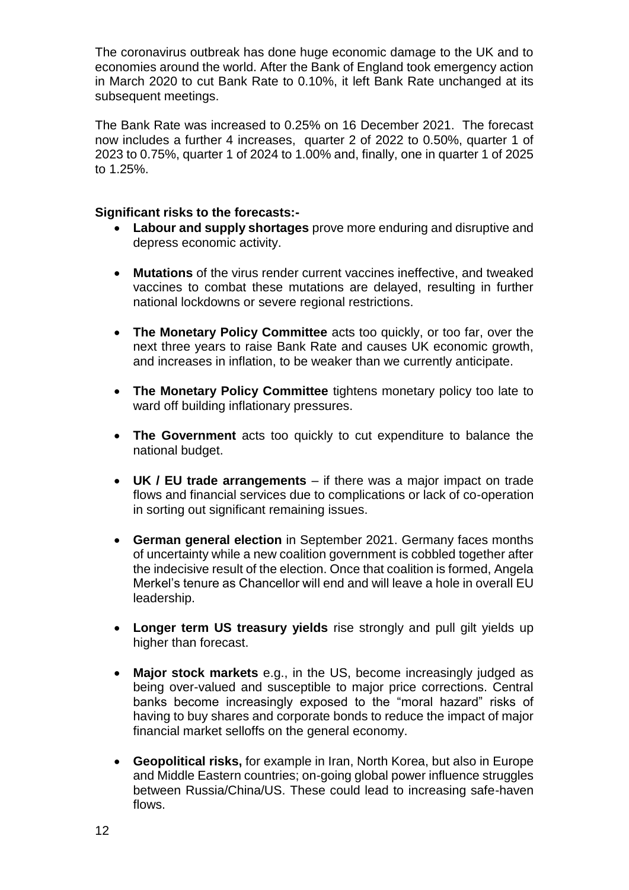The coronavirus outbreak has done huge economic damage to the UK and to economies around the world. After the Bank of England took emergency action in March 2020 to cut Bank Rate to 0.10%, it left Bank Rate unchanged at its subsequent meetings.

The Bank Rate was increased to 0.25% on 16 December 2021. The forecast now includes a further 4 increases, quarter 2 of 2022 to 0.50%, quarter 1 of 2023 to 0.75%, quarter 1 of 2024 to 1.00% and, finally, one in quarter 1 of 2025 to 1.25%.

#### **Significant risks to the forecasts:-**

- **Labour and supply shortages** prove more enduring and disruptive and depress economic activity.
- **Mutations** of the virus render current vaccines ineffective, and tweaked vaccines to combat these mutations are delayed, resulting in further national lockdowns or severe regional restrictions.
- **The Monetary Policy Committee** acts too quickly, or too far, over the next three years to raise Bank Rate and causes UK economic growth, and increases in inflation, to be weaker than we currently anticipate.
- **The Monetary Policy Committee** tightens monetary policy too late to ward off building inflationary pressures.
- **The Government** acts too quickly to cut expenditure to balance the national budget.
- **UK / EU trade arrangements**  if there was a major impact on trade flows and financial services due to complications or lack of co-operation in sorting out significant remaining issues.
- **German general election** in September 2021. Germany faces months of uncertainty while a new coalition government is cobbled together after the indecisive result of the election. Once that coalition is formed, Angela Merkel's tenure as Chancellor will end and will leave a hole in overall EU leadership.
- **Longer term US treasury yields** rise strongly and pull gilt yields up higher than forecast.
- **Major stock markets** e.g., in the US, become increasingly judged as being over-valued and susceptible to major price corrections. Central banks become increasingly exposed to the "moral hazard" risks of having to buy shares and corporate bonds to reduce the impact of major financial market selloffs on the general economy.
- **Geopolitical risks,** for example in Iran, North Korea, but also in Europe and Middle Eastern countries; on-going global power influence struggles between Russia/China/US. These could lead to increasing safe-haven flows.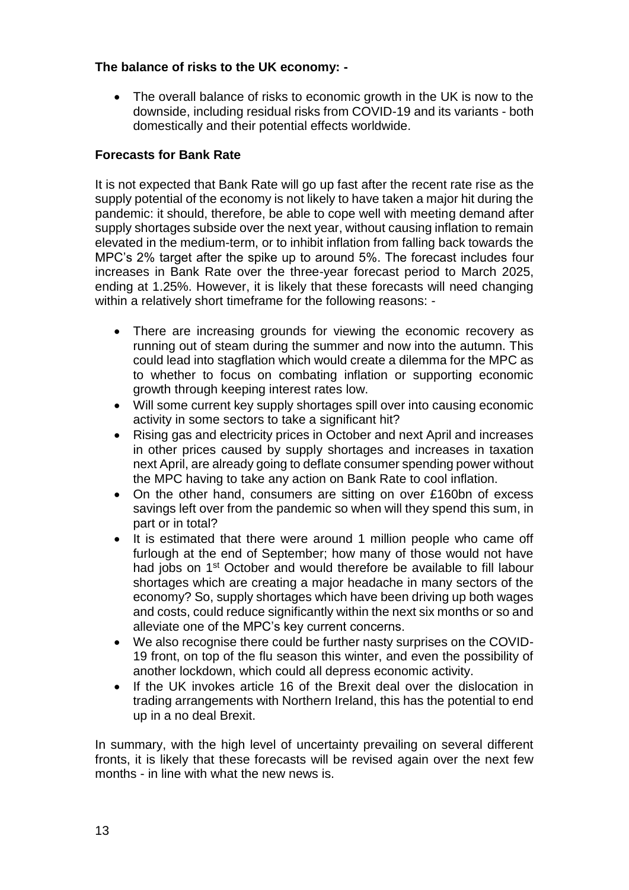# **The balance of risks to the UK economy: -**

• The overall balance of risks to economic growth in the UK is now to the downside, including residual risks from COVID-19 and its variants - both domestically and their potential effects worldwide.

# **Forecasts for Bank Rate**

It is not expected that Bank Rate will go up fast after the recent rate rise as the supply potential of the economy is not likely to have taken a major hit during the pandemic: it should, therefore, be able to cope well with meeting demand after supply shortages subside over the next year, without causing inflation to remain elevated in the medium-term, or to inhibit inflation from falling back towards the MPC's 2% target after the spike up to around 5%. The forecast includes four increases in Bank Rate over the three-year forecast period to March 2025, ending at 1.25%. However, it is likely that these forecasts will need changing within a relatively short timeframe for the following reasons: -

- There are increasing grounds for viewing the economic recovery as running out of steam during the summer and now into the autumn. This could lead into stagflation which would create a dilemma for the MPC as to whether to focus on combating inflation or supporting economic growth through keeping interest rates low.
- Will some current key supply shortages spill over into causing economic activity in some sectors to take a significant hit?
- Rising gas and electricity prices in October and next April and increases in other prices caused by supply shortages and increases in taxation next April, are already going to deflate consumer spending power without the MPC having to take any action on Bank Rate to cool inflation.
- On the other hand, consumers are sitting on over £160bn of excess savings left over from the pandemic so when will they spend this sum, in part or in total?
- It is estimated that there were around 1 million people who came off furlough at the end of September; how many of those would not have had jobs on 1<sup>st</sup> October and would therefore be available to fill labour shortages which are creating a major headache in many sectors of the economy? So, supply shortages which have been driving up both wages and costs, could reduce significantly within the next six months or so and alleviate one of the MPC's key current concerns.
- We also recognise there could be further nasty surprises on the COVID-19 front, on top of the flu season this winter, and even the possibility of another lockdown, which could all depress economic activity.
- If the UK invokes article 16 of the Brexit deal over the dislocation in trading arrangements with Northern Ireland, this has the potential to end up in a no deal Brexit.

In summary, with the high level of uncertainty prevailing on several different fronts, it is likely that these forecasts will be revised again over the next few months - in line with what the new news is.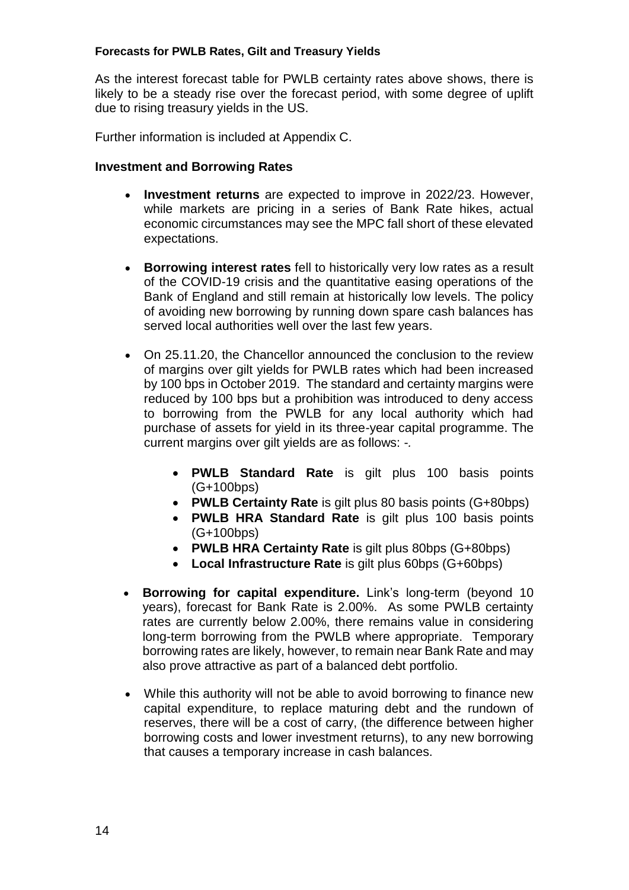#### **Forecasts for PWLB Rates, Gilt and Treasury Yields**

As the interest forecast table for PWLB certainty rates above shows, there is likely to be a steady rise over the forecast period, with some degree of uplift due to rising treasury yields in the US.

Further information is included at Appendix C.

#### **Investment and Borrowing Rates**

- **Investment returns** are expected to improve in 2022/23. However, while markets are pricing in a series of Bank Rate hikes, actual economic circumstances may see the MPC fall short of these elevated expectations.
- **Borrowing interest rates** fell to historically very low rates as a result of the COVID-19 crisis and the quantitative easing operations of the Bank of England and still remain at historically low levels. The policy of avoiding new borrowing by running down spare cash balances has served local authorities well over the last few years.
- On 25.11.20, the Chancellor announced the conclusion to the review of margins over gilt yields for PWLB rates which had been increased by 100 bps in October 2019. The standard and certainty margins were reduced by 100 bps but a prohibition was introduced to deny access to borrowing from the PWLB for any local authority which had purchase of assets for yield in its three-year capital programme. The current margins over gilt yields are as follows: -*.*
	- **PWLB Standard Rate** is gilt plus 100 basis points (G+100bps)
	- **PWLB Certainty Rate** is gilt plus 80 basis points (G+80bps)
	- **PWLB HRA Standard Rate** is gilt plus 100 basis points (G+100bps)
	- **PWLB HRA Certainty Rate** is gilt plus 80bps (G+80bps)
	- **Local Infrastructure Rate** is gilt plus 60bps (G+60bps)
- **Borrowing for capital expenditure.** Link's long-term (beyond 10 years), forecast for Bank Rate is 2.00%. As some PWLB certainty rates are currently below 2.00%, there remains value in considering long-term borrowing from the PWLB where appropriate. Temporary borrowing rates are likely, however, to remain near Bank Rate and may also prove attractive as part of a balanced debt portfolio.
- While this authority will not be able to avoid borrowing to finance new capital expenditure, to replace maturing debt and the rundown of reserves, there will be a cost of carry, (the difference between higher borrowing costs and lower investment returns), to any new borrowing that causes a temporary increase in cash balances.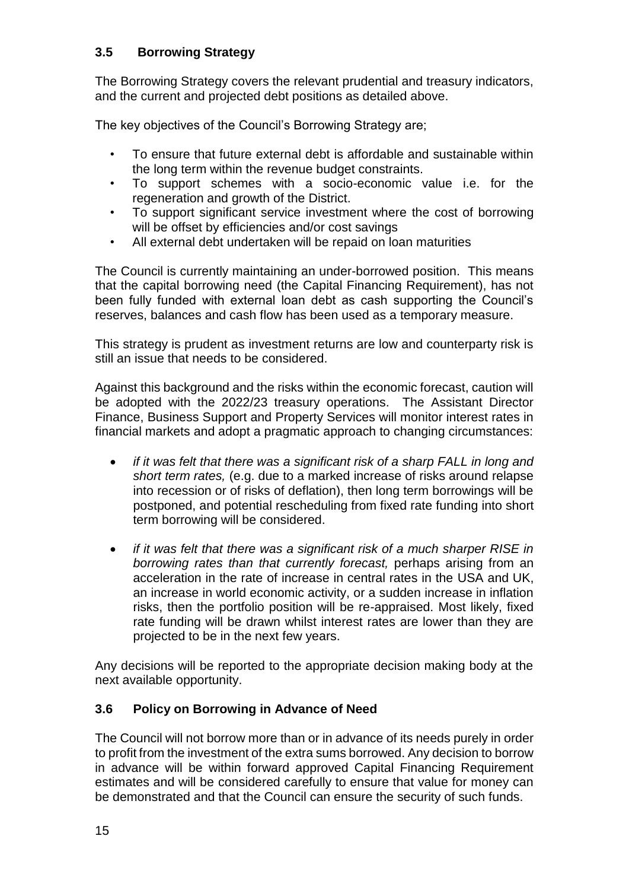# **3.5 Borrowing Strategy**

The Borrowing Strategy covers the relevant prudential and treasury indicators, and the current and projected debt positions as detailed above.

The key objectives of the Council's Borrowing Strategy are;

- To ensure that future external debt is affordable and sustainable within the long term within the revenue budget constraints.
- To support schemes with a socio-economic value i.e. for the regeneration and growth of the District.
- To support significant service investment where the cost of borrowing will be offset by efficiencies and/or cost savings
- All external debt undertaken will be repaid on loan maturities

The Council is currently maintaining an under-borrowed position. This means that the capital borrowing need (the Capital Financing Requirement), has not been fully funded with external loan debt as cash supporting the Council's reserves, balances and cash flow has been used as a temporary measure.

This strategy is prudent as investment returns are low and counterparty risk is still an issue that needs to be considered.

Against this background and the risks within the economic forecast, caution will be adopted with the 2022/23 treasury operations. The Assistant Director Finance, Business Support and Property Services will monitor interest rates in financial markets and adopt a pragmatic approach to changing circumstances:

- *if it was felt that there was a significant risk of a sharp FALL in long and short term rates,* (e.g. due to a marked increase of risks around relapse into recession or of risks of deflation), then long term borrowings will be postponed, and potential rescheduling from fixed rate funding into short term borrowing will be considered.
- *if it was felt that there was a significant risk of a much sharper RISE in borrowing rates than that currently forecast,* perhaps arising from an acceleration in the rate of increase in central rates in the USA and UK, an increase in world economic activity, or a sudden increase in inflation risks, then the portfolio position will be re-appraised. Most likely, fixed rate funding will be drawn whilst interest rates are lower than they are projected to be in the next few years.

Any decisions will be reported to the appropriate decision making body at the next available opportunity.

# **3.6 Policy on Borrowing in Advance of Need**

The Council will not borrow more than or in advance of its needs purely in order to profit from the investment of the extra sums borrowed. Any decision to borrow in advance will be within forward approved Capital Financing Requirement estimates and will be considered carefully to ensure that value for money can be demonstrated and that the Council can ensure the security of such funds.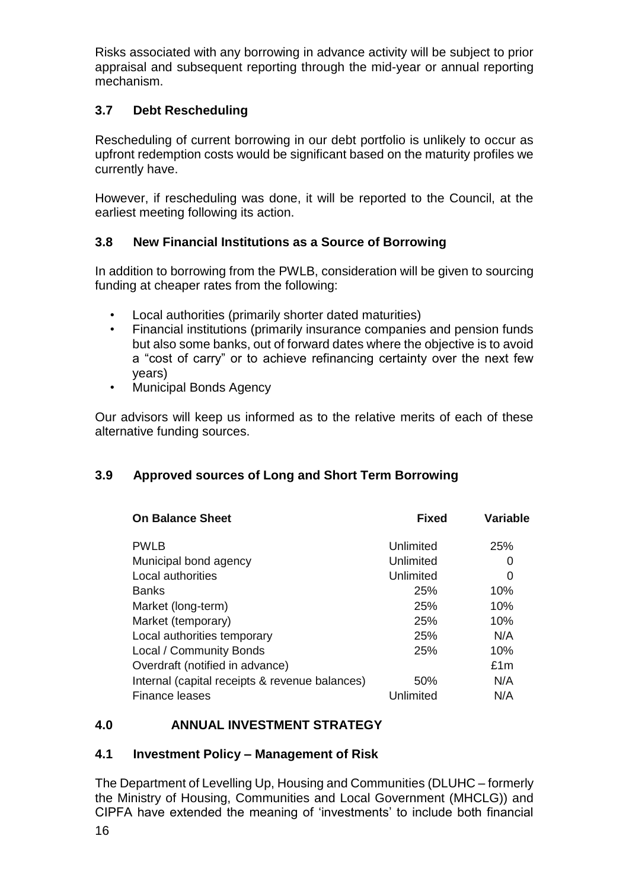Risks associated with any borrowing in advance activity will be subject to prior appraisal and subsequent reporting through the mid-year or annual reporting mechanism.

# **3.7 Debt Rescheduling**

Rescheduling of current borrowing in our debt portfolio is unlikely to occur as upfront redemption costs would be significant based on the maturity profiles we currently have.

However, if rescheduling was done, it will be reported to the Council, at the earliest meeting following its action.

# **3.8 New Financial Institutions as a Source of Borrowing**

In addition to borrowing from the PWLB, consideration will be given to sourcing funding at cheaper rates from the following:

- Local authorities (primarily shorter dated maturities)
- Financial institutions (primarily insurance companies and pension funds but also some banks, out of forward dates where the objective is to avoid a "cost of carry" or to achieve refinancing certainty over the next few years)
- Municipal Bonds Agency

Our advisors will keep us informed as to the relative merits of each of these alternative funding sources.

# **3.9 Approved sources of Long and Short Term Borrowing**

| <b>On Balance Sheet</b>                        | <b>Fixed</b> | Variable |
|------------------------------------------------|--------------|----------|
| <b>PWLB</b>                                    | Unlimited    | 25%      |
| Municipal bond agency                          | Unlimited    | 0        |
| Local authorities                              | Unlimited    | 0        |
| <b>Banks</b>                                   | 25%          | 10%      |
| Market (long-term)                             | 25%          | 10%      |
| Market (temporary)                             | 25%          | 10%      |
| Local authorities temporary                    | 25%          | N/A      |
| Local / Community Bonds                        | 25%          | 10%      |
| Overdraft (notified in advance)                |              | £1m      |
| Internal (capital receipts & revenue balances) | 50%          | N/A      |
| Finance leases                                 | Unlimited    | N/A      |

# **4.0 ANNUAL INVESTMENT STRATEGY**

# **4.1 Investment Policy – Management of Risk**

The Department of Levelling Up, Housing and Communities (DLUHC – formerly the Ministry of Housing, Communities and Local Government (MHCLG)) and CIPFA have extended the meaning of 'investments' to include both financial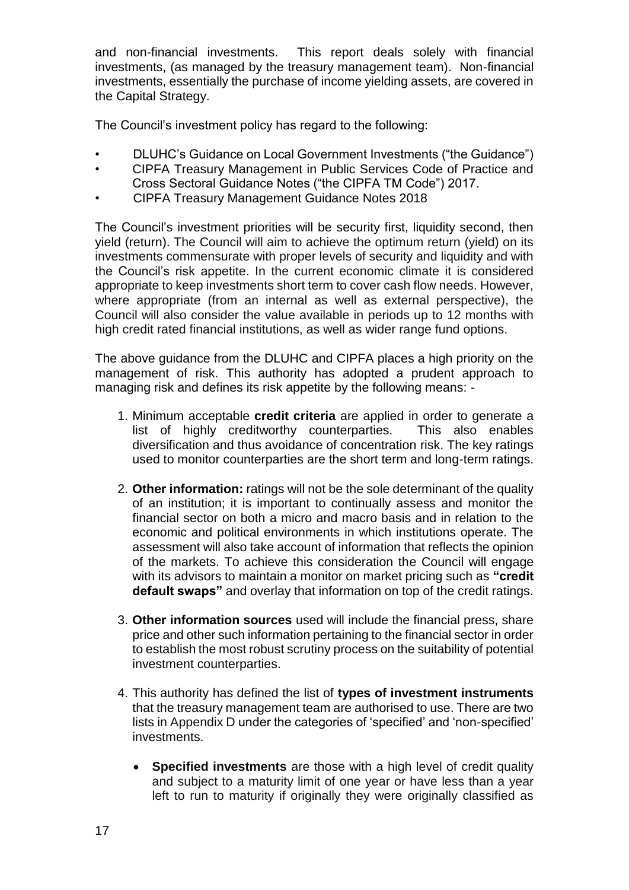and non-financial investments. This report deals solely with financial investments, (as managed by the treasury management team). Non-financial investments, essentially the purchase of income yielding assets, are covered in the Capital Strategy.

The Council's investment policy has regard to the following:

- DLUHC's Guidance on Local Government Investments ("the Guidance")
- CIPFA Treasury Management in Public Services Code of Practice and Cross Sectoral Guidance Notes ("the CIPFA TM Code") 2017.
- 
- CIPFA Treasury Management Guidance Notes 2018

The Council's investment priorities will be security first, liquidity second, then yield (return). The Council will aim to achieve the optimum return (yield) on its investments commensurate with proper levels of security and liquidity and with the Council's risk appetite. In the current economic climate it is considered appropriate to keep investments short term to cover cash flow needs. However, where appropriate (from an internal as well as external perspective), the Council will also consider the value available in periods up to 12 months with high credit rated financial institutions, as well as wider range fund options.

The above guidance from the DLUHC and CIPFA places a high priority on the management of risk. This authority has adopted a prudent approach to managing risk and defines its risk appetite by the following means: -

- 1. Minimum acceptable **credit criteria** are applied in order to generate a list of highly creditworthy counterparties. This also enables diversification and thus avoidance of concentration risk. The key ratings used to monitor counterparties are the short term and long-term ratings.
- 2. **Other information:** ratings will not be the sole determinant of the quality of an institution; it is important to continually assess and monitor the financial sector on both a micro and macro basis and in relation to the economic and political environments in which institutions operate. The assessment will also take account of information that reflects the opinion of the markets. To achieve this consideration the Council will engage with its advisors to maintain a monitor on market pricing such as **"credit default swaps"** and overlay that information on top of the credit ratings.
- 3. **Other information sources** used will include the financial press, share price and other such information pertaining to the financial sector in order to establish the most robust scrutiny process on the suitability of potential investment counterparties.
- 4. This authority has defined the list of **types of investment instruments** that the treasury management team are authorised to use. There are two lists in Appendix D under the categories of 'specified' and 'non-specified' investments.
	- **Specified investments** are those with a high level of credit quality and subject to a maturity limit of one year or have less than a year left to run to maturity if originally they were originally classified as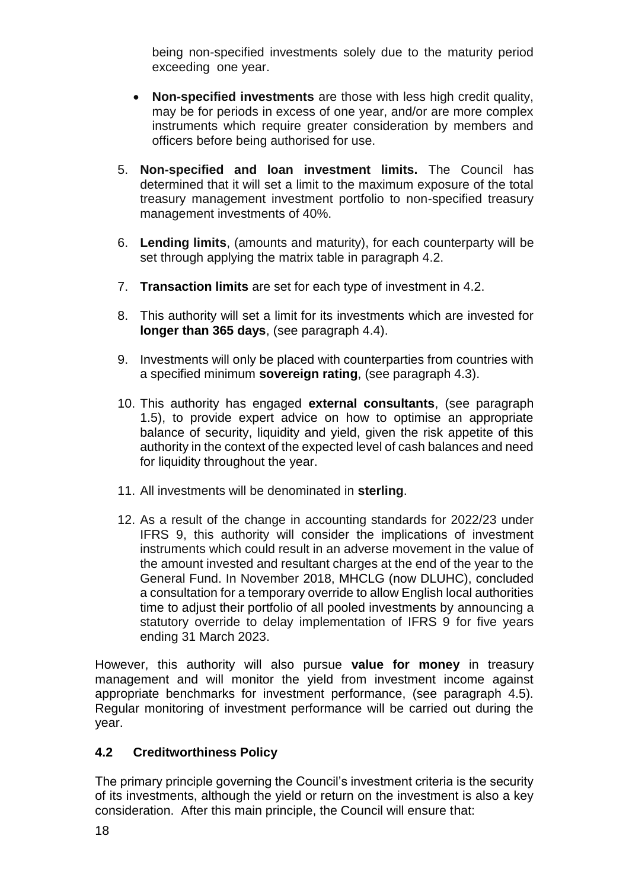being non-specified investments solely due to the maturity period exceeding one year.

- **Non-specified investments** are those with less high credit quality, may be for periods in excess of one year, and/or are more complex instruments which require greater consideration by members and officers before being authorised for use.
- 5. **Non-specified and loan investment limits.** The Council has determined that it will set a limit to the maximum exposure of the total treasury management investment portfolio to non-specified treasury management investments of 40%.
- 6. **Lending limits**, (amounts and maturity), for each counterparty will be set through applying the matrix table in paragraph 4.2.
- 7. **Transaction limits** are set for each type of investment in 4.2.
- 8. This authority will set a limit for its investments which are invested for **longer than 365 days**, (see paragraph 4.4).
- 9. Investments will only be placed with counterparties from countries with a specified minimum **sovereign rating**, (see paragraph 4.3).
- 10. This authority has engaged **external consultants**, (see paragraph 1.5), to provide expert advice on how to optimise an appropriate balance of security, liquidity and yield, given the risk appetite of this authority in the context of the expected level of cash balances and need for liquidity throughout the year.
- 11. All investments will be denominated in **sterling**.
- 12. As a result of the change in accounting standards for 2022/23 under IFRS 9, this authority will consider the implications of investment instruments which could result in an adverse movement in the value of the amount invested and resultant charges at the end of the year to the General Fund. In November 2018, MHCLG (now DLUHC), concluded a consultation for a temporary override to allow English local authorities time to adjust their portfolio of all pooled investments by announcing a statutory override to delay implementation of IFRS 9 for five years ending 31 March 2023.

However, this authority will also pursue **value for money** in treasury management and will monitor the yield from investment income against appropriate benchmarks for investment performance, (see paragraph 4.5). Regular monitoring of investment performance will be carried out during the year.

# **4.2 Creditworthiness Policy**

The primary principle governing the Council's investment criteria is the security of its investments, although the yield or return on the investment is also a key consideration. After this main principle, the Council will ensure that: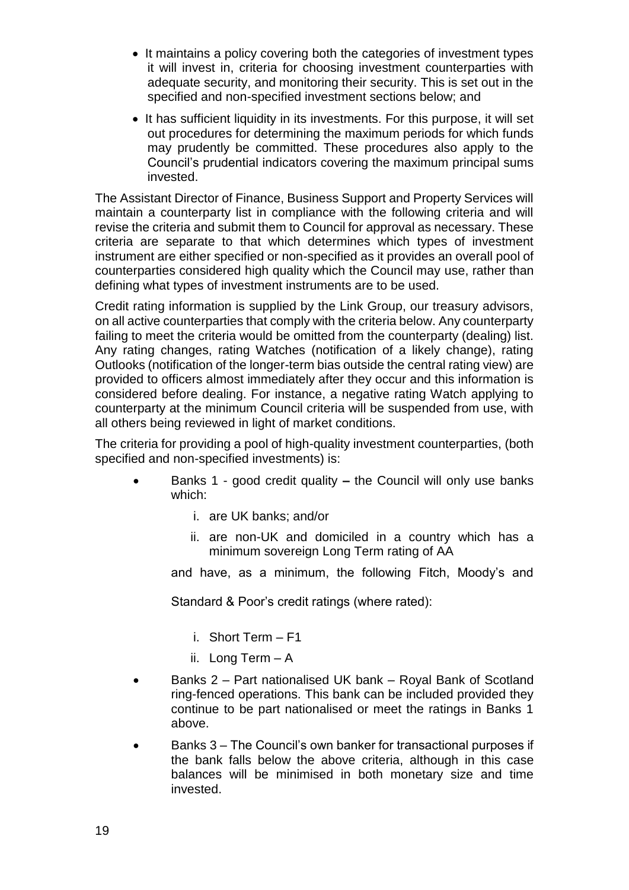- It maintains a policy covering both the categories of investment types it will invest in, criteria for choosing investment counterparties with adequate security, and monitoring their security. This is set out in the specified and non-specified investment sections below; and
- It has sufficient liquidity in its investments. For this purpose, it will set out procedures for determining the maximum periods for which funds may prudently be committed. These procedures also apply to the Council's prudential indicators covering the maximum principal sums invested.

The Assistant Director of Finance, Business Support and Property Services will maintain a counterparty list in compliance with the following criteria and will revise the criteria and submit them to Council for approval as necessary. These criteria are separate to that which determines which types of investment instrument are either specified or non-specified as it provides an overall pool of counterparties considered high quality which the Council may use, rather than defining what types of investment instruments are to be used.

Credit rating information is supplied by the Link Group, our treasury advisors, on all active counterparties that comply with the criteria below. Any counterparty failing to meet the criteria would be omitted from the counterparty (dealing) list. Any rating changes, rating Watches (notification of a likely change), rating Outlooks (notification of the longer-term bias outside the central rating view) are provided to officers almost immediately after they occur and this information is considered before dealing. For instance, a negative rating Watch applying to counterparty at the minimum Council criteria will be suspended from use, with all others being reviewed in light of market conditions.

The criteria for providing a pool of high-quality investment counterparties, (both specified and non-specified investments) is:

- Banks 1 good credit quality **–** the Council will only use banks which:
	- i. are UK banks; and/or
	- ii. are non-UK and domiciled in a country which has a minimum sovereign Long Term rating of AA

and have, as a minimum, the following Fitch, Moody's and

Standard & Poor's credit ratings (where rated):

- i. Short Term F1
- ii. Long Term A
- Banks 2 Part nationalised UK bank Royal Bank of Scotland ring-fenced operations. This bank can be included provided they continue to be part nationalised or meet the ratings in Banks 1 above.
- Banks 3 The Council's own banker for transactional purposes if the bank falls below the above criteria, although in this case balances will be minimised in both monetary size and time invested.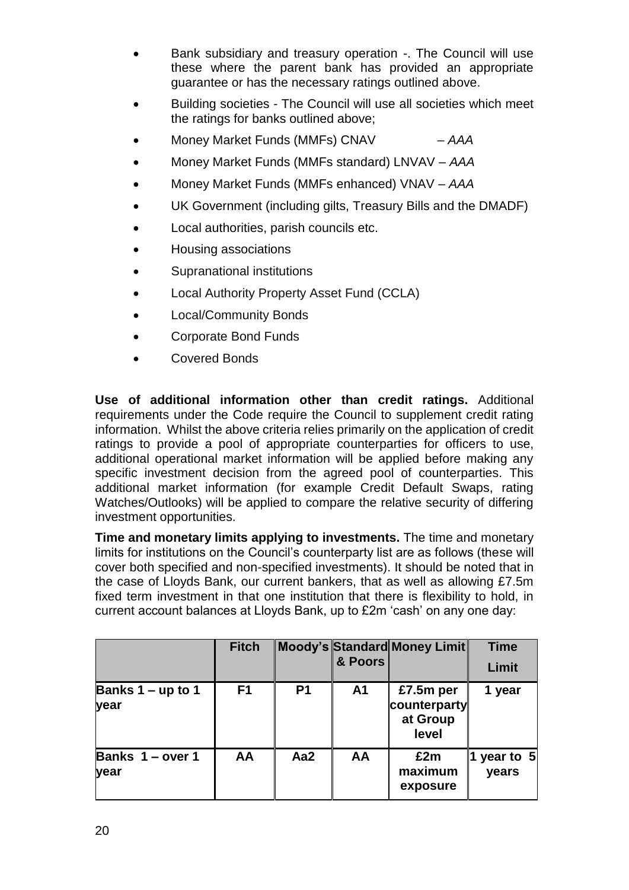- Bank subsidiary and treasury operation -. The Council will use these where the parent bank has provided an appropriate guarantee or has the necessary ratings outlined above.
- Building societies The Council will use all societies which meet the ratings for banks outlined above;
- Money Market Funds (MMFs) CNAV *AAA*
- Money Market Funds (MMFs standard) LNVAV *AAA*
- Money Market Funds (MMFs enhanced) VNAV *AAA*
- UK Government (including gilts, Treasury Bills and the DMADF)
- Local authorities, parish councils etc.
- Housing associations
- Supranational institutions
- Local Authority Property Asset Fund (CCLA)
- Local/Community Bonds
- Corporate Bond Funds
- Covered Bonds

**Use of additional information other than credit ratings.** Additional requirements under the Code require the Council to supplement credit rating information. Whilst the above criteria relies primarily on the application of credit ratings to provide a pool of appropriate counterparties for officers to use, additional operational market information will be applied before making any specific investment decision from the agreed pool of counterparties. This additional market information (for example Credit Default Swaps, rating Watches/Outlooks) will be applied to compare the relative security of differing investment opportunities.

**Time and monetary limits applying to investments.** The time and monetary limits for institutions on the Council's counterparty list are as follows (these will cover both specified and non-specified investments). It should be noted that in the case of Lloyds Bank, our current bankers, that as well as allowing £7.5m fixed term investment in that one institution that there is flexibility to hold, in current account balances at Lloyds Bank, up to £2m 'cash' on any one day:

|                             | <b>Fitch</b>   |                | & Poors        | Moody's Standard Money Limit                   | <b>Time</b><br>Limit   |
|-----------------------------|----------------|----------------|----------------|------------------------------------------------|------------------------|
| Banks $1 - up to 1$<br>year | F <sub>1</sub> | P <sub>1</sub> | A <sub>1</sub> | £7.5m per<br>counterparty<br>at Group<br>level | 1 year                 |
| Banks 1 - over 1<br>year    | AA             | Aa2            | AA             | £2m<br>maximum<br>exposure                     | 1 year to $5$<br>years |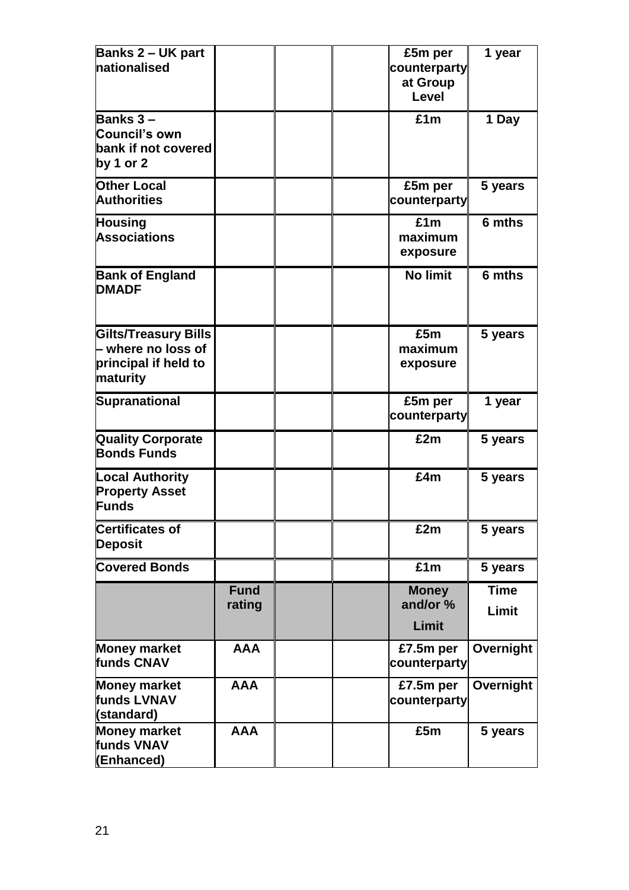| <b>Banks 2 - UK part</b>    |             |  | £5m per         | 1 year      |
|-----------------------------|-------------|--|-----------------|-------------|
| nationalised                |             |  | counterparty    |             |
|                             |             |  | at Group        |             |
|                             |             |  | Level           |             |
| <b>Banks 3 –</b>            |             |  | £1m             | 1 Day       |
| Council's own               |             |  |                 |             |
| bank if not covered         |             |  |                 |             |
| by 1 or 2                   |             |  |                 |             |
| <b>Other Local</b>          |             |  | £5m per         | 5 years     |
| <b>Authorities</b>          |             |  | counterparty    |             |
| <b>Housing</b>              |             |  | £1m             | 6 mths      |
| <b>Associations</b>         |             |  | maximum         |             |
|                             |             |  | exposure        |             |
| <b>Bank of England</b>      |             |  | <b>No limit</b> | 6 mths      |
| <b>DMADF</b>                |             |  |                 |             |
|                             |             |  |                 |             |
| <b>Gilts/Treasury Bills</b> |             |  | £5m             | 5 years     |
| $\vdash$ where no loss of   |             |  | maximum         |             |
| principal if held to        |             |  | exposure        |             |
| maturity                    |             |  |                 |             |
| Supranational               |             |  | £5m per         | 1 year      |
|                             |             |  | counterparty    |             |
| <b>Quality Corporate</b>    |             |  | £2m             | 5 years     |
| <b>Bonds Funds</b>          |             |  |                 |             |
| <b>Local Authority</b>      |             |  | £4m             | 5 years     |
| <b>Property Asset</b>       |             |  |                 |             |
| <b>Funds</b>                |             |  |                 |             |
| Certificates of             |             |  | £2m             | 5 years     |
| <b>Deposit</b>              |             |  |                 |             |
| <b>Covered Bonds</b>        |             |  | £1m             | 5 years     |
|                             | <b>Fund</b> |  | <b>Money</b>    | <b>Time</b> |
|                             | rating      |  | and/or %        | Limit       |
|                             |             |  | Limit           |             |
| <b>Money market</b>         | <b>AAA</b>  |  | £7.5m per       | Overnight   |
| funds CNAV                  |             |  | counterparty    |             |
| <b>Money market</b>         | <b>AAA</b>  |  | £7.5m per       | Overnight   |
| funds LVNAV                 |             |  | counterparty    |             |
| (standard)                  |             |  |                 |             |
| <b>Money market</b>         | <b>AAA</b>  |  | £5m             | 5 years     |
| funds VNAV                  |             |  |                 |             |
| (Enhanced)                  |             |  |                 |             |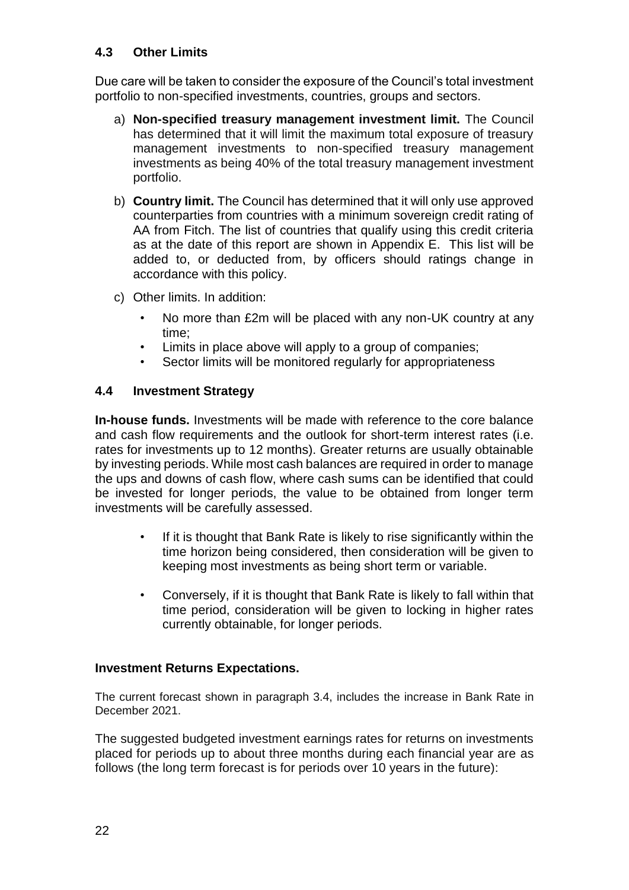# **4.3 Other Limits**

Due care will be taken to consider the exposure of the Council's total investment portfolio to non-specified investments, countries, groups and sectors.

- a) **Non-specified treasury management investment limit.** The Council has determined that it will limit the maximum total exposure of treasury management investments to non-specified treasury management investments as being 40% of the total treasury management investment portfolio.
- b) **Country limit.** The Council has determined that it will only use approved counterparties from countries with a minimum sovereign credit rating of AA from Fitch. The list of countries that qualify using this credit criteria as at the date of this report are shown in Appendix E. This list will be added to, or deducted from, by officers should ratings change in accordance with this policy.
- c) Other limits. In addition:
	- No more than £2m will be placed with any non-UK country at any time;
	- Limits in place above will apply to a group of companies;
	- Sector limits will be monitored regularly for appropriateness

# **4.4 Investment Strategy**

**In-house funds.** Investments will be made with reference to the core balance and cash flow requirements and the outlook for short-term interest rates (i.e. rates for investments up to 12 months). Greater returns are usually obtainable by investing periods. While most cash balances are required in order to manage the ups and downs of cash flow, where cash sums can be identified that could be invested for longer periods, the value to be obtained from longer term investments will be carefully assessed.

- If it is thought that Bank Rate is likely to rise significantly within the time horizon being considered, then consideration will be given to keeping most investments as being short term or variable.
- Conversely, if it is thought that Bank Rate is likely to fall within that time period, consideration will be given to locking in higher rates currently obtainable, for longer periods.

#### **Investment Returns Expectations.**

The current forecast shown in paragraph 3.4, includes the increase in Bank Rate in December 2021.

The suggested budgeted investment earnings rates for returns on investments placed for periods up to about three months during each financial year are as follows (the long term forecast is for periods over 10 years in the future):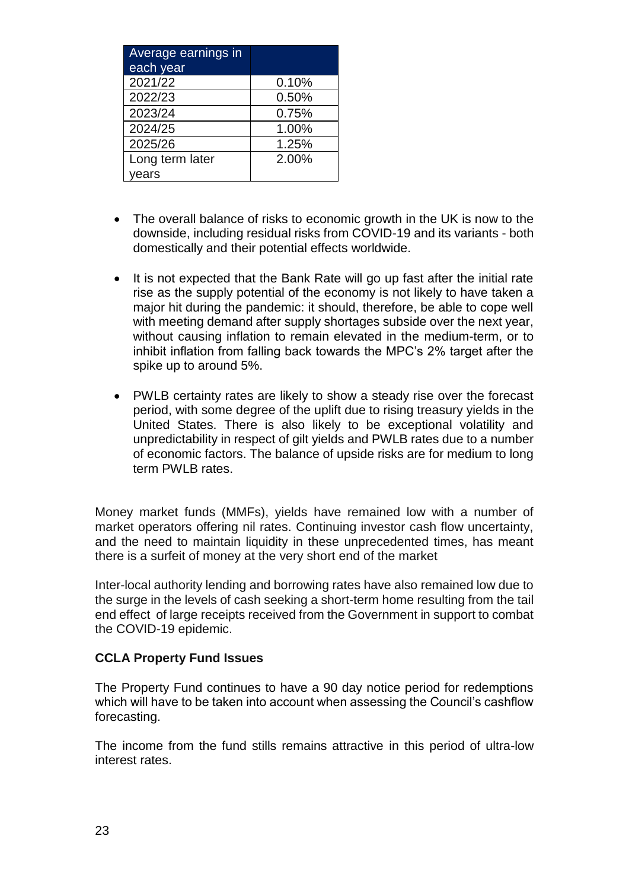| Average earnings in |       |
|---------------------|-------|
| each year           |       |
| 2021/22             | 0.10% |
| 2022/23             | 0.50% |
| 2023/24             | 0.75% |
| 2024/25             | 1.00% |
| 2025/26             | 1.25% |
| Long term later     | 2.00% |
| ears                |       |

- The overall balance of risks to economic growth in the UK is now to the downside, including residual risks from COVID-19 and its variants - both domestically and their potential effects worldwide.
- It is not expected that the Bank Rate will go up fast after the initial rate rise as the supply potential of the economy is not likely to have taken a major hit during the pandemic: it should, therefore, be able to cope well with meeting demand after supply shortages subside over the next year, without causing inflation to remain elevated in the medium-term, or to inhibit inflation from falling back towards the MPC's 2% target after the spike up to around 5%.
- PWLB certainty rates are likely to show a steady rise over the forecast period, with some degree of the uplift due to rising treasury yields in the United States. There is also likely to be exceptional volatility and unpredictability in respect of gilt yields and PWLB rates due to a number of economic factors. The balance of upside risks are for medium to long term PWLB rates.

Money market funds (MMFs), yields have remained low with a number of market operators offering nil rates. Continuing investor cash flow uncertainty, and the need to maintain liquidity in these unprecedented times, has meant there is a surfeit of money at the very short end of the market

Inter-local authority lending and borrowing rates have also remained low due to the surge in the levels of cash seeking a short-term home resulting from the tail end effect of large receipts received from the Government in support to combat the COVID-19 epidemic.

#### **CCLA Property Fund Issues**

The Property Fund continues to have a 90 day notice period for redemptions which will have to be taken into account when assessing the Council's cashflow forecasting.

The income from the fund stills remains attractive in this period of ultra-low interest rates.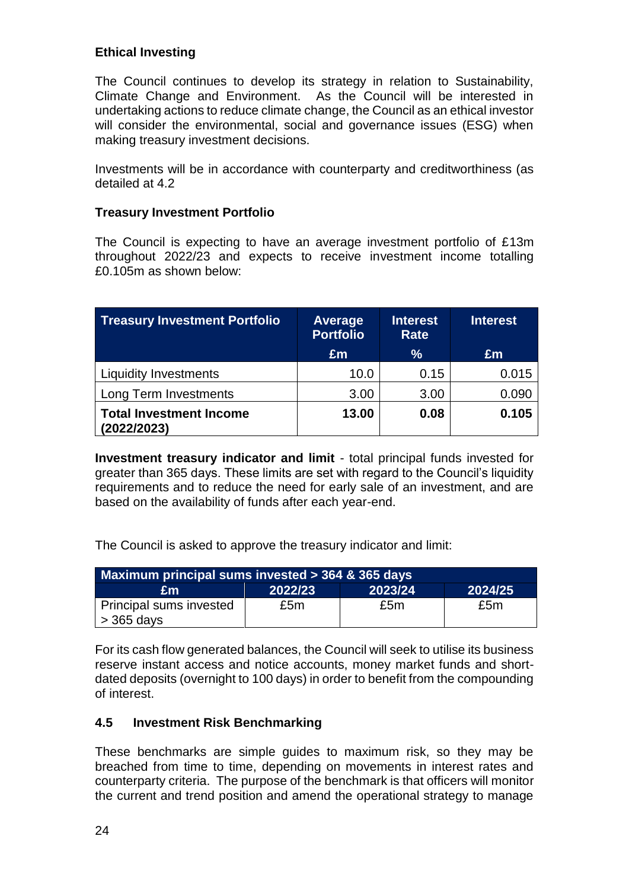# **Ethical Investing**

The Council continues to develop its strategy in relation to Sustainability, Climate Change and Environment. As the Council will be interested in undertaking actions to reduce climate change, the Council as an ethical investor will consider the environmental, social and governance issues (ESG) when making treasury investment decisions.

Investments will be in accordance with counterparty and creditworthiness (as detailed at 4.2

#### **Treasury Investment Portfolio**

The Council is expecting to have an average investment portfolio of £13m throughout 2022/23 and expects to receive investment income totalling £0.105m as shown below:

| <b>Treasury Investment Portfolio</b>          | <b>Average</b><br><b>Portfolio</b> | Interest<br>Rate | <b>Interest</b> |  |  |
|-----------------------------------------------|------------------------------------|------------------|-----------------|--|--|
|                                               | Em                                 | %                | Em              |  |  |
| <b>Liquidity Investments</b>                  | 10.0                               | 0.15             | 0.015           |  |  |
| Long Term Investments                         | 3.00                               | 3.00             | 0.090           |  |  |
| <b>Total Investment Income</b><br>(2022/2023) | 13.00                              | 0.08             | 0.105           |  |  |

**Investment treasury indicator and limit** - total principal funds invested for greater than 365 days. These limits are set with regard to the Council's liquidity requirements and to reduce the need for early sale of an investment, and are based on the availability of funds after each year-end.

The Council is asked to approve the treasury indicator and limit:

| Maximum principal sums invested > 364 & 365 days |         |         |         |  |  |  |  |  |
|--------------------------------------------------|---------|---------|---------|--|--|--|--|--|
| £m                                               | 2022/23 | 2023/24 | 2024/25 |  |  |  |  |  |
| Principal sums invested<br>$\vert$ > 365 days    | £5m     | £5m     | £5m     |  |  |  |  |  |

For its cash flow generated balances, the Council will seek to utilise its business reserve instant access and notice accounts, money market funds and shortdated deposits (overnight to 100 days) in order to benefit from the compounding of interest.

# **4.5 Investment Risk Benchmarking**

These benchmarks are simple guides to maximum risk, so they may be breached from time to time, depending on movements in interest rates and counterparty criteria. The purpose of the benchmark is that officers will monitor the current and trend position and amend the operational strategy to manage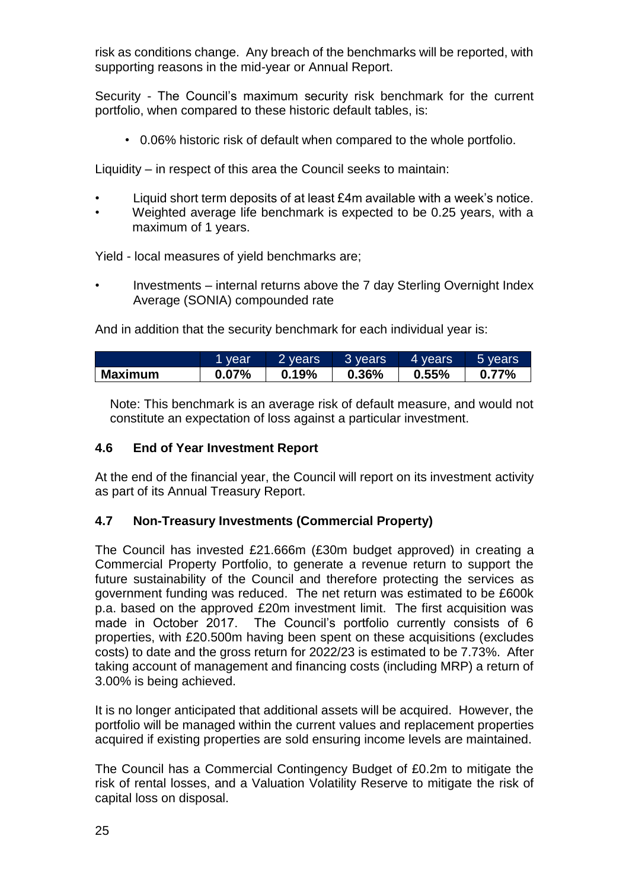risk as conditions change. Any breach of the benchmarks will be reported, with supporting reasons in the mid-year or Annual Report.

Security - The Council's maximum security risk benchmark for the current portfolio, when compared to these historic default tables, is:

• 0.06% historic risk of default when compared to the whole portfolio.

Liquidity – in respect of this area the Council seeks to maintain:

- Liquid short term deposits of at least £4m available with a week's notice.
- Weighted average life benchmark is expected to be 0.25 years, with a maximum of 1 years.

Yield - local measures of yield benchmarks are;

• Investments – internal returns above the 7 day Sterling Overnight Index Average (SONIA) compounded rate

And in addition that the security benchmark for each individual year is:

|                | <b>vear</b> | 2 years | 3 years | l 4 years, | 5 vears' |
|----------------|-------------|---------|---------|------------|----------|
| <b>Maximum</b> | $0.07\%$    | 0.19%   | 0.36%   | 0.55%      | $0.77\%$ |

Note: This benchmark is an average risk of default measure, and would not constitute an expectation of loss against a particular investment.

# **4.6 End of Year Investment Report**

At the end of the financial year, the Council will report on its investment activity as part of its Annual Treasury Report.

#### **4.7 Non-Treasury Investments (Commercial Property)**

The Council has invested £21.666m (£30m budget approved) in creating a Commercial Property Portfolio, to generate a revenue return to support the future sustainability of the Council and therefore protecting the services as government funding was reduced. The net return was estimated to be £600k p.a. based on the approved £20m investment limit. The first acquisition was made in October 2017. The Council's portfolio currently consists of 6 properties, with £20.500m having been spent on these acquisitions (excludes costs) to date and the gross return for 2022/23 is estimated to be 7.73%. After taking account of management and financing costs (including MRP) a return of 3.00% is being achieved.

It is no longer anticipated that additional assets will be acquired. However, the portfolio will be managed within the current values and replacement properties acquired if existing properties are sold ensuring income levels are maintained.

The Council has a Commercial Contingency Budget of £0.2m to mitigate the risk of rental losses, and a Valuation Volatility Reserve to mitigate the risk of capital loss on disposal.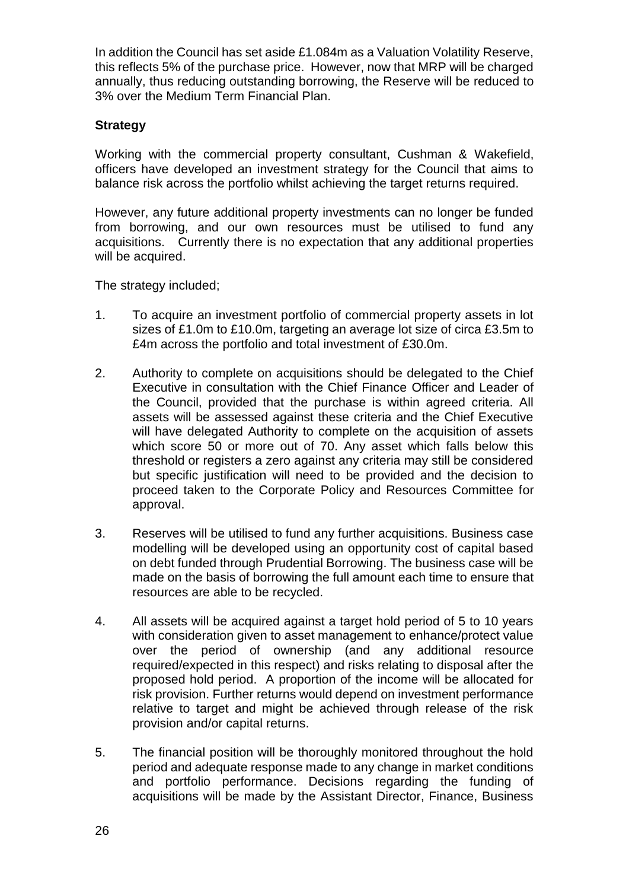In addition the Council has set aside £1.084m as a Valuation Volatility Reserve, this reflects 5% of the purchase price. However, now that MRP will be charged annually, thus reducing outstanding borrowing, the Reserve will be reduced to 3% over the Medium Term Financial Plan.

#### **Strategy**

Working with the commercial property consultant, Cushman & Wakefield, officers have developed an investment strategy for the Council that aims to balance risk across the portfolio whilst achieving the target returns required.

However, any future additional property investments can no longer be funded from borrowing, and our own resources must be utilised to fund any acquisitions. Currently there is no expectation that any additional properties will be acquired.

The strategy included;

- 1. To acquire an investment portfolio of commercial property assets in lot sizes of £1.0m to £10.0m, targeting an average lot size of circa £3.5m to £4m across the portfolio and total investment of £30.0m.
- 2. Authority to complete on acquisitions should be delegated to the Chief Executive in consultation with the Chief Finance Officer and Leader of the Council, provided that the purchase is within agreed criteria. All assets will be assessed against these criteria and the Chief Executive will have delegated Authority to complete on the acquisition of assets which score 50 or more out of 70. Any asset which falls below this threshold or registers a zero against any criteria may still be considered but specific justification will need to be provided and the decision to proceed taken to the Corporate Policy and Resources Committee for approval.
- 3. Reserves will be utilised to fund any further acquisitions. Business case modelling will be developed using an opportunity cost of capital based on debt funded through Prudential Borrowing. The business case will be made on the basis of borrowing the full amount each time to ensure that resources are able to be recycled.
- 4. All assets will be acquired against a target hold period of 5 to 10 years with consideration given to asset management to enhance/protect value over the period of ownership (and any additional resource required/expected in this respect) and risks relating to disposal after the proposed hold period. A proportion of the income will be allocated for risk provision. Further returns would depend on investment performance relative to target and might be achieved through release of the risk provision and/or capital returns.
- 5. The financial position will be thoroughly monitored throughout the hold period and adequate response made to any change in market conditions and portfolio performance. Decisions regarding the funding of acquisitions will be made by the Assistant Director, Finance, Business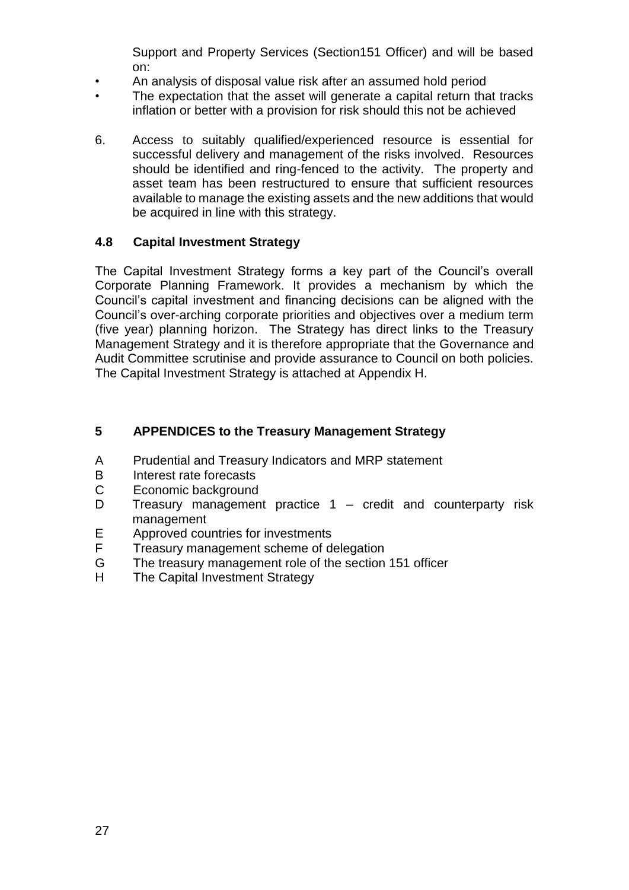Support and Property Services (Section151 Officer) and will be based on:

- An analysis of disposal value risk after an assumed hold period
- The expectation that the asset will generate a capital return that tracks inflation or better with a provision for risk should this not be achieved
- 6. Access to suitably qualified/experienced resource is essential for successful delivery and management of the risks involved. Resources should be identified and ring-fenced to the activity. The property and asset team has been restructured to ensure that sufficient resources available to manage the existing assets and the new additions that would be acquired in line with this strategy.

# **4.8 Capital Investment Strategy**

The Capital Investment Strategy forms a key part of the Council's overall Corporate Planning Framework. It provides a mechanism by which the Council's capital investment and financing decisions can be aligned with the Council's over-arching corporate priorities and objectives over a medium term (five year) planning horizon. The Strategy has direct links to the Treasury Management Strategy and it is therefore appropriate that the Governance and Audit Committee scrutinise and provide assurance to Council on both policies. The Capital Investment Strategy is attached at Appendix H.

# **5 APPENDICES to the Treasury Management Strategy**

- A Prudential and Treasury Indicators and MRP statement
- B Interest rate forecasts
- C Economic background
- D Treasury management practice 1 credit and counterparty risk management
- E Approved countries for investments
- F Treasury management scheme of delegation
- G The treasury management role of the section 151 officer
- H The Capital Investment Strategy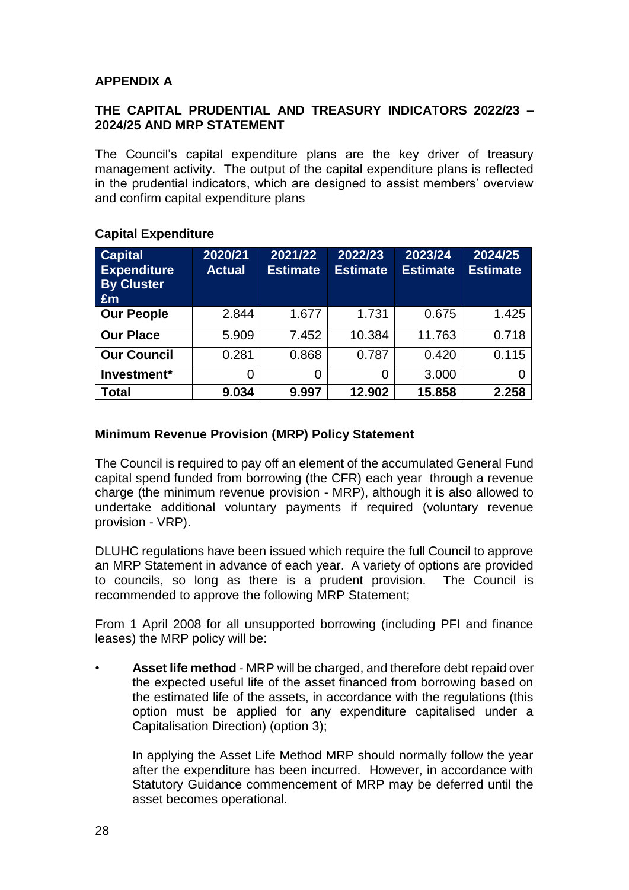# **APPENDIX A**

#### **THE CAPITAL PRUDENTIAL AND TREASURY INDICATORS 2022/23 – 2024/25 AND MRP STATEMENT**

The Council's capital expenditure plans are the key driver of treasury management activity. The output of the capital expenditure plans is reflected in the prudential indicators, which are designed to assist members' overview and confirm capital expenditure plans

| <b>Capital</b><br><b>Expenditure</b><br><b>By Cluster</b><br>Em | 2020/21<br><b>Actual</b> | 2021/22<br><b>Estimate</b> | 2022/23<br><b>Estimate</b> | 2023/24<br><b>Estimate</b> | 2024/25<br><b>Estimate</b> |
|-----------------------------------------------------------------|--------------------------|----------------------------|----------------------------|----------------------------|----------------------------|
| <b>Our People</b>                                               | 2.844                    | 1.677                      | 1.731                      | 0.675                      | 1.425                      |
| <b>Our Place</b>                                                | 5.909                    | 7.452                      | 10.384                     | 11.763                     | 0.718                      |
| <b>Our Council</b>                                              | 0.281                    | 0.868                      | 0.787                      | 0.420                      | 0.115                      |
| Investment*                                                     | 0                        | 0                          | 0                          | 3.000                      |                            |
| Total                                                           | 9.034                    | 9.997                      | 12.902                     | 15.858                     | 2.258                      |

#### **Capital Expenditure**

#### **Minimum Revenue Provision (MRP) Policy Statement**

The Council is required to pay off an element of the accumulated General Fund capital spend funded from borrowing (the CFR) each year through a revenue charge (the minimum revenue provision - MRP), although it is also allowed to undertake additional voluntary payments if required (voluntary revenue provision - VRP).

DLUHC regulations have been issued which require the full Council to approve an MRP Statement in advance of each year. A variety of options are provided to councils, so long as there is a prudent provision. The Council is recommended to approve the following MRP Statement;

From 1 April 2008 for all unsupported borrowing (including PFI and finance leases) the MRP policy will be:

• **Asset life method** - MRP will be charged, and therefore debt repaid over the expected useful life of the asset financed from borrowing based on the estimated life of the assets, in accordance with the regulations (this option must be applied for any expenditure capitalised under a Capitalisation Direction) (option 3);

In applying the Asset Life Method MRP should normally follow the year after the expenditure has been incurred. However, in accordance with Statutory Guidance commencement of MRP may be deferred until the asset becomes operational.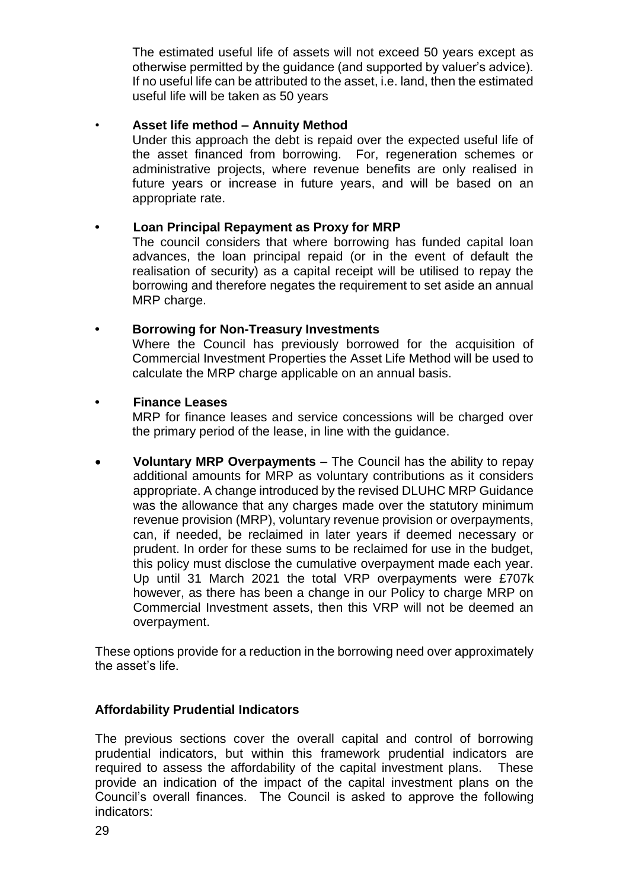The estimated useful life of assets will not exceed 50 years except as otherwise permitted by the guidance (and supported by valuer's advice). If no useful life can be attributed to the asset, i.e. land, then the estimated useful life will be taken as 50 years

#### • **Asset life method – Annuity Method**

Under this approach the debt is repaid over the expected useful life of the asset financed from borrowing. For, regeneration schemes or administrative projects, where revenue benefits are only realised in future years or increase in future years, and will be based on an appropriate rate.

# **• Loan Principal Repayment as Proxy for MRP**

The council considers that where borrowing has funded capital loan advances, the loan principal repaid (or in the event of default the realisation of security) as a capital receipt will be utilised to repay the borrowing and therefore negates the requirement to set aside an annual MRP charge.

# **• Borrowing for Non-Treasury Investments**

Where the Council has previously borrowed for the acquisition of Commercial Investment Properties the Asset Life Method will be used to calculate the MRP charge applicable on an annual basis.

# **• Finance Leases**

MRP for finance leases and service concessions will be charged over the primary period of the lease, in line with the guidance.

 **Voluntary MRP Overpayments** – The Council has the ability to repay additional amounts for MRP as voluntary contributions as it considers appropriate. A change introduced by the revised DLUHC MRP Guidance was the allowance that any charges made over the statutory minimum revenue provision (MRP), voluntary revenue provision or overpayments, can, if needed, be reclaimed in later years if deemed necessary or prudent. In order for these sums to be reclaimed for use in the budget, this policy must disclose the cumulative overpayment made each year. Up until 31 March 2021 the total VRP overpayments were £707k however, as there has been a change in our Policy to charge MRP on Commercial Investment assets, then this VRP will not be deemed an overpayment.

These options provide for a reduction in the borrowing need over approximately the asset's life.

#### **Affordability Prudential Indicators**

The previous sections cover the overall capital and control of borrowing prudential indicators, but within this framework prudential indicators are required to assess the affordability of the capital investment plans. These provide an indication of the impact of the capital investment plans on the Council's overall finances. The Council is asked to approve the following indicators: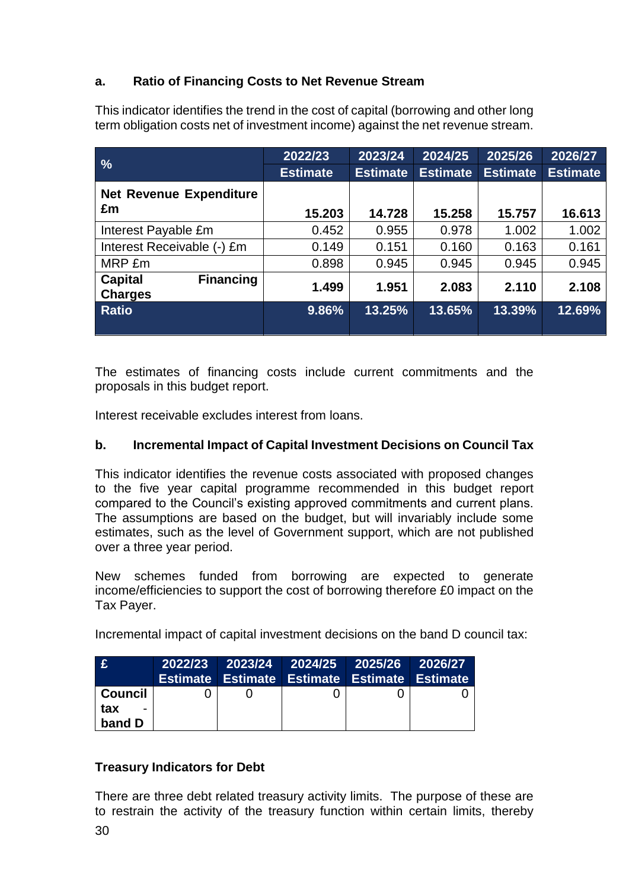# **a. Ratio of Financing Costs to Net Revenue Stream**

This indicator identifies the trend in the cost of capital (borrowing and other long term obligation costs net of investment income) against the net revenue stream.

| $\frac{1}{2}$                                        | 2022/23         | 2023/24         | 2024/25         | 2025/26         | 2026/27         |
|------------------------------------------------------|-----------------|-----------------|-----------------|-----------------|-----------------|
|                                                      | <b>Estimate</b> | <b>Estimate</b> | <b>Estimate</b> | <b>Estimate</b> | <b>Estimate</b> |
| <b>Net Revenue Expenditure</b>                       |                 |                 |                 |                 |                 |
| £m                                                   | 15.203          | 14.728          | 15.258          | 15.757          | 16.613          |
| Interest Payable £m                                  | 0.452           | 0.955           | 0.978           | 1.002           | 1.002           |
| Interest Receivable (-) £m                           | 0.149           | 0.151           | 0.160           | 0.163           | 0.161           |
| MRP £m                                               | 0.898           | 0.945           | 0.945           | 0.945           | 0.945           |
| <b>Financing</b><br><b>Capital</b><br><b>Charges</b> | 1.499           | 1.951           | 2.083           | 2.110           | 2.108           |
| <b>Ratio</b>                                         | 9.86%           | 13.25%          | 13.65%          | 13.39%          | 12.69%          |

The estimates of financing costs include current commitments and the proposals in this budget report.

Interest receivable excludes interest from loans.

#### **b. Incremental Impact of Capital Investment Decisions on Council Tax**

This indicator identifies the revenue costs associated with proposed changes to the five year capital programme recommended in this budget report compared to the Council's existing approved commitments and current plans. The assumptions are based on the budget, but will invariably include some estimates, such as the level of Government support, which are not published over a three year period.

New schemes funded from borrowing are expected to generate income/efficiencies to support the cost of borrowing therefore £0 impact on the Tax Payer.

Incremental impact of capital investment decisions on the band D council tax:

| E           |  | 2022/23 2023/24 2024/25 2025/26 2026/27             |  |
|-------------|--|-----------------------------------------------------|--|
|             |  | <b>Estimate Estimate Estimate Estimate Estimate</b> |  |
| ∣ Council I |  |                                                     |  |
| tax         |  |                                                     |  |
| band D      |  |                                                     |  |

#### **Treasury Indicators for Debt**

There are three debt related treasury activity limits. The purpose of these are to restrain the activity of the treasury function within certain limits, thereby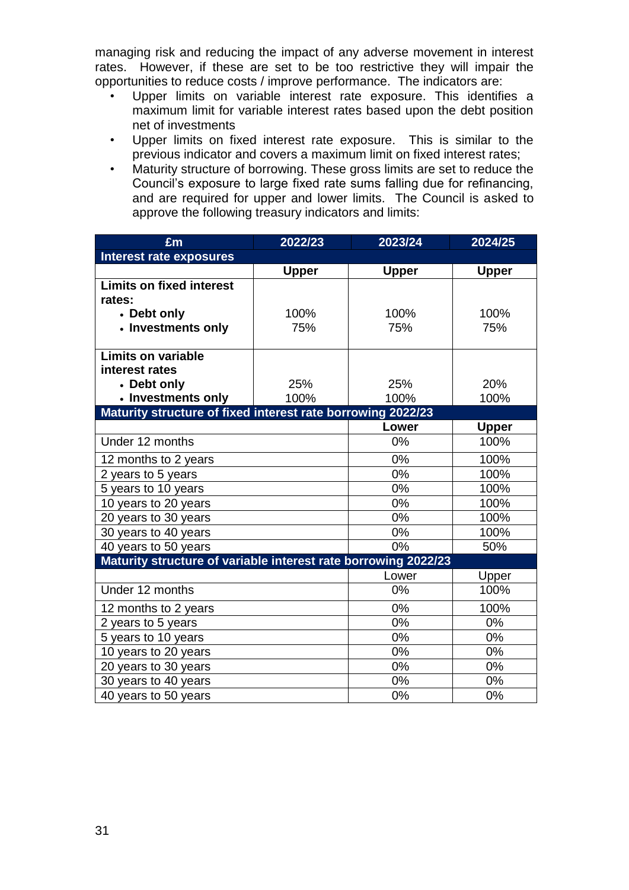managing risk and reducing the impact of any adverse movement in interest rates. However, if these are set to be too restrictive they will impair the opportunities to reduce costs / improve performance. The indicators are:

- Upper limits on variable interest rate exposure. This identifies a maximum limit for variable interest rates based upon the debt position net of investments
- Upper limits on fixed interest rate exposure. This is similar to the previous indicator and covers a maximum limit on fixed interest rates;
- Maturity structure of borrowing. These gross limits are set to reduce the Council's exposure to large fixed rate sums falling due for refinancing, and are required for upper and lower limits. The Council is asked to approve the following treasury indicators and limits:

| £m                                                             | 2022/23      |              | 2024/25      |
|----------------------------------------------------------------|--------------|--------------|--------------|
| <b>Interest rate exposures</b>                                 |              |              |              |
|                                                                | <b>Upper</b> | <b>Upper</b> | <b>Upper</b> |
| <b>Limits on fixed interest</b>                                |              |              |              |
| rates:                                                         |              |              |              |
| • Debt only                                                    | 100%         | 100%         | 100%         |
| • Investments only                                             | 75%          | 75%          | 75%          |
|                                                                |              |              |              |
| <b>Limits on variable</b>                                      |              |              |              |
| interest rates                                                 |              |              |              |
| • Debt only                                                    | 25%          | 25%          | 20%          |
| • Investments only                                             | 100%         | 100%         | 100%         |
| Maturity structure of fixed interest rate borrowing 2022/23    |              |              |              |
|                                                                |              | Lower        | <b>Upper</b> |
| Under 12 months                                                | 0%           | 100%         |              |
| 12 months to 2 years                                           | 0%           | 100%         |              |
| 2 years to 5 years                                             | 0%           | 100%         |              |
| 5 years to 10 years                                            |              | 0%           | 100%         |
| 10 years to 20 years                                           |              | 0%           | 100%         |
| 20 years to 30 years                                           |              | 0%           | 100%         |
| 30 years to 40 years                                           |              | 0%           | 100%         |
| 40 years to 50 years                                           |              | 0%           | 50%          |
| Maturity structure of variable interest rate borrowing 2022/23 |              |              |              |
|                                                                |              | Lower        | Upper        |
| Under 12 months                                                |              | 0%           | 100%         |
| 12 months to 2 years                                           |              | 0%           | 100%         |
| 2 years to 5 years                                             | 0%           | 0%           |              |
| 5 years to 10 years                                            | 0%           | 0%           |              |
| 10 years to 20 years                                           | 0%           | 0%           |              |
| 20 years to 30 years                                           |              | 0%           | 0%           |
| 30 years to 40 years                                           |              | 0%           | 0%           |
| 40 years to 50 years                                           |              | 0%           | 0%           |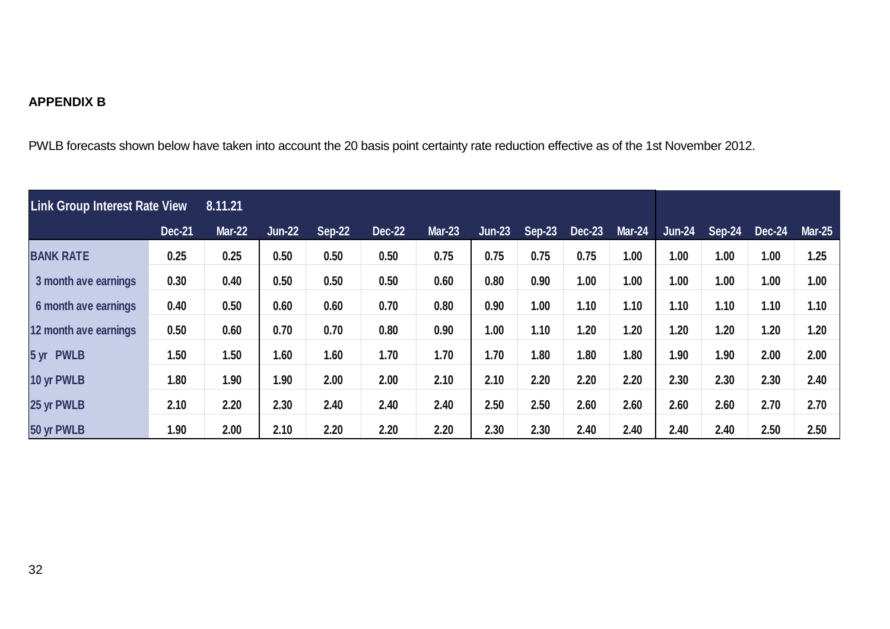# **APPENDIX B**

PWLB forecasts shown below have taken into account the 20 basis point certainty rate reduction effective as of the 1st November 2012.

| <b>Link Group Interest Rate View</b> |               | 8.11.21       |               |               |               |               |          |               |               |               |               |        |               |               |
|--------------------------------------|---------------|---------------|---------------|---------------|---------------|---------------|----------|---------------|---------------|---------------|---------------|--------|---------------|---------------|
|                                      | <b>Dec-21</b> | <b>Mar-22</b> | <b>Jun-22</b> | <b>Sep-22</b> | <b>Dec-22</b> | <b>Mar-23</b> | $Jun-23$ | <b>Sep-23</b> | <b>Dec-23</b> | <b>Mar-24</b> | <b>Jun-24</b> | Sep-24 | <b>Dec-24</b> | <b>Mar-25</b> |
| <b>BANK RATE</b>                     | 0.25          | 0.25          | 0.50          | 0.50          | 0.50          | 0.75          | 0.75     | 0.75          | 0.75          | 1.00          | 1.00          | 1.00   | 1.00          | 1.25          |
| 3 month ave earnings                 | 0.30          | 0.40          | 0.50          | 0.50          | 0.50          | 0.60          | 0.80     | 0.90          | 1.00          | 1.00          | 1.00          | 1.00   | 1.00          | 1.00          |
| 6 month ave earnings                 | 0.40          | 0.50          | 0.60          | 0.60          | 0.70          | 0.80          | 0.90     | 1.00          | 1.10          | 1.10          | 1.10          | 1.10   | 1.10          | 1.10          |
| 12 month ave earnings                | 0.50          | 0.60          | 0.70          | 0.70          | 0.80          | 0.90          | 1.00     | 1.10          | 1.20          | 1.20          | 1.20          | 1.20   | 1.20          | 1.20          |
| 5 yr PWLB                            | 1.50          | 1.50          | 1.60          | 1.60          | 1.70          | 1.70          | 1.70     | 1.80          | 1.80          | 1.80          | 1.90          | 1.90   | 2.00          | 2.00          |
| 10 yr PWLB                           | 1.80          | 1.90          | 1.90          | 2.00          | 2.00          | 2.10          | 2.10     | 2.20          | 2.20          | 2.20          | 2.30          | 2.30   | 2.30          | 2.40          |
| 25 yr PWLB                           | 2.10          | 2.20          | 2.30          | 2.40          | 2.40          | 2.40          | 2.50     | 2.50          | 2.60          | 2.60          | 2.60          | 2.60   | 2.70          | 2.70          |
| 50 yr PWLB                           | 1.90          | 2.00          | 2.10          | 2.20          | 2.20          | 2.20          | 2.30     | 2.30          | 2.40          | 2.40          | 2.40          | 2.40   | 2.50          | 2.50          |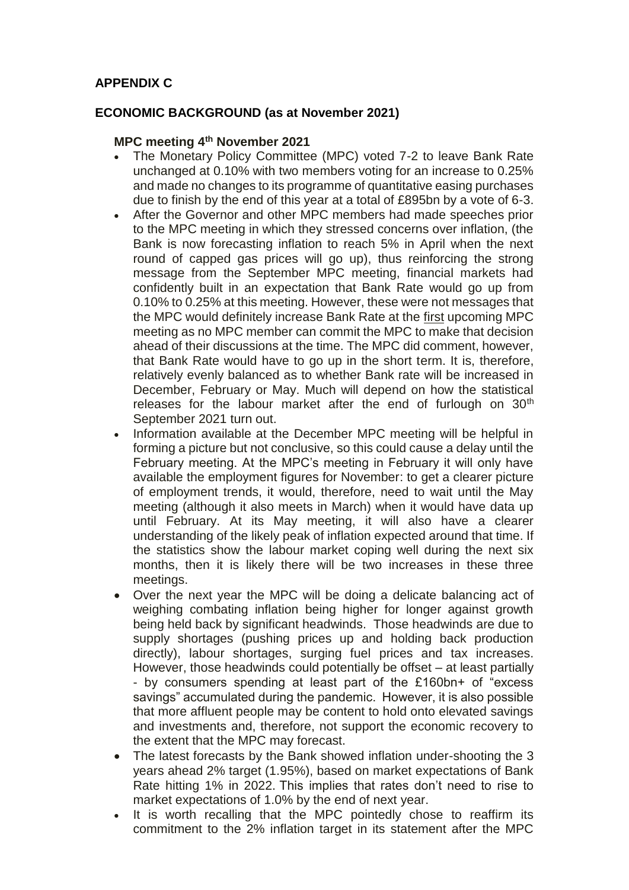# **APPENDIX C**

# **ECONOMIC BACKGROUND (as at November 2021)**

#### **MPC meeting 4th November 2021**

- The Monetary Policy Committee (MPC) voted 7-2 to leave Bank Rate unchanged at 0.10% with two members voting for an increase to 0.25% and made no changes to its programme of quantitative easing purchases due to finish by the end of this year at a total of £895bn by a vote of 6-3.
- After the Governor and other MPC members had made speeches prior to the MPC meeting in which they stressed concerns over inflation, (the Bank is now forecasting inflation to reach 5% in April when the next round of capped gas prices will go up), thus reinforcing the strong message from the September MPC meeting, financial markets had confidently built in an expectation that Bank Rate would go up from 0.10% to 0.25% at this meeting. However, these were not messages that the MPC would definitely increase Bank Rate at the first upcoming MPC meeting as no MPC member can commit the MPC to make that decision ahead of their discussions at the time. The MPC did comment, however, that Bank Rate would have to go up in the short term. It is, therefore, relatively evenly balanced as to whether Bank rate will be increased in December, February or May. Much will depend on how the statistical releases for the labour market after the end of furlough on  $30<sup>th</sup>$ September 2021 turn out.
- Information available at the December MPC meeting will be helpful in forming a picture but not conclusive, so this could cause a delay until the February meeting. At the MPC's meeting in February it will only have available the employment figures for November: to get a clearer picture of employment trends, it would, therefore, need to wait until the May meeting (although it also meets in March) when it would have data up until February. At its May meeting, it will also have a clearer understanding of the likely peak of inflation expected around that time. If the statistics show the labour market coping well during the next six months, then it is likely there will be two increases in these three meetings.
- Over the next year the MPC will be doing a delicate balancing act of weighing combating inflation being higher for longer against growth being held back by significant headwinds. Those headwinds are due to supply shortages (pushing prices up and holding back production directly), labour shortages, surging fuel prices and tax increases. However, those headwinds could potentially be offset – at least partially - by consumers spending at least part of the £160bn+ of "excess savings" accumulated during the pandemic. However, it is also possible that more affluent people may be content to hold onto elevated savings and investments and, therefore, not support the economic recovery to the extent that the MPC may forecast.
- The latest forecasts by the Bank showed inflation under-shooting the 3 years ahead 2% target (1.95%), based on market expectations of Bank Rate hitting 1% in 2022. This implies that rates don't need to rise to market expectations of 1.0% by the end of next year.
- It is worth recalling that the MPC pointedly chose to reaffirm its commitment to the 2% inflation target in its statement after the MPC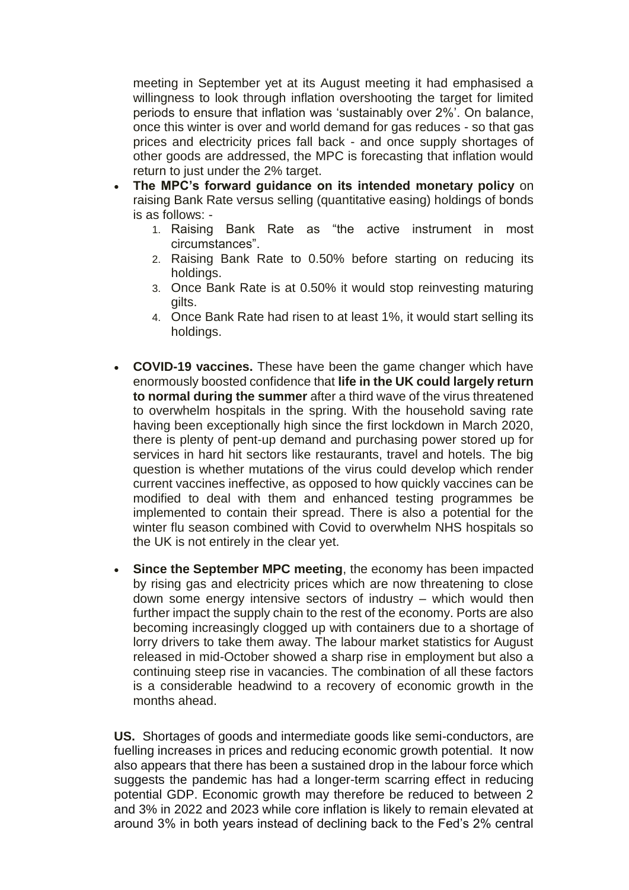meeting in September yet at its August meeting it had emphasised a willingness to look through inflation overshooting the target for limited periods to ensure that inflation was 'sustainably over 2%'. On balance, once this winter is over and world demand for gas reduces - so that gas prices and electricity prices fall back - and once supply shortages of other goods are addressed, the MPC is forecasting that inflation would return to just under the 2% target.

- **The MPC's forward guidance on its intended monetary policy** on raising Bank Rate versus selling (quantitative easing) holdings of bonds is as follows: -
	- 1. Raising Bank Rate as "the active instrument in most circumstances".
	- 2. Raising Bank Rate to 0.50% before starting on reducing its holdings.
	- 3. Once Bank Rate is at 0.50% it would stop reinvesting maturing gilts.
	- 4. Once Bank Rate had risen to at least 1%, it would start selling its holdings.
- **COVID-19 vaccines.** These have been the game changer which have enormously boosted confidence that **life in the UK could largely return to normal during the summer** after a third wave of the virus threatened to overwhelm hospitals in the spring. With the household saving rate having been exceptionally high since the first lockdown in March 2020, there is plenty of pent-up demand and purchasing power stored up for services in hard hit sectors like restaurants, travel and hotels. The big question is whether mutations of the virus could develop which render current vaccines ineffective, as opposed to how quickly vaccines can be modified to deal with them and enhanced testing programmes be implemented to contain their spread. There is also a potential for the winter flu season combined with Covid to overwhelm NHS hospitals so the UK is not entirely in the clear yet.
- **Since the September MPC meeting**, the economy has been impacted by rising gas and electricity prices which are now threatening to close down some energy intensive sectors of industry – which would then further impact the supply chain to the rest of the economy. Ports are also becoming increasingly clogged up with containers due to a shortage of lorry drivers to take them away. The labour market statistics for August released in mid-October showed a sharp rise in employment but also a continuing steep rise in vacancies. The combination of all these factors is a considerable headwind to a recovery of economic growth in the months ahead.

**US.** Shortages of goods and intermediate goods like semi-conductors, are fuelling increases in prices and reducing economic growth potential. It now also appears that there has been a sustained drop in the labour force which suggests the pandemic has had a longer-term scarring effect in reducing potential GDP. Economic growth may therefore be reduced to between 2 and 3% in 2022 and 2023 while core inflation is likely to remain elevated at around 3% in both years instead of declining back to the Fed's 2% central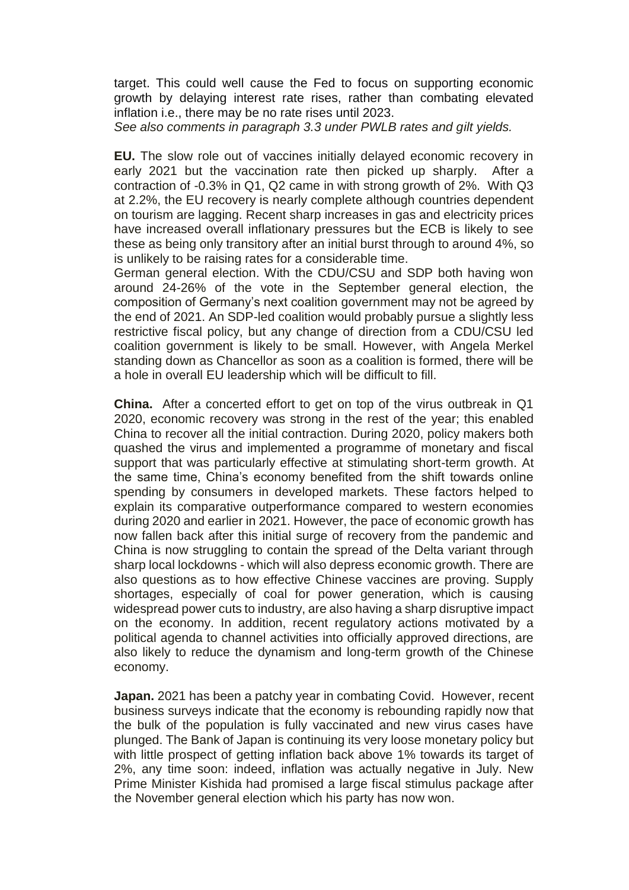target. This could well cause the Fed to focus on supporting economic growth by delaying interest rate rises, rather than combating elevated inflation i.e., there may be no rate rises until 2023.

*See also comments in paragraph 3.3 under PWLB rates and gilt yields.*

**EU.** The slow role out of vaccines initially delayed economic recovery in early 2021 but the vaccination rate then picked up sharply. After a contraction of -0.3% in Q1, Q2 came in with strong growth of 2%. With Q3 at 2.2%, the EU recovery is nearly complete although countries dependent on tourism are lagging. Recent sharp increases in gas and electricity prices have increased overall inflationary pressures but the ECB is likely to see these as being only transitory after an initial burst through to around 4%, so is unlikely to be raising rates for a considerable time.

German general election. With the CDU/CSU and SDP both having won around 24-26% of the vote in the September general election, the composition of Germany's next coalition government may not be agreed by the end of 2021. An SDP-led coalition would probably pursue a slightly less restrictive fiscal policy, but any change of direction from a CDU/CSU led coalition government is likely to be small. However, with Angela Merkel standing down as Chancellor as soon as a coalition is formed, there will be a hole in overall EU leadership which will be difficult to fill.

**China.** After a concerted effort to get on top of the virus outbreak in Q1 2020, economic recovery was strong in the rest of the year; this enabled China to recover all the initial contraction. During 2020, policy makers both quashed the virus and implemented a programme of monetary and fiscal support that was particularly effective at stimulating short-term growth. At the same time, China's economy benefited from the shift towards online spending by consumers in developed markets. These factors helped to explain its comparative outperformance compared to western economies during 2020 and earlier in 2021. However, the pace of economic growth has now fallen back after this initial surge of recovery from the pandemic and China is now struggling to contain the spread of the Delta variant through sharp local lockdowns - which will also depress economic growth. There are also questions as to how effective Chinese vaccines are proving. Supply shortages, especially of coal for power generation, which is causing widespread power cuts to industry, are also having a sharp disruptive impact on the economy. In addition, recent regulatory actions motivated by a political agenda to channel activities into officially approved directions, are also likely to reduce the dynamism and long-term growth of the Chinese economy.

**Japan.** 2021 has been a patchy year in combating Covid. However, recent business surveys indicate that the economy is rebounding rapidly now that the bulk of the population is fully vaccinated and new virus cases have plunged. The Bank of Japan is continuing its very loose monetary policy but with little prospect of getting inflation back above 1% towards its target of 2%, any time soon: indeed, inflation was actually negative in July. New Prime Minister Kishida had promised a large fiscal stimulus package after the November general election which his party has now won.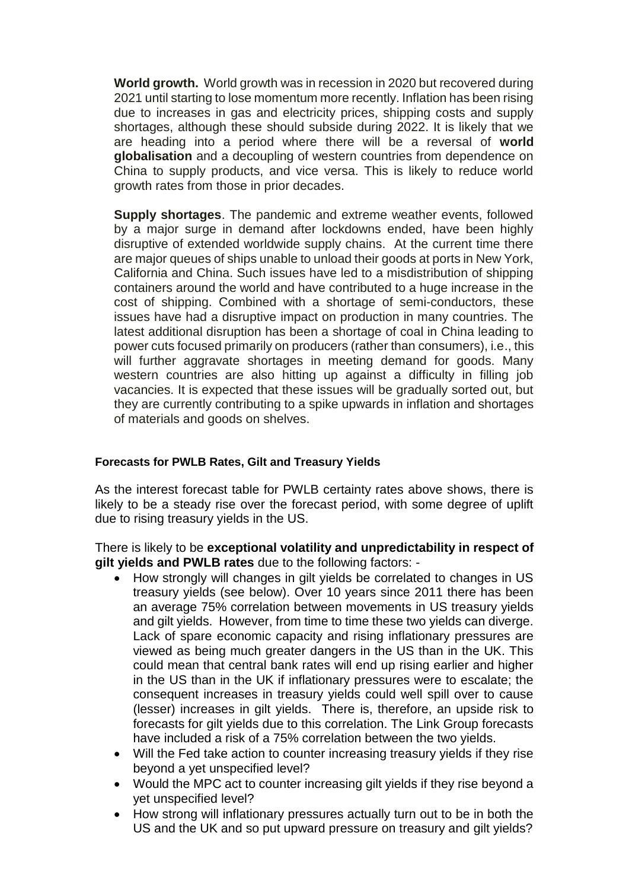**World growth.** World growth was in recession in 2020 but recovered during 2021 until starting to lose momentum more recently. Inflation has been rising due to increases in gas and electricity prices, shipping costs and supply shortages, although these should subside during 2022. It is likely that we are heading into a period where there will be a reversal of **world globalisation** and a decoupling of western countries from dependence on China to supply products, and vice versa. This is likely to reduce world growth rates from those in prior decades.

**Supply shortages**. The pandemic and extreme weather events, followed by a major surge in demand after lockdowns ended, have been highly disruptive of extended worldwide supply chains. At the current time there are major queues of ships unable to unload their goods at ports in New York, California and China. Such issues have led to a misdistribution of shipping containers around the world and have contributed to a huge increase in the cost of shipping. Combined with a shortage of semi-conductors, these issues have had a disruptive impact on production in many countries. The latest additional disruption has been a shortage of coal in China leading to power cuts focused primarily on producers (rather than consumers), i.e., this will further aggravate shortages in meeting demand for goods. Many western countries are also hitting up against a difficulty in filling job vacancies. It is expected that these issues will be gradually sorted out, but they are currently contributing to a spike upwards in inflation and shortages of materials and goods on shelves.

#### **Forecasts for PWLB Rates, Gilt and Treasury Yields**

As the interest forecast table for PWLB certainty rates above shows, there is likely to be a steady rise over the forecast period, with some degree of uplift due to rising treasury yields in the US.

There is likely to be **exceptional volatility and unpredictability in respect of gilt yields and PWLB rates** due to the following factors: -

- How strongly will changes in gilt yields be correlated to changes in US treasury yields (see below). Over 10 years since 2011 there has been an average 75% correlation between movements in US treasury yields and gilt yields. However, from time to time these two yields can diverge. Lack of spare economic capacity and rising inflationary pressures are viewed as being much greater dangers in the US than in the UK. This could mean that central bank rates will end up rising earlier and higher in the US than in the UK if inflationary pressures were to escalate; the consequent increases in treasury yields could well spill over to cause (lesser) increases in gilt yields. There is, therefore, an upside risk to forecasts for gilt yields due to this correlation. The Link Group forecasts have included a risk of a 75% correlation between the two yields.
- Will the Fed take action to counter increasing treasury yields if they rise beyond a yet unspecified level?
- Would the MPC act to counter increasing gilt yields if they rise beyond a yet unspecified level?
- How strong will inflationary pressures actually turn out to be in both the US and the UK and so put upward pressure on treasury and gilt yields?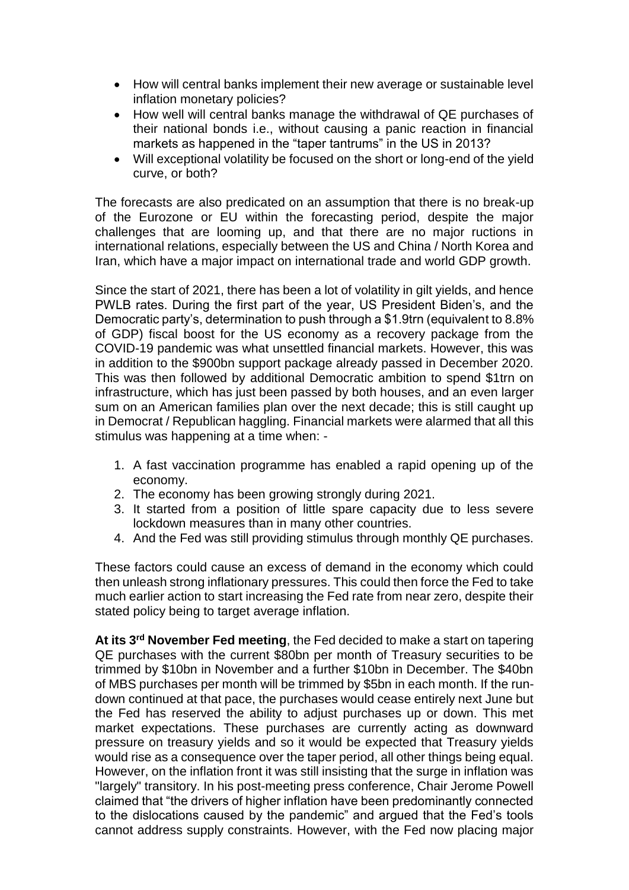- How will central banks implement their new average or sustainable level inflation monetary policies?
- How well will central banks manage the withdrawal of QE purchases of their national bonds i.e., without causing a panic reaction in financial markets as happened in the "taper tantrums" in the US in 2013?
- Will exceptional volatility be focused on the short or long-end of the yield curve, or both?

The forecasts are also predicated on an assumption that there is no break-up of the Eurozone or EU within the forecasting period, despite the major challenges that are looming up, and that there are no major ructions in international relations, especially between the US and China / North Korea and Iran, which have a major impact on international trade and world GDP growth.

Since the start of 2021, there has been a lot of volatility in gilt yields, and hence PWLB rates. During the first part of the year, US President Biden's, and the Democratic party's, determination to push through a \$1.9trn (equivalent to 8.8% of GDP) fiscal boost for the US economy as a recovery package from the COVID-19 pandemic was what unsettled financial markets. However, this was in addition to the \$900bn support package already passed in December 2020. This was then followed by additional Democratic ambition to spend \$1trn on infrastructure, which has just been passed by both houses, and an even larger sum on an American families plan over the next decade; this is still caught up in Democrat / Republican haggling. Financial markets were alarmed that all this stimulus was happening at a time when: -

- 1. A fast vaccination programme has enabled a rapid opening up of the economy.
- 2. The economy has been growing strongly during 2021.
- 3. It started from a position of little spare capacity due to less severe lockdown measures than in many other countries.
- 4. And the Fed was still providing stimulus through monthly QE purchases.

These factors could cause an excess of demand in the economy which could then unleash strong inflationary pressures. This could then force the Fed to take much earlier action to start increasing the Fed rate from near zero, despite their stated policy being to target average inflation.

**At its 3rd November Fed meeting**, the Fed decided to make a start on tapering QE purchases with the current \$80bn per month of Treasury securities to be trimmed by \$10bn in November and a further \$10bn in December. The \$40bn of MBS purchases per month will be trimmed by \$5bn in each month. If the rundown continued at that pace, the purchases would cease entirely next June but the Fed has reserved the ability to adjust purchases up or down. This met market expectations. These purchases are currently acting as downward pressure on treasury yields and so it would be expected that Treasury yields would rise as a consequence over the taper period, all other things being equal. However, on the inflation front it was still insisting that the surge in inflation was "largely" transitory. In his post-meeting press conference, Chair Jerome Powell claimed that "the drivers of higher inflation have been predominantly connected to the dislocations caused by the pandemic" and argued that the Fed's tools cannot address supply constraints. However, with the Fed now placing major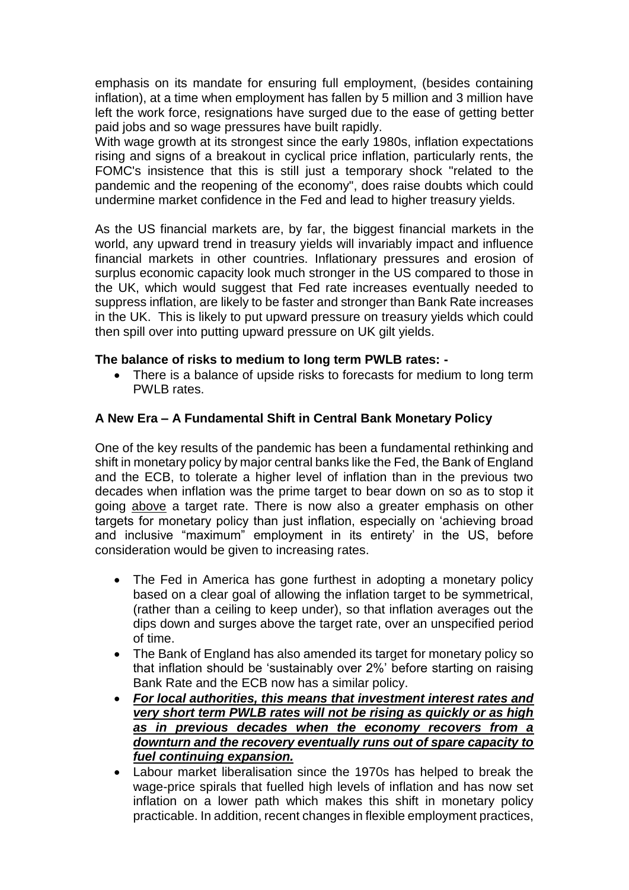emphasis on its mandate for ensuring full employment, (besides containing inflation), at a time when employment has fallen by 5 million and 3 million have left the work force, resignations have surged due to the ease of getting better paid jobs and so wage pressures have built rapidly.

With wage growth at its strongest since the early 1980s, inflation expectations rising and signs of a breakout in cyclical price inflation, particularly rents, the FOMC's insistence that this is still just a temporary shock "related to the pandemic and the reopening of the economy", does raise doubts which could undermine market confidence in the Fed and lead to higher treasury yields.

As the US financial markets are, by far, the biggest financial markets in the world, any upward trend in treasury yields will invariably impact and influence financial markets in other countries. Inflationary pressures and erosion of surplus economic capacity look much stronger in the US compared to those in the UK, which would suggest that Fed rate increases eventually needed to suppress inflation, are likely to be faster and stronger than Bank Rate increases in the UK. This is likely to put upward pressure on treasury yields which could then spill over into putting upward pressure on UK gilt yields.

# **The balance of risks to medium to long term PWLB rates: -**

• There is a balance of upside risks to forecasts for medium to long term PWLB rates.

# **A New Era – A Fundamental Shift in Central Bank Monetary Policy**

One of the key results of the pandemic has been a fundamental rethinking and shift in monetary policy by major central banks like the Fed, the Bank of England and the ECB, to tolerate a higher level of inflation than in the previous two decades when inflation was the prime target to bear down on so as to stop it going above a target rate. There is now also a greater emphasis on other targets for monetary policy than just inflation, especially on 'achieving broad and inclusive "maximum" employment in its entirety' in the US, before consideration would be given to increasing rates.

- The Fed in America has gone furthest in adopting a monetary policy based on a clear goal of allowing the inflation target to be symmetrical, (rather than a ceiling to keep under), so that inflation averages out the dips down and surges above the target rate, over an unspecified period of time.
- The Bank of England has also amended its target for monetary policy so that inflation should be 'sustainably over 2%' before starting on raising Bank Rate and the ECB now has a similar policy.
- *For local authorities, this means that investment interest rates and very short term PWLB rates will not be rising as quickly or as high as in previous decades when the economy recovers from a downturn and the recovery eventually runs out of spare capacity to fuel continuing expansion.*
- Labour market liberalisation since the 1970s has helped to break the wage-price spirals that fuelled high levels of inflation and has now set inflation on a lower path which makes this shift in monetary policy practicable. In addition, recent changes in flexible employment practices,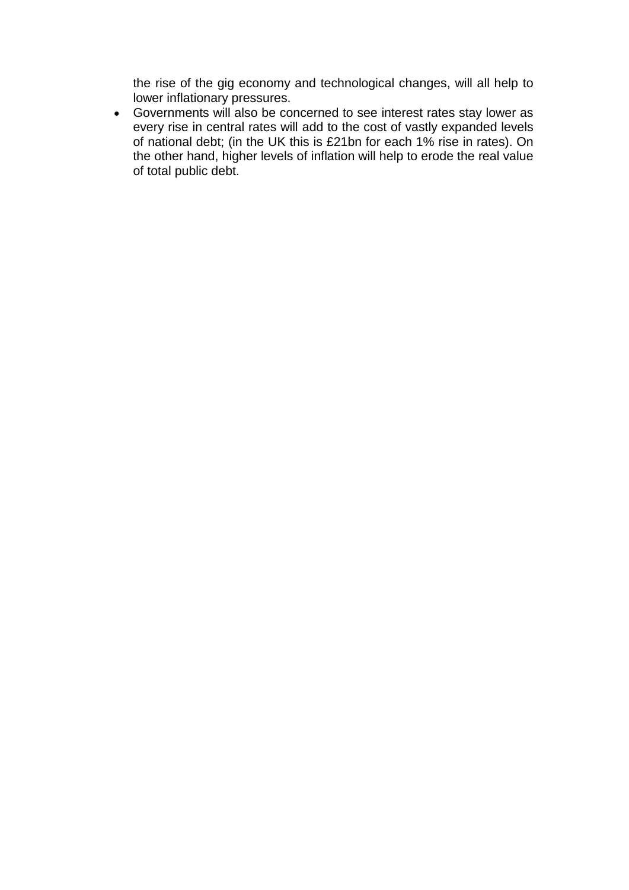the rise of the gig economy and technological changes, will all help to lower inflationary pressures.

 Governments will also be concerned to see interest rates stay lower as every rise in central rates will add to the cost of vastly expanded levels of national debt; (in the UK this is £21bn for each 1% rise in rates). On the other hand, higher levels of inflation will help to erode the real value of total public debt.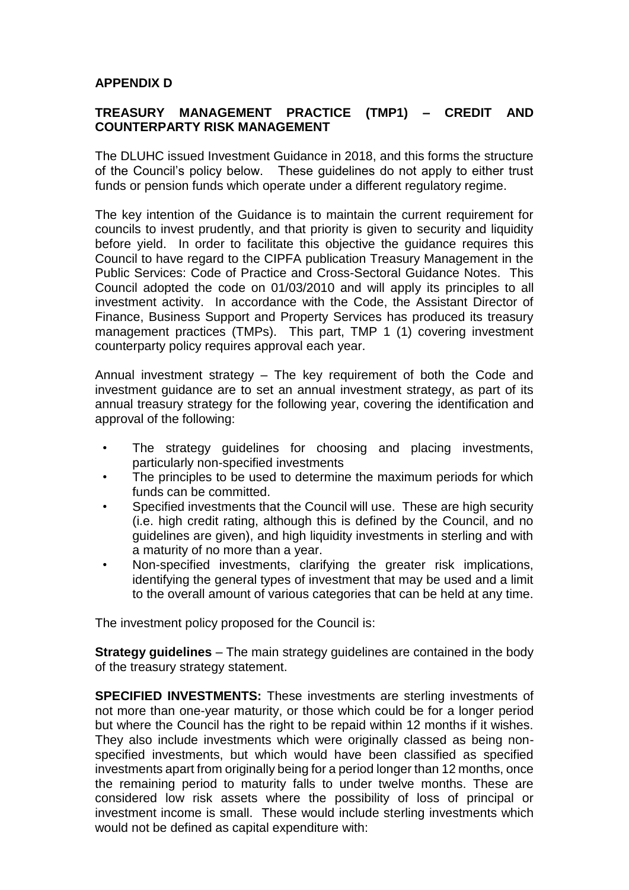#### **APPENDIX D**

#### **TREASURY MANAGEMENT PRACTICE (TMP1) – CREDIT AND COUNTERPARTY RISK MANAGEMENT**

The DLUHC issued Investment Guidance in 2018, and this forms the structure of the Council's policy below. These guidelines do not apply to either trust funds or pension funds which operate under a different regulatory regime.

The key intention of the Guidance is to maintain the current requirement for councils to invest prudently, and that priority is given to security and liquidity before yield. In order to facilitate this objective the guidance requires this Council to have regard to the CIPFA publication Treasury Management in the Public Services: Code of Practice and Cross-Sectoral Guidance Notes. This Council adopted the code on 01/03/2010 and will apply its principles to all investment activity. In accordance with the Code, the Assistant Director of Finance, Business Support and Property Services has produced its treasury management practices (TMPs). This part, TMP 1 (1) covering investment counterparty policy requires approval each year.

Annual investment strategy – The key requirement of both the Code and investment guidance are to set an annual investment strategy, as part of its annual treasury strategy for the following year, covering the identification and approval of the following:

- The strategy guidelines for choosing and placing investments, particularly non-specified investments
- The principles to be used to determine the maximum periods for which funds can be committed.
- Specified investments that the Council will use. These are high security (i.e. high credit rating, although this is defined by the Council, and no guidelines are given), and high liquidity investments in sterling and with a maturity of no more than a year.
- Non-specified investments, clarifying the greater risk implications, identifying the general types of investment that may be used and a limit to the overall amount of various categories that can be held at any time.

The investment policy proposed for the Council is:

**Strategy guidelines** – The main strategy guidelines are contained in the body of the treasury strategy statement.

**SPECIFIED INVESTMENTS:** These investments are sterling investments of not more than one-year maturity, or those which could be for a longer period but where the Council has the right to be repaid within 12 months if it wishes. They also include investments which were originally classed as being nonspecified investments, but which would have been classified as specified investments apart from originally being for a period longer than 12 months, once the remaining period to maturity falls to under twelve months. These are considered low risk assets where the possibility of loss of principal or investment income is small. These would include sterling investments which would not be defined as capital expenditure with: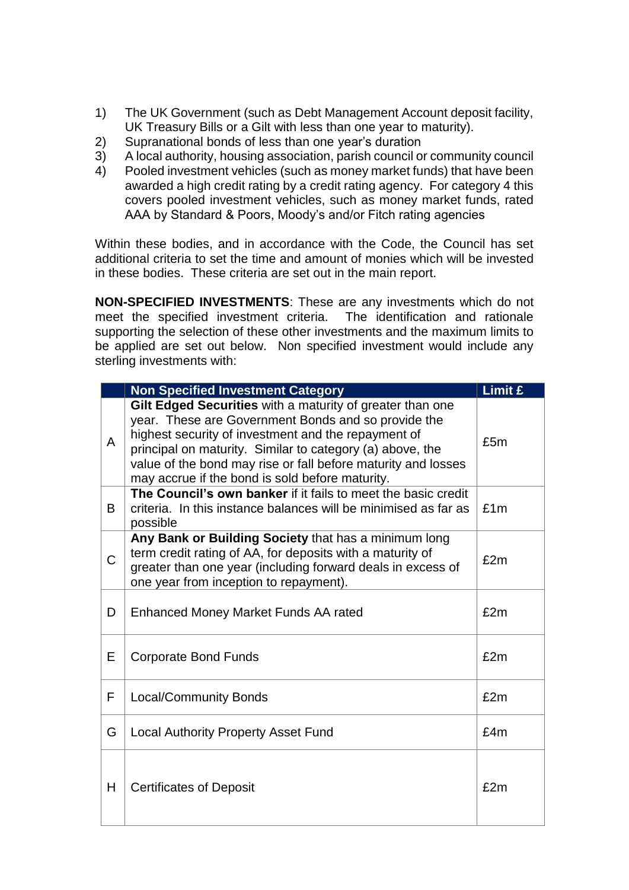- 1) The UK Government (such as Debt Management Account deposit facility, UK Treasury Bills or a Gilt with less than one year to maturity).
- 2) Supranational bonds of less than one year's duration
- 3) A local authority, housing association, parish council or community council
- 4) Pooled investment vehicles (such as money market funds) that have been awarded a high credit rating by a credit rating agency. For category 4 this covers pooled investment vehicles, such as money market funds, rated AAA by Standard & Poors, Moody's and/or Fitch rating agencies

Within these bodies, and in accordance with the Code, the Council has set additional criteria to set the time and amount of monies which will be invested in these bodies. These criteria are set out in the main report.

**NON-SPECIFIED INVESTMENTS**: These are any investments which do not meet the specified investment criteria. The identification and rationale supporting the selection of these other investments and the maximum limits to be applied are set out below. Non specified investment would include any sterling investments with:

|             | <b>Non Specified Investment Category</b>                                                                                                                                                                                                                                                                                                                 | Limit £ |
|-------------|----------------------------------------------------------------------------------------------------------------------------------------------------------------------------------------------------------------------------------------------------------------------------------------------------------------------------------------------------------|---------|
| A           | Gilt Edged Securities with a maturity of greater than one<br>year. These are Government Bonds and so provide the<br>highest security of investment and the repayment of<br>principal on maturity. Similar to category (a) above, the<br>value of the bond may rise or fall before maturity and losses<br>may accrue if the bond is sold before maturity. | £5m     |
| B.          | The Council's own banker if it fails to meet the basic credit<br>criteria. In this instance balances will be minimised as far as<br>possible                                                                                                                                                                                                             | £1m     |
| $\mathsf C$ | Any Bank or Building Society that has a minimum long<br>term credit rating of AA, for deposits with a maturity of<br>greater than one year (including forward deals in excess of<br>one year from inception to repayment).                                                                                                                               | £2m     |
| D           | <b>Enhanced Money Market Funds AA rated</b>                                                                                                                                                                                                                                                                                                              | £2m     |
| Е           | <b>Corporate Bond Funds</b>                                                                                                                                                                                                                                                                                                                              | £2m     |
| F           | <b>Local/Community Bonds</b>                                                                                                                                                                                                                                                                                                                             | £2m     |
| G           | <b>Local Authority Property Asset Fund</b>                                                                                                                                                                                                                                                                                                               | £4m     |
| H           | <b>Certificates of Deposit</b>                                                                                                                                                                                                                                                                                                                           | £2m     |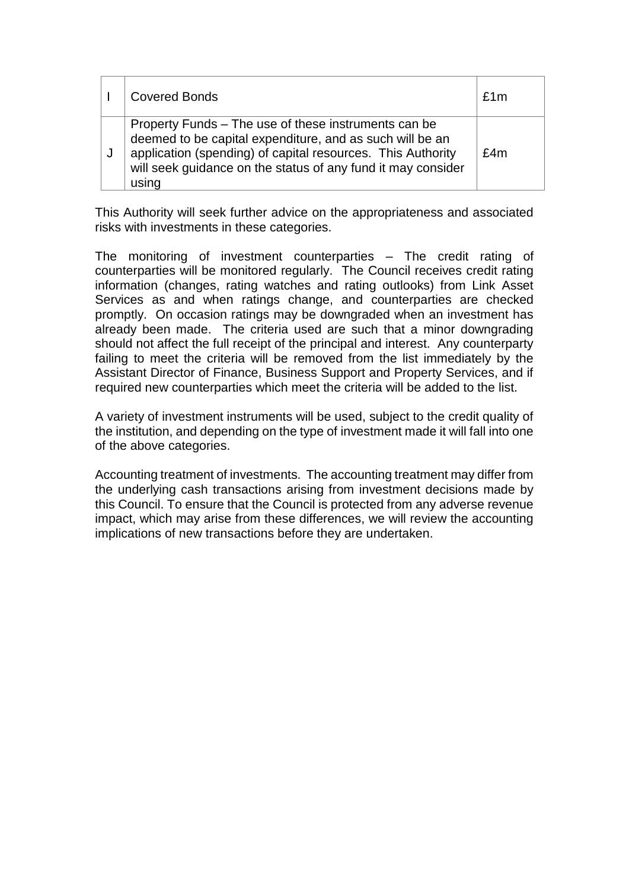|   | <b>Covered Bonds</b>                                                                                                                                                                                                                                     | f1m |
|---|----------------------------------------------------------------------------------------------------------------------------------------------------------------------------------------------------------------------------------------------------------|-----|
| J | Property Funds – The use of these instruments can be<br>deemed to be capital expenditure, and as such will be an<br>application (spending) of capital resources. This Authority<br>will seek guidance on the status of any fund it may consider<br>using | £4m |

This Authority will seek further advice on the appropriateness and associated risks with investments in these categories.

The monitoring of investment counterparties – The credit rating of counterparties will be monitored regularly. The Council receives credit rating information (changes, rating watches and rating outlooks) from Link Asset Services as and when ratings change, and counterparties are checked promptly. On occasion ratings may be downgraded when an investment has already been made. The criteria used are such that a minor downgrading should not affect the full receipt of the principal and interest. Any counterparty failing to meet the criteria will be removed from the list immediately by the Assistant Director of Finance, Business Support and Property Services, and if required new counterparties which meet the criteria will be added to the list.

A variety of investment instruments will be used, subject to the credit quality of the institution, and depending on the type of investment made it will fall into one of the above categories.

Accounting treatment of investments. The accounting treatment may differ from the underlying cash transactions arising from investment decisions made by this Council. To ensure that the Council is protected from any adverse revenue impact, which may arise from these differences, we will review the accounting implications of new transactions before they are undertaken.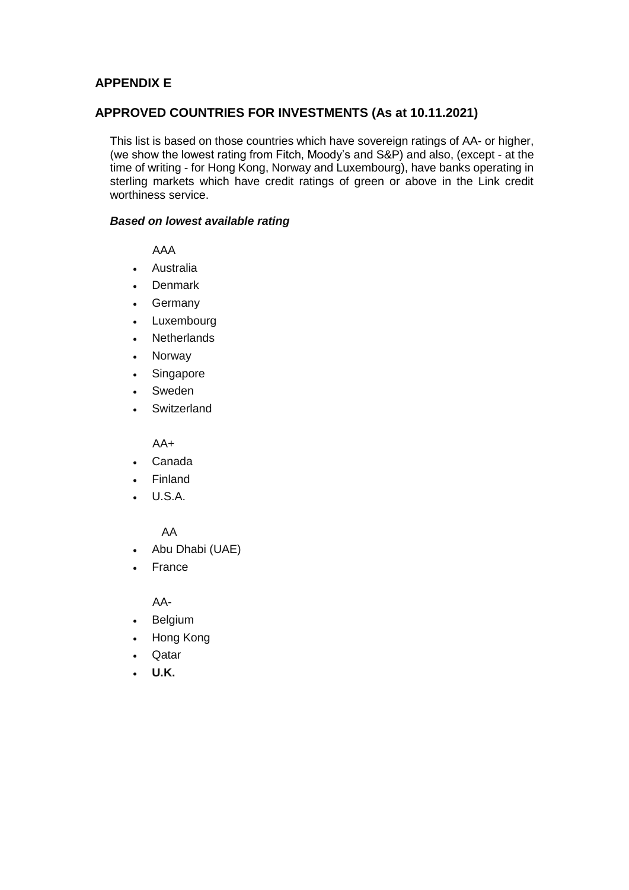# **APPENDIX E**

#### **APPROVED COUNTRIES FOR INVESTMENTS (As at 10.11.2021)**

This list is based on those countries which have sovereign ratings of AA- or higher, (we show the lowest rating from Fitch, Moody's and S&P) and also, (except - at the time of writing - for Hong Kong, Norway and Luxembourg), have banks operating in sterling markets which have credit ratings of green or above in the Link credit worthiness service.

#### *Based on lowest available rating*

AAA

- Australia
- Denmark
- Germany
- Luxembourg
- Netherlands
- Norway
- Singapore
- Sweden
- **Switzerland**

 $AA+$ 

- Canada
- Finland
- U.S.A.

AA

- Abu Dhabi (UAE)
- France

AA-

- Belgium
- Hong Kong
- Qatar
- **U.K.**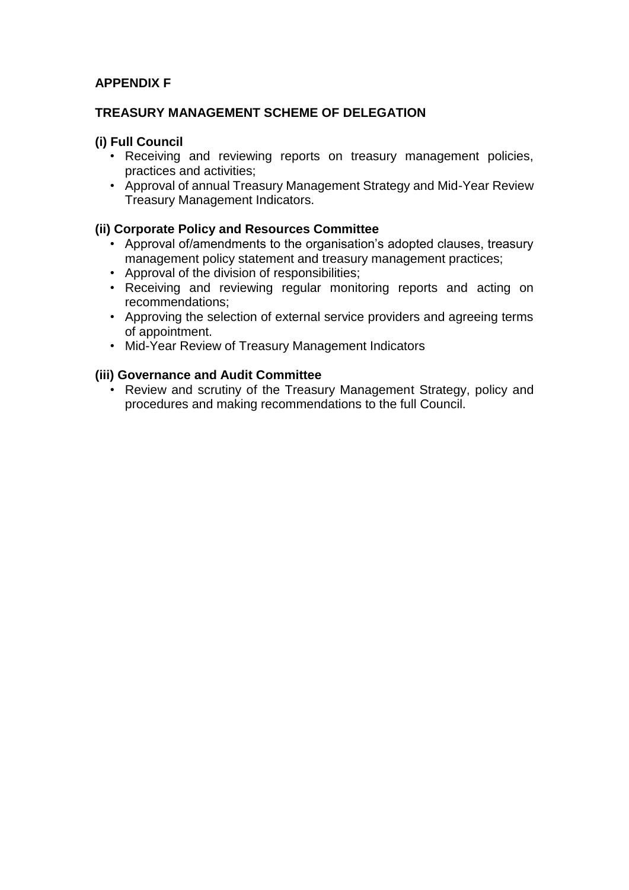# **APPENDIX F**

#### **TREASURY MANAGEMENT SCHEME OF DELEGATION**

#### **(i) Full Council**

- Receiving and reviewing reports on treasury management policies, practices and activities;
- Approval of annual Treasury Management Strategy and Mid-Year Review Treasury Management Indicators.

#### **(ii) Corporate Policy and Resources Committee**

- Approval of/amendments to the organisation's adopted clauses, treasury management policy statement and treasury management practices;
- Approval of the division of responsibilities;
- Receiving and reviewing regular monitoring reports and acting on recommendations;
- Approving the selection of external service providers and agreeing terms of appointment.
- Mid-Year Review of Treasury Management Indicators

#### **(iii) Governance and Audit Committee**

• Review and scrutiny of the Treasury Management Strategy, policy and procedures and making recommendations to the full Council.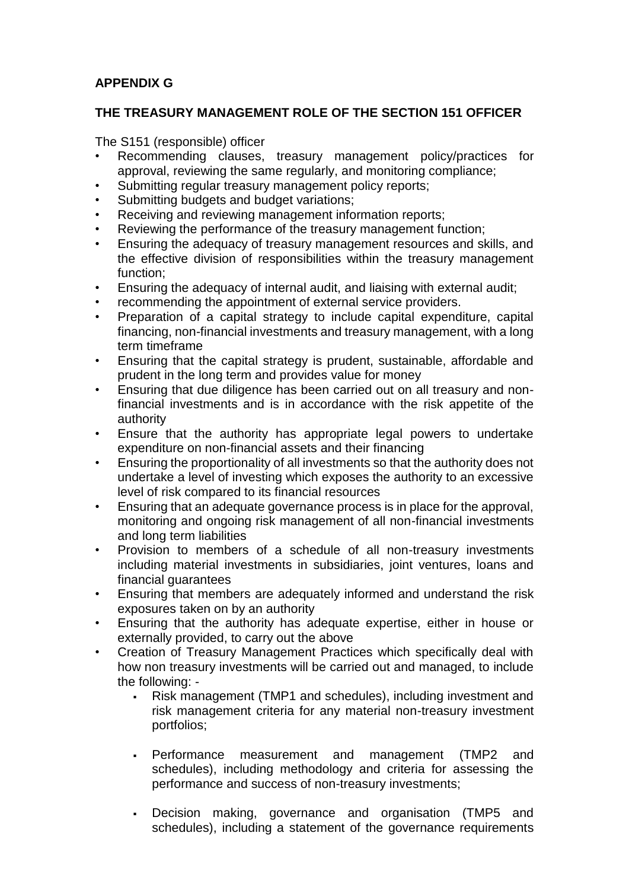# **APPENDIX G**

# **THE TREASURY MANAGEMENT ROLE OF THE SECTION 151 OFFICER**

The S151 (responsible) officer

- Recommending clauses, treasury management policy/practices for approval, reviewing the same regularly, and monitoring compliance;
- Submitting regular treasury management policy reports;
- Submitting budgets and budget variations;
- Receiving and reviewing management information reports:
- Reviewing the performance of the treasury management function;
- Ensuring the adequacy of treasury management resources and skills, and the effective division of responsibilities within the treasury management function;
- Ensuring the adequacy of internal audit, and liaising with external audit;
- recommending the appointment of external service providers.
- Preparation of a capital strategy to include capital expenditure, capital financing, non-financial investments and treasury management, with a long term timeframe
- Ensuring that the capital strategy is prudent, sustainable, affordable and prudent in the long term and provides value for money
- Ensuring that due diligence has been carried out on all treasury and nonfinancial investments and is in accordance with the risk appetite of the authority
- Ensure that the authority has appropriate legal powers to undertake expenditure on non-financial assets and their financing
- Ensuring the proportionality of all investments so that the authority does not undertake a level of investing which exposes the authority to an excessive level of risk compared to its financial resources
- Ensuring that an adequate governance process is in place for the approval, monitoring and ongoing risk management of all non-financial investments and long term liabilities
- Provision to members of a schedule of all non-treasury investments including material investments in subsidiaries, joint ventures, loans and financial guarantees
- Ensuring that members are adequately informed and understand the risk exposures taken on by an authority
- Ensuring that the authority has adequate expertise, either in house or externally provided, to carry out the above
- Creation of Treasury Management Practices which specifically deal with how non treasury investments will be carried out and managed, to include the following: -
	- Risk management (TMP1 and schedules), including investment and risk management criteria for any material non-treasury investment portfolios;
	- Performance measurement and management (TMP2 and schedules), including methodology and criteria for assessing the performance and success of non-treasury investments;
	- Decision making, governance and organisation (TMP5 and schedules), including a statement of the governance requirements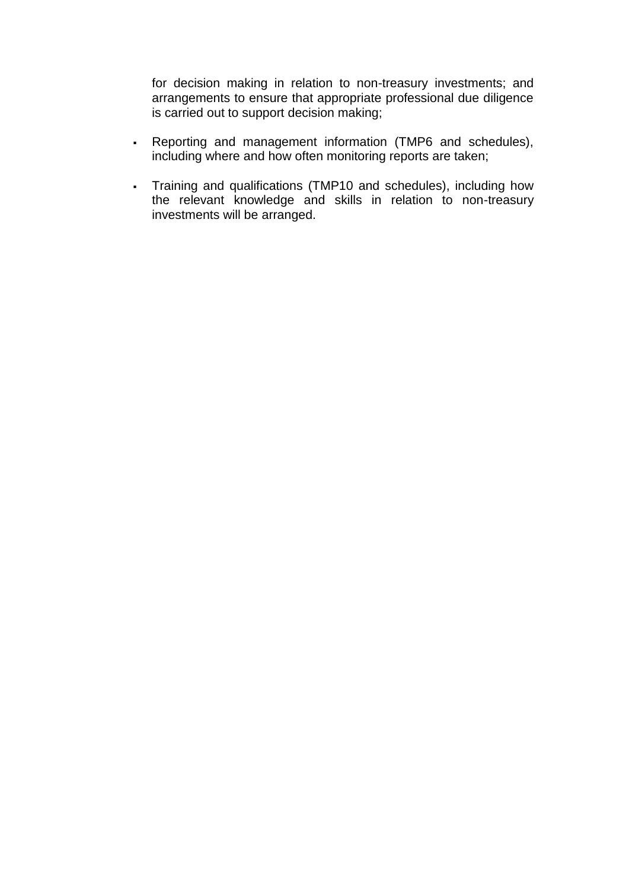for decision making in relation to non-treasury investments; and arrangements to ensure that appropriate professional due diligence is carried out to support decision making;

- Reporting and management information (TMP6 and schedules), including where and how often monitoring reports are taken;
- Training and qualifications (TMP10 and schedules), including how the relevant knowledge and skills in relation to non-treasury investments will be arranged.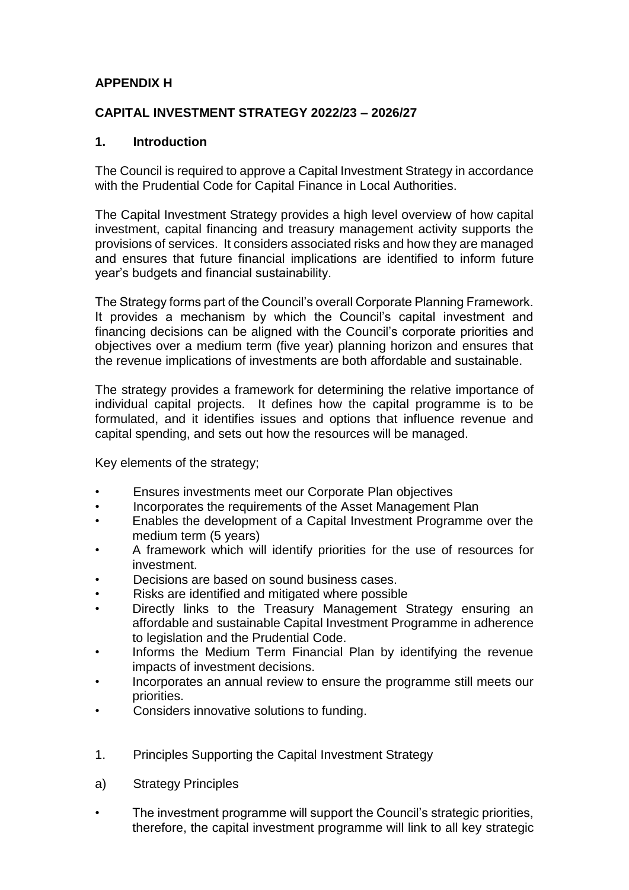# **APPENDIX H**

# **CAPITAL INVESTMENT STRATEGY 2022/23 – 2026/27**

#### **1. Introduction**

The Council is required to approve a Capital Investment Strategy in accordance with the Prudential Code for Capital Finance in Local Authorities.

The Capital Investment Strategy provides a high level overview of how capital investment, capital financing and treasury management activity supports the provisions of services. It considers associated risks and how they are managed and ensures that future financial implications are identified to inform future year's budgets and financial sustainability.

The Strategy forms part of the Council's overall Corporate Planning Framework. It provides a mechanism by which the Council's capital investment and financing decisions can be aligned with the Council's corporate priorities and objectives over a medium term (five year) planning horizon and ensures that the revenue implications of investments are both affordable and sustainable.

The strategy provides a framework for determining the relative importance of individual capital projects. It defines how the capital programme is to be formulated, and it identifies issues and options that influence revenue and capital spending, and sets out how the resources will be managed.

Key elements of the strategy;

- Ensures investments meet our Corporate Plan objectives
- Incorporates the requirements of the Asset Management Plan
- Enables the development of a Capital Investment Programme over the medium term (5 years)
- A framework which will identify priorities for the use of resources for investment.
- Decisions are based on sound business cases.
- Risks are identified and mitigated where possible
- Directly links to the Treasury Management Strategy ensuring an affordable and sustainable Capital Investment Programme in adherence to legislation and the Prudential Code.
- Informs the Medium Term Financial Plan by identifying the revenue impacts of investment decisions.
- Incorporates an annual review to ensure the programme still meets our priorities.
- Considers innovative solutions to funding.
- 1. Principles Supporting the Capital Investment Strategy
- a) Strategy Principles
- The investment programme will support the Council's strategic priorities, therefore, the capital investment programme will link to all key strategic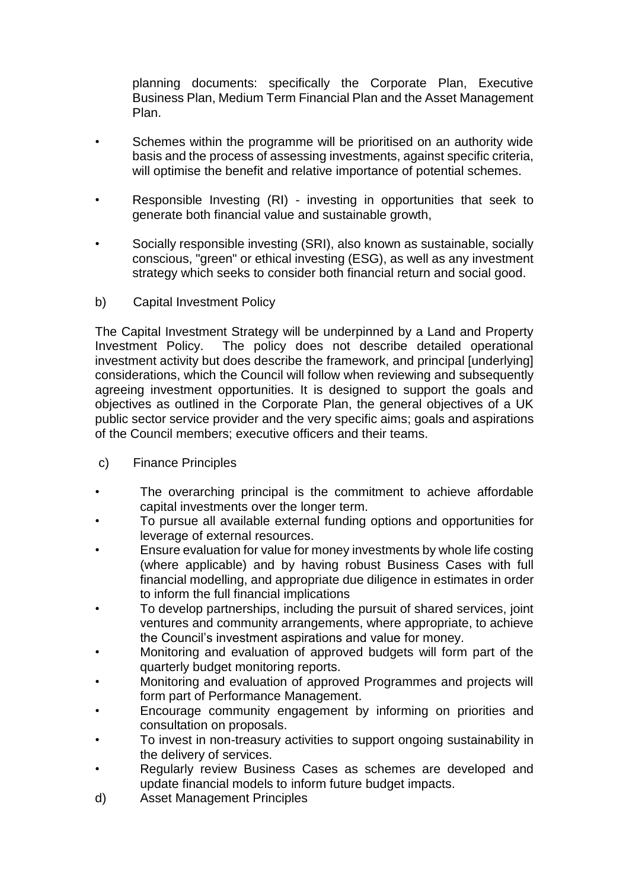planning documents: specifically the Corporate Plan, Executive Business Plan, Medium Term Financial Plan and the Asset Management Plan.

- Schemes within the programme will be prioritised on an authority wide basis and the process of assessing investments, against specific criteria, will optimise the benefit and relative importance of potential schemes.
- Responsible Investing (RI) investing in opportunities that seek to generate both financial value and sustainable growth,
- Socially responsible investing (SRI), also known as sustainable, socially conscious, "green" or ethical investing (ESG), as well as any investment strategy which seeks to consider both financial return and social good.
- b) Capital Investment Policy

The Capital Investment Strategy will be underpinned by a Land and Property Investment Policy. The policy does not describe detailed operational investment activity but does describe the framework, and principal [underlying] considerations, which the Council will follow when reviewing and subsequently agreeing investment opportunities. It is designed to support the goals and objectives as outlined in the Corporate Plan, the general objectives of a UK public sector service provider and the very specific aims; goals and aspirations of the Council members; executive officers and their teams.

- c) Finance Principles
- The overarching principal is the commitment to achieve affordable capital investments over the longer term.
- To pursue all available external funding options and opportunities for leverage of external resources.
- Ensure evaluation for value for money investments by whole life costing (where applicable) and by having robust Business Cases with full financial modelling, and appropriate due diligence in estimates in order to inform the full financial implications
- To develop partnerships, including the pursuit of shared services, joint ventures and community arrangements, where appropriate, to achieve the Council's investment aspirations and value for money.
- Monitoring and evaluation of approved budgets will form part of the quarterly budget monitoring reports.
- Monitoring and evaluation of approved Programmes and projects will form part of Performance Management.
- Encourage community engagement by informing on priorities and consultation on proposals.
- To invest in non-treasury activities to support ongoing sustainability in the delivery of services.
- Regularly review Business Cases as schemes are developed and update financial models to inform future budget impacts.
- d) Asset Management Principles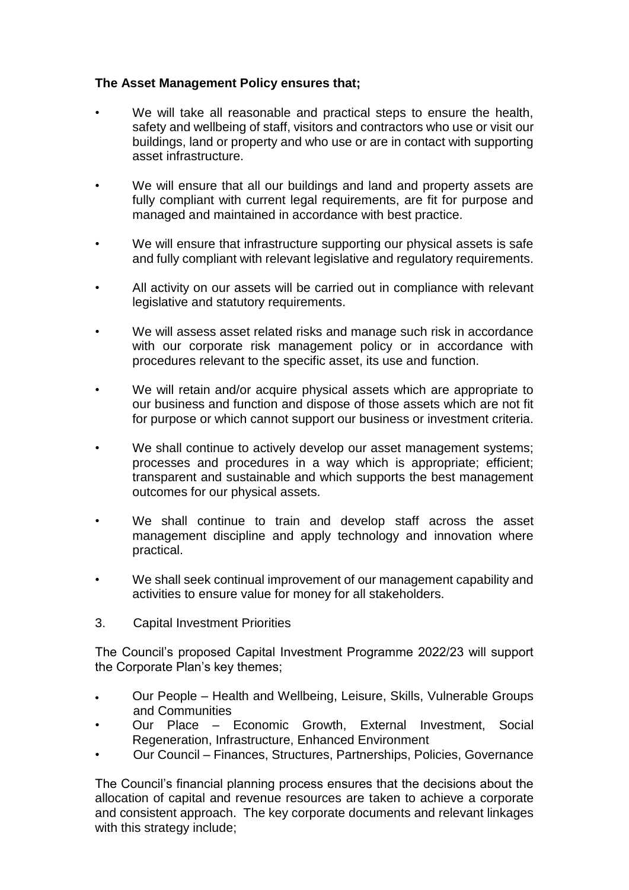# **The Asset Management Policy ensures that;**

- We will take all reasonable and practical steps to ensure the health, safety and wellbeing of staff, visitors and contractors who use or visit our buildings, land or property and who use or are in contact with supporting asset infrastructure.
- We will ensure that all our buildings and land and property assets are fully compliant with current legal requirements, are fit for purpose and managed and maintained in accordance with best practice.
- We will ensure that infrastructure supporting our physical assets is safe and fully compliant with relevant legislative and regulatory requirements.
- All activity on our assets will be carried out in compliance with relevant legislative and statutory requirements.
- We will assess asset related risks and manage such risk in accordance with our corporate risk management policy or in accordance with procedures relevant to the specific asset, its use and function.
- We will retain and/or acquire physical assets which are appropriate to our business and function and dispose of those assets which are not fit for purpose or which cannot support our business or investment criteria.
- We shall continue to actively develop our asset management systems; processes and procedures in a way which is appropriate; efficient; transparent and sustainable and which supports the best management outcomes for our physical assets.
- We shall continue to train and develop staff across the asset management discipline and apply technology and innovation where practical.
- We shall seek continual improvement of our management capability and activities to ensure value for money for all stakeholders.
- 3. Capital Investment Priorities

The Council's proposed Capital Investment Programme 2022/23 will support the Corporate Plan's key themes;

- Our People Health and Wellbeing, Leisure, Skills, Vulnerable Groups and Communities
- Our Place Economic Growth, External Investment, Social Regeneration, Infrastructure, Enhanced Environment
- Our Council Finances, Structures, Partnerships, Policies, Governance

The Council's financial planning process ensures that the decisions about the allocation of capital and revenue resources are taken to achieve a corporate and consistent approach. The key corporate documents and relevant linkages with this strategy include;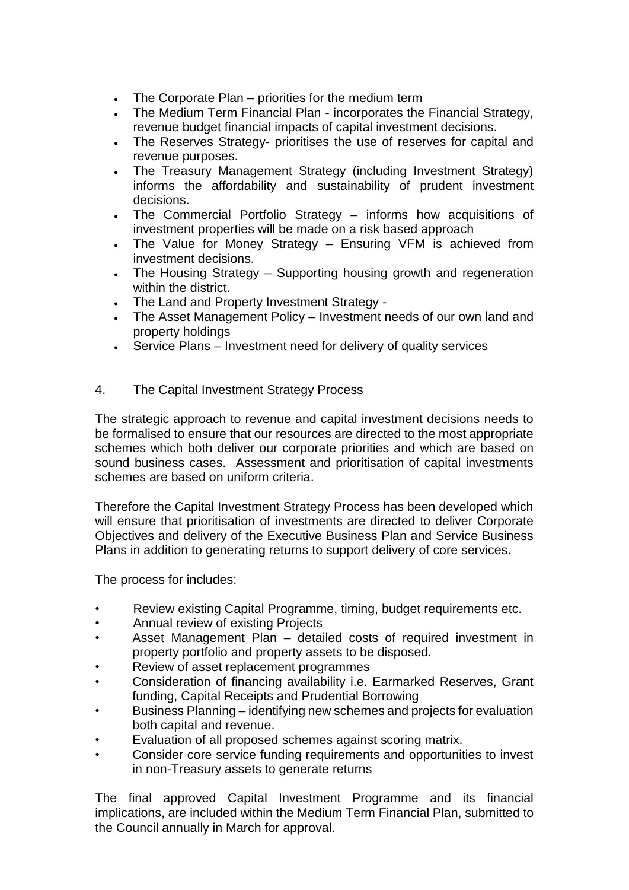- The Corporate Plan priorities for the medium term
- The Medium Term Financial Plan incorporates the Financial Strategy, revenue budget financial impacts of capital investment decisions.
- The Reserves Strategy- prioritises the use of reserves for capital and revenue purposes.
- The Treasury Management Strategy (including Investment Strategy) informs the affordability and sustainability of prudent investment decisions.
- The Commercial Portfolio Strategy informs how acquisitions of investment properties will be made on a risk based approach
- The Value for Money Strategy Ensuring VFM is achieved from investment decisions.
- The Housing Strategy Supporting housing growth and regeneration within the district.
- The Land and Property Investment Strategy -
- The Asset Management Policy Investment needs of our own land and property holdings
- Service Plans Investment need for delivery of quality services

#### 4. The Capital Investment Strategy Process

The strategic approach to revenue and capital investment decisions needs to be formalised to ensure that our resources are directed to the most appropriate schemes which both deliver our corporate priorities and which are based on sound business cases. Assessment and prioritisation of capital investments schemes are based on uniform criteria.

Therefore the Capital Investment Strategy Process has been developed which will ensure that prioritisation of investments are directed to deliver Corporate Objectives and delivery of the Executive Business Plan and Service Business Plans in addition to generating returns to support delivery of core services.

The process for includes:

- Review existing Capital Programme, timing, budget requirements etc.
- Annual review of existing Projects
- Asset Management Plan detailed costs of required investment in property portfolio and property assets to be disposed.
- Review of asset replacement programmes
- Consideration of financing availability i.e. Earmarked Reserves, Grant funding, Capital Receipts and Prudential Borrowing
- Business Planning identifying new schemes and projects for evaluation both capital and revenue.
- Evaluation of all proposed schemes against scoring matrix.
- Consider core service funding requirements and opportunities to invest in non-Treasury assets to generate returns

The final approved Capital Investment Programme and its financial implications, are included within the Medium Term Financial Plan, submitted to the Council annually in March for approval.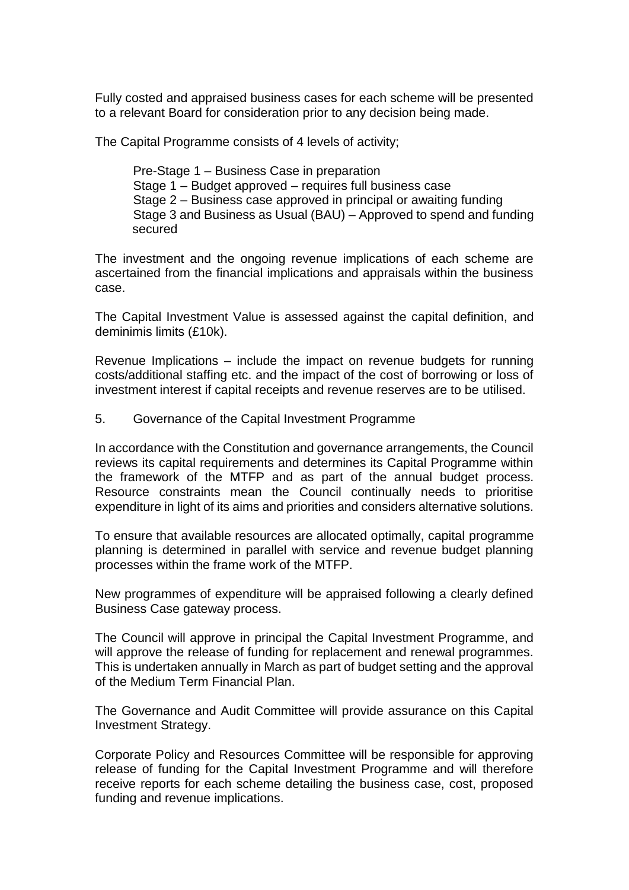Fully costed and appraised business cases for each scheme will be presented to a relevant Board for consideration prior to any decision being made.

The Capital Programme consists of 4 levels of activity;

Pre-Stage 1 – Business Case in preparation Stage 1 – Budget approved – requires full business case Stage 2 – Business case approved in principal or awaiting funding Stage 3 and Business as Usual (BAU) – Approved to spend and funding secured

The investment and the ongoing revenue implications of each scheme are ascertained from the financial implications and appraisals within the business case.

The Capital Investment Value is assessed against the capital definition, and deminimis limits (£10k).

Revenue Implications – include the impact on revenue budgets for running costs/additional staffing etc. and the impact of the cost of borrowing or loss of investment interest if capital receipts and revenue reserves are to be utilised.

5. Governance of the Capital Investment Programme

In accordance with the Constitution and governance arrangements, the Council reviews its capital requirements and determines its Capital Programme within the framework of the MTFP and as part of the annual budget process. Resource constraints mean the Council continually needs to prioritise expenditure in light of its aims and priorities and considers alternative solutions.

To ensure that available resources are allocated optimally, capital programme planning is determined in parallel with service and revenue budget planning processes within the frame work of the MTFP.

New programmes of expenditure will be appraised following a clearly defined Business Case gateway process.

The Council will approve in principal the Capital Investment Programme, and will approve the release of funding for replacement and renewal programmes. This is undertaken annually in March as part of budget setting and the approval of the Medium Term Financial Plan.

The Governance and Audit Committee will provide assurance on this Capital Investment Strategy.

Corporate Policy and Resources Committee will be responsible for approving release of funding for the Capital Investment Programme and will therefore receive reports for each scheme detailing the business case, cost, proposed funding and revenue implications.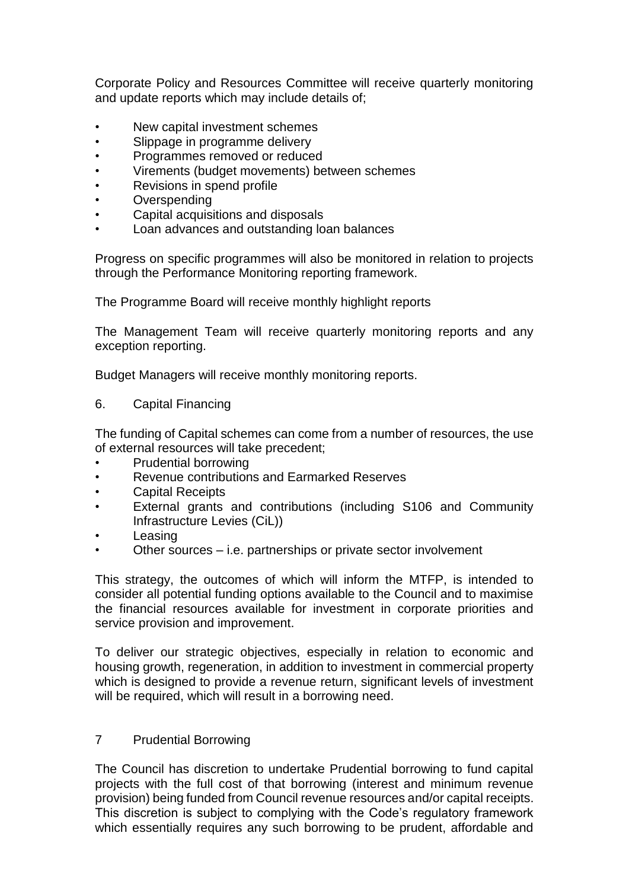Corporate Policy and Resources Committee will receive quarterly monitoring and update reports which may include details of;

- New capital investment schemes
- Slippage in programme delivery
- Programmes removed or reduced
- Virements (budget movements) between schemes
- Revisions in spend profile
- **Overspending**
- Capital acquisitions and disposals
- Loan advances and outstanding loan balances

Progress on specific programmes will also be monitored in relation to projects through the Performance Monitoring reporting framework.

The Programme Board will receive monthly highlight reports

The Management Team will receive quarterly monitoring reports and any exception reporting.

Budget Managers will receive monthly monitoring reports.

6. Capital Financing

The funding of Capital schemes can come from a number of resources, the use of external resources will take precedent;

- Prudential borrowing
- Revenue contributions and Earmarked Reserves
- Capital Receipts
- External grants and contributions (including S106 and Community Infrastructure Levies (CiL))
- **Leasing**
- Other sources i.e. partnerships or private sector involvement

This strategy, the outcomes of which will inform the MTFP, is intended to consider all potential funding options available to the Council and to maximise the financial resources available for investment in corporate priorities and service provision and improvement.

To deliver our strategic objectives, especially in relation to economic and housing growth, regeneration, in addition to investment in commercial property which is designed to provide a revenue return, significant levels of investment will be required, which will result in a borrowing need.

#### 7 Prudential Borrowing

The Council has discretion to undertake Prudential borrowing to fund capital projects with the full cost of that borrowing (interest and minimum revenue provision) being funded from Council revenue resources and/or capital receipts. This discretion is subject to complying with the Code's regulatory framework which essentially requires any such borrowing to be prudent, affordable and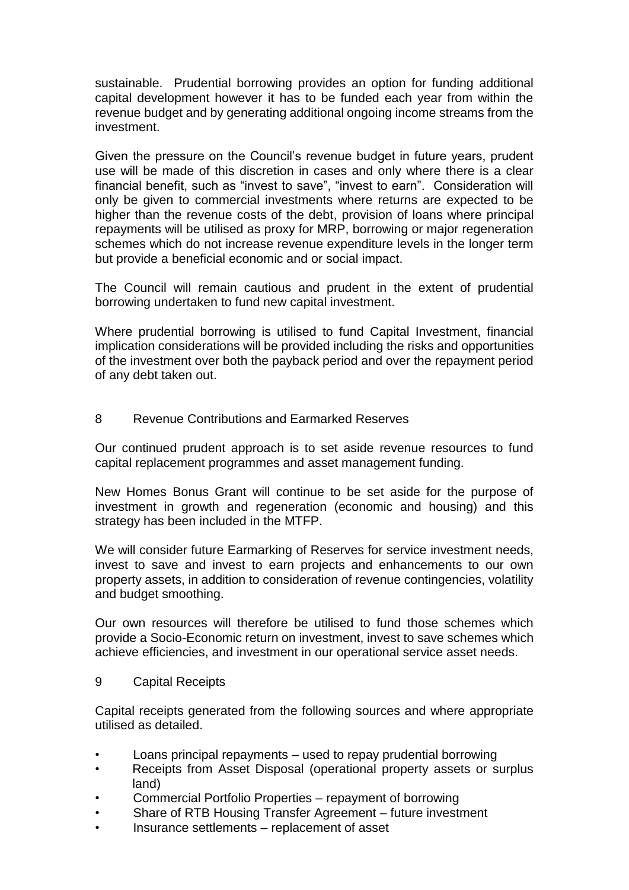sustainable. Prudential borrowing provides an option for funding additional capital development however it has to be funded each year from within the revenue budget and by generating additional ongoing income streams from the investment.

Given the pressure on the Council's revenue budget in future years, prudent use will be made of this discretion in cases and only where there is a clear financial benefit, such as "invest to save", "invest to earn". Consideration will only be given to commercial investments where returns are expected to be higher than the revenue costs of the debt, provision of loans where principal repayments will be utilised as proxy for MRP, borrowing or major regeneration schemes which do not increase revenue expenditure levels in the longer term but provide a beneficial economic and or social impact.

The Council will remain cautious and prudent in the extent of prudential borrowing undertaken to fund new capital investment.

Where prudential borrowing is utilised to fund Capital Investment, financial implication considerations will be provided including the risks and opportunities of the investment over both the payback period and over the repayment period of any debt taken out.

#### 8 Revenue Contributions and Earmarked Reserves

Our continued prudent approach is to set aside revenue resources to fund capital replacement programmes and asset management funding.

New Homes Bonus Grant will continue to be set aside for the purpose of investment in growth and regeneration (economic and housing) and this strategy has been included in the MTFP.

We will consider future Earmarking of Reserves for service investment needs, invest to save and invest to earn projects and enhancements to our own property assets, in addition to consideration of revenue contingencies, volatility and budget smoothing.

Our own resources will therefore be utilised to fund those schemes which provide a Socio-Economic return on investment, invest to save schemes which achieve efficiencies, and investment in our operational service asset needs.

#### 9 Capital Receipts

Capital receipts generated from the following sources and where appropriate utilised as detailed.

- Loans principal repayments used to repay prudential borrowing
- Receipts from Asset Disposal (operational property assets or surplus land)
- Commercial Portfolio Properties repayment of borrowing
- Share of RTB Housing Transfer Agreement future investment
- Insurance settlements replacement of asset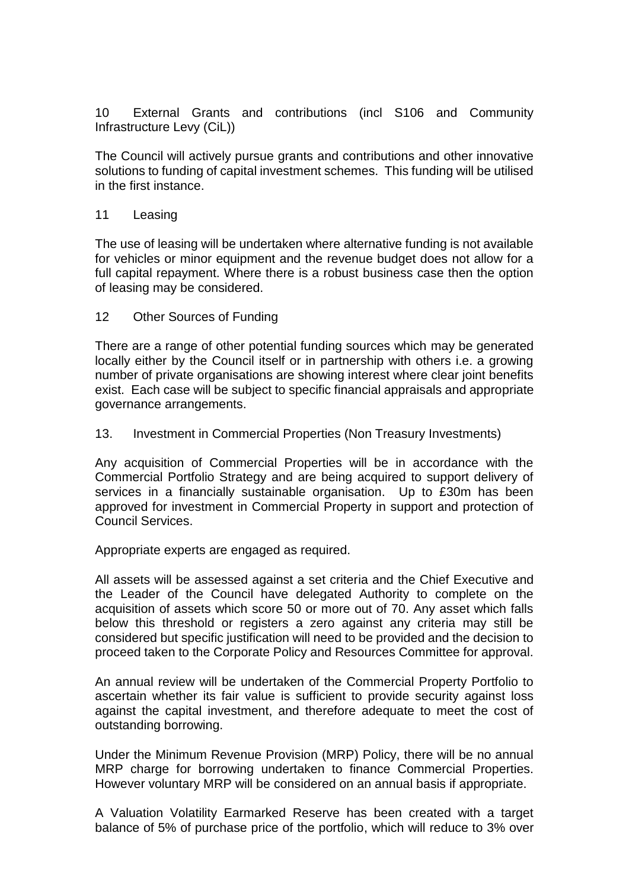10 External Grants and contributions (incl S106 and Community Infrastructure Levy (CiL))

The Council will actively pursue grants and contributions and other innovative solutions to funding of capital investment schemes. This funding will be utilised in the first instance.

#### 11 Leasing

The use of leasing will be undertaken where alternative funding is not available for vehicles or minor equipment and the revenue budget does not allow for a full capital repayment. Where there is a robust business case then the option of leasing may be considered.

#### 12 Other Sources of Funding

There are a range of other potential funding sources which may be generated locally either by the Council itself or in partnership with others i.e. a growing number of private organisations are showing interest where clear joint benefits exist. Each case will be subject to specific financial appraisals and appropriate governance arrangements.

#### 13. Investment in Commercial Properties (Non Treasury Investments)

Any acquisition of Commercial Properties will be in accordance with the Commercial Portfolio Strategy and are being acquired to support delivery of services in a financially sustainable organisation. Up to £30m has been approved for investment in Commercial Property in support and protection of Council Services.

Appropriate experts are engaged as required.

All assets will be assessed against a set criteria and the Chief Executive and the Leader of the Council have delegated Authority to complete on the acquisition of assets which score 50 or more out of 70. Any asset which falls below this threshold or registers a zero against any criteria may still be considered but specific justification will need to be provided and the decision to proceed taken to the Corporate Policy and Resources Committee for approval.

An annual review will be undertaken of the Commercial Property Portfolio to ascertain whether its fair value is sufficient to provide security against loss against the capital investment, and therefore adequate to meet the cost of outstanding borrowing.

Under the Minimum Revenue Provision (MRP) Policy, there will be no annual MRP charge for borrowing undertaken to finance Commercial Properties. However voluntary MRP will be considered on an annual basis if appropriate.

A Valuation Volatility Earmarked Reserve has been created with a target balance of 5% of purchase price of the portfolio, which will reduce to 3% over